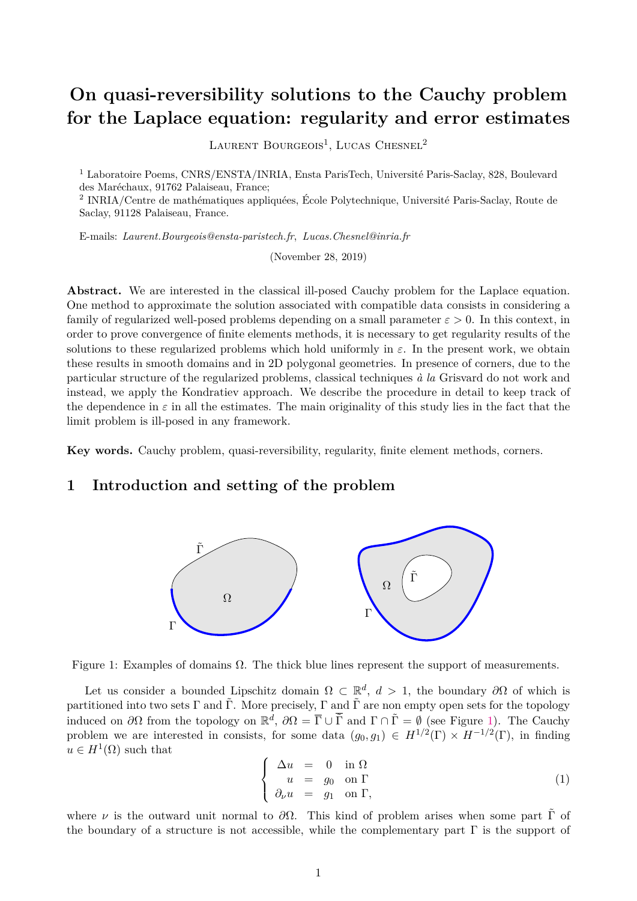# **On quasi-reversibility solutions to the Cauchy problem for the Laplace equation: regularity and error estimates**

LAURENT BOURGEOIS<sup>1</sup>, LUCAS CHESNEL<sup>2</sup>

<sup>1</sup> Laboratoire Poems, CNRS/ENSTA/INRIA, Ensta ParisTech, Université Paris-Saclay, 828, Boulevard des Maréchaux, 91762 Palaiseau, France;

2 INRIA/Centre de mathématiques appliquées, École Polytechnique, Université Paris-Saclay, Route de Saclay, 91128 Palaiseau, France.

E-mails: *Laurent.Bourgeois@ensta-paristech.fr*, *Lucas.Chesnel@inria.fr*

(November 28, 2019)

**Abstract.** We are interested in the classical ill-posed Cauchy problem for the Laplace equation. One method to approximate the solution associated with compatible data consists in considering a family of regularized well-posed problems depending on a small parameter  $\varepsilon > 0$ . In this context, in order to prove convergence of finite elements methods, it is necessary to get regularity results of the solutions to these regularized problems which hold uniformly in  $\varepsilon$ . In the present work, we obtain these results in smooth domains and in 2D polygonal geometries. In presence of corners, due to the particular structure of the regularized problems, classical techniques *à la* Grisvard do not work and instead, we apply the Kondratiev approach. We describe the procedure in detail to keep track of the dependence in  $\varepsilon$  in all the estimates. The main originality of this study lies in the fact that the limit problem is ill-posed in any framework.

**Key words.** Cauchy problem, quasi-reversibility, regularity, finite element methods, corners.

# <span id="page-0-2"></span>**1 Introduction and setting of the problem**



<span id="page-0-0"></span>Figure 1: Examples of domains  $\Omega$ . The thick blue lines represent the support of measurements.

Let us consider a bounded Lipschitz domain  $\Omega \subset \mathbb{R}^d$ ,  $d > 1$ , the boundary  $\partial\Omega$  of which is partitioned into two sets  $\Gamma$  and  $\tilde{\Gamma}$ . More precisely,  $\Gamma$  and  $\tilde{\Gamma}$  are non empty open sets for the topology induced on  $\partial\Omega$  from the topology on  $\mathbb{R}^d$ ,  $\partial\Omega = \overline{\Gamma} \cup \overline{\tilde{\Gamma}}$  and  $\Gamma \cap \tilde{\Gamma} = \emptyset$  (see Figure [1\)](#page-0-0). The Cauchy problem we are interested in consists, for some data  $(g_0, g_1) \in H^{1/2}(\Gamma) \times H^{-1/2}(\Gamma)$ , in finding  $u \in H^1(\Omega)$  such that

<span id="page-0-1"></span>
$$
\begin{cases}\n\Delta u = 0 \text{ in } \Omega \\
u = g_0 \text{ on } \Gamma \\
\partial_\nu u = g_1 \text{ on } \Gamma,\n\end{cases}
$$
\n(1)

where *v* is the outward unit normal to  $\partial\Omega$ . This kind of problem arises when some part  $\tilde{\Gamma}$  of the boundary of a structure is not accessible, while the complementary part  $\Gamma$  is the support of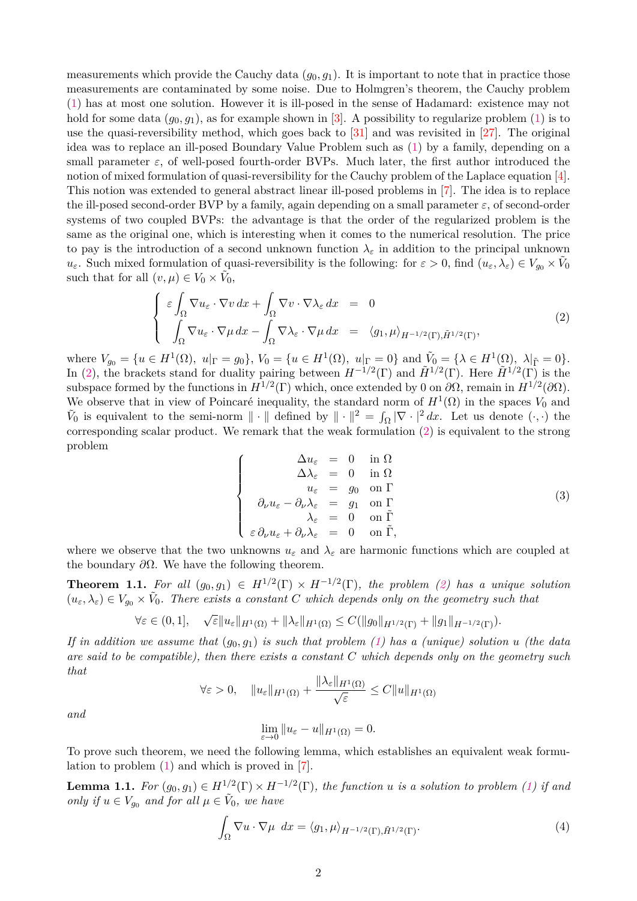measurements which provide the Cauchy data  $(g_0, g_1)$ . It is important to note that in practice those measurements are contaminated by some noise. Due to Holmgren's theorem, the Cauchy problem [\(1\)](#page-0-1) has at most one solution. However it is ill-posed in the sense of Hadamard: existence may not hold for some data  $(g_0, g_1)$ , as for example shown in [\[3\]](#page-32-0). A possibility to regularize problem [\(1\)](#page-0-1) is to use the quasi-reversibility method, which goes back to [\[31\]](#page-33-0) and was revisited in [\[27\]](#page-33-1). The original idea was to replace an ill-posed Boundary Value Problem such as [\(1\)](#page-0-1) by a family, depending on a small parameter  $\varepsilon$ , of well-posed fourth-order BVPs. Much later, the first author introduced the notion of mixed formulation of quasi-reversibility for the Cauchy problem of the Laplace equation [\[4\]](#page-32-1). This notion was extended to general abstract linear ill-posed problems in [\[7\]](#page-32-2). The idea is to replace the ill-posed second-order BVP by a family, again depending on a small parameter *ε*, of second-order systems of two coupled BVPs: the advantage is that the order of the regularized problem is the same as the original one, which is interesting when it comes to the numerical resolution. The price to pay is the introduction of a second unknown function  $\lambda_{\varepsilon}$  in addition to the principal unknown *u*<sub>*ε*</sub>. Such mixed formulation of quasi-reversibility is the following: for  $\varepsilon > 0$ , find  $(u_{\varepsilon}, \lambda_{\varepsilon}) \in V_{g_0} \times V_0$ such that for all  $(v, \mu) \in V_0 \times \tilde{V}_0$ ,

<span id="page-1-0"></span>
$$
\begin{cases}\n\varepsilon \int_{\Omega} \nabla u_{\varepsilon} \cdot \nabla v \, dx + \int_{\Omega} \nabla v \cdot \nabla \lambda_{\varepsilon} \, dx = 0 \\
\int_{\Omega} \nabla u_{\varepsilon} \cdot \nabla \mu \, dx - \int_{\Omega} \nabla \lambda_{\varepsilon} \cdot \nabla \mu \, dx = \langle g_1, \mu \rangle_{H^{-1/2}(\Gamma), \tilde{H}^{1/2}(\Gamma)},\n\end{cases} (2)
$$

where  $V_{g_0} = \{u \in H^1(\Omega), u|_{\Gamma} = g_0\}, V_0 = \{u \in H^1(\Omega), u|_{\Gamma} = 0\}$  and  $\tilde{V}_0 = \{\lambda \in H^1(\Omega), \lambda|_{\tilde{\Gamma}} = 0\}.$ In [\(2\)](#page-1-0), the brackets stand for duality pairing between  $H^{-1/2}(\Gamma)$  and  $\tilde{H}^{1/2}(\Gamma)$ . Here  $\tilde{H}^{1/2}(\Gamma)$  is the subspace formed by the functions in  $H^{1/2}(\Gamma)$  which, once extended by 0 on  $\partial\Omega$ , remain in  $H^{1/2}(\partial\Omega)$ . We observe that in view of Poincaré inequality, the standard norm of  $H^1(\Omega)$  in the spaces  $V_0$  and  $\tilde{V}_0$  is equivalent to the semi-norm  $\|\cdot\|$  defined by  $\|\cdot\|^2 = \int_{\Omega} |\nabla \cdot|^2 dx$ . Let us denote  $(\cdot, \cdot)$  the corresponding scalar product. We remark that the weak formulation [\(2\)](#page-1-0) is equivalent to the strong problem

$$
\begin{cases}\n\Delta u_{\varepsilon} = 0 \quad \text{in } \Omega \\
\Delta \lambda_{\varepsilon} = 0 \quad \text{in } \Omega \\
u_{\varepsilon} = g_0 \quad \text{on } \Gamma \\
\partial_{\nu} u_{\varepsilon} - \partial_{\nu} \lambda_{\varepsilon} = g_1 \quad \text{on } \Gamma \\
\lambda_{\varepsilon} = 0 \quad \text{on } \tilde{\Gamma} \\
\varepsilon \partial_{\nu} u_{\varepsilon} + \partial_{\nu} \lambda_{\varepsilon} = 0 \quad \text{on } \tilde{\Gamma},\n\end{cases}
$$
\n(3)

where we observe that the two unknowns  $u_{\varepsilon}$  and  $\lambda_{\varepsilon}$  are harmonic functions which are coupled at the boundary *∂*Ω. We have the following theorem.

<span id="page-1-1"></span>**Theorem 1.1.** For all  $(g_0, g_1) \in H^{1/2}(\Gamma) \times H^{-1/2}(\Gamma)$ , the problem [\(2\)](#page-1-0) has a unique solution  $(u_{\varepsilon}, \lambda_{\varepsilon}) \in V_{g_0} \times V_0$ . There exists a constant *C* which depends only on the geometry such that

$$
\forall \varepsilon \in (0,1], \quad \sqrt{\varepsilon} \|u_{\varepsilon}\|_{H^1(\Omega)} + \|\lambda_{\varepsilon}\|_{H^1(\Omega)} \leq C(\|g_0\|_{H^{1/2}(\Gamma)} + \|g_1\|_{H^{-1/2}(\Gamma)}).
$$

*If in addition we assume that* (*g*0*, g*1) *is such that problem [\(1\)](#page-0-1) has a (unique) solution u (the data are said to be compatible), then there exists a constant C which depends only on the geometry such that*

$$
\forall \varepsilon > 0, \quad \|u_{\varepsilon}\|_{H^1(\Omega)} + \frac{\|\lambda_{\varepsilon}\|_{H^1(\Omega)}}{\sqrt{\varepsilon}} \le C \|u\|_{H^1(\Omega)}
$$

*and*

$$
\lim_{\varepsilon \to 0} \|u_{\varepsilon} - u\|_{H^1(\Omega)} = 0.
$$

To prove such theorem, we need the following lemma, which establishes an equivalent weak formulation to problem [\(1\)](#page-0-1) and which is proved in [\[7\]](#page-32-2).

**Lemma 1.1.** For  $(g_0, g_1) \in H^{1/2}(\Gamma) \times H^{-1/2}(\Gamma)$ , the function *u* is a solution to problem [\(1\)](#page-0-1) if and *only if*  $u \in V_{g_0}$  *and for all*  $\mu \in V_0$ *, we have* 

<span id="page-1-2"></span>
$$
\int_{\Omega} \nabla u \cdot \nabla \mu \ dx = \langle g_1, \mu \rangle_{H^{-1/2}(\Gamma), \tilde{H}^{1/2}(\Gamma)}.
$$
\n(4)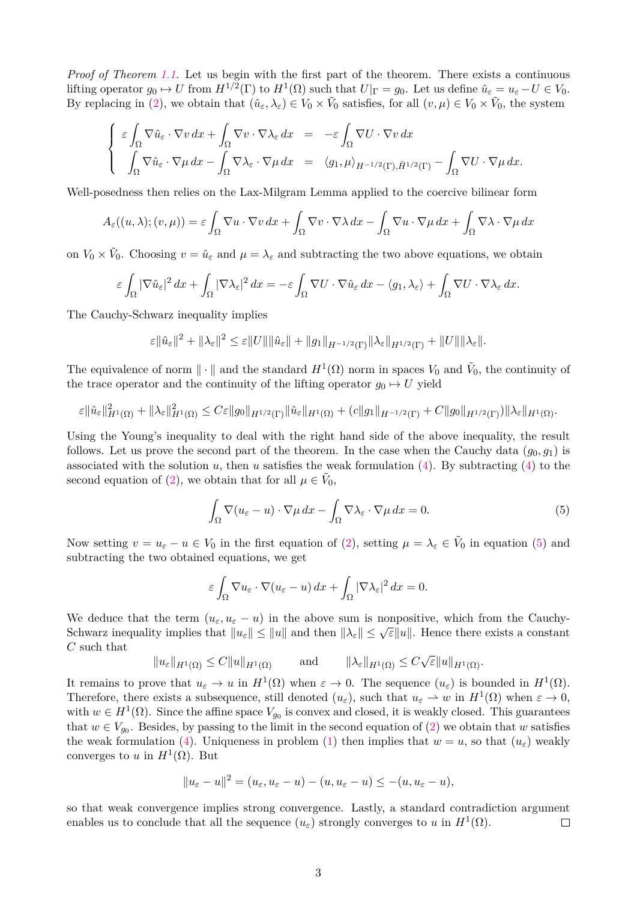*Proof of Theorem [1.1.](#page-1-1)* Let us begin with the first part of the theorem. There exists a continuous lifting operator  $g_0 \mapsto U$  from  $H^{1/2}(\Gamma)$  to  $H^1(\Omega)$  such that  $U|_{\Gamma} = g_0$ . Let us define  $\hat{u}_{\varepsilon} = u_{\varepsilon} - U \in V_0$ . By replacing in [\(2\)](#page-1-0), we obtain that  $(\hat{u}_{\varepsilon}, \lambda_{\varepsilon}) \in V_0 \times \tilde{V}_0$  satisfies, for all  $(v, \mu) \in V_0 \times \tilde{V}_0$ , the system

$$
\begin{cases}\n\epsilon \int_{\Omega} \nabla \hat{u}_{\epsilon} \cdot \nabla v \, dx + \int_{\Omega} \nabla v \cdot \nabla \lambda_{\epsilon} \, dx &= -\epsilon \int_{\Omega} \nabla U \cdot \nabla v \, dx \\
\int_{\Omega} \nabla \hat{u}_{\epsilon} \cdot \nabla \mu \, dx - \int_{\Omega} \nabla \lambda_{\epsilon} \cdot \nabla \mu \, dx &= \langle g_1, \mu \rangle_{H^{-1/2}(\Gamma), \tilde{H}^{1/2}(\Gamma)} - \int_{\Omega} \nabla U \cdot \nabla \mu \, dx.\n\end{cases}
$$

Well-posedness then relies on the Lax-Milgram Lemma applied to the coercive bilinear form

$$
A_{\varepsilon}((u,\lambda);(v,\mu)) = \varepsilon \int_{\Omega} \nabla u \cdot \nabla v \, dx + \int_{\Omega} \nabla v \cdot \nabla \lambda \, dx - \int_{\Omega} \nabla u \cdot \nabla \mu \, dx + \int_{\Omega} \nabla \lambda \cdot \nabla \mu \, dx
$$

on  $V_0 \times V_0$ . Choosing  $v = \hat{u}_{\varepsilon}$  and  $\mu = \lambda_{\varepsilon}$  and subtracting the two above equations, we obtain

$$
\varepsilon \int_{\Omega} |\nabla \hat{u}_{\varepsilon}|^2 dx + \int_{\Omega} |\nabla \lambda_{\varepsilon}|^2 dx = -\varepsilon \int_{\Omega} \nabla U \cdot \nabla \hat{u}_{\varepsilon} dx - \langle g_1, \lambda_{\varepsilon} \rangle + \int_{\Omega} \nabla U \cdot \nabla \lambda_{\varepsilon} dx.
$$

The Cauchy-Schwarz inequality implies

$$
\varepsilon \|\hat{u}_{\varepsilon}\|^2 + \|\lambda_{\varepsilon}\|^2 \leq \varepsilon \|U\| \|\hat{u}_{\varepsilon}\| + \|g_1\|_{H^{-1/2}(\Gamma)} \|\lambda_{\varepsilon}\|_{H^{1/2}(\Gamma)} + \|U\| \|\lambda_{\varepsilon}\|.
$$

The equivalence of norm  $\|\cdot\|$  and the standard  $H^1(\Omega)$  norm in spaces  $V_0$  and  $\tilde{V}_0$ , the continuity of the trace operator and the continuity of the lifting operator  $g_0 \mapsto U$  yield

$$
\varepsilon \|\hat{u}_{\varepsilon}\|_{H^1(\Omega)}^2 + \|\lambda_{\varepsilon}\|_{H^1(\Omega)}^2 \leq C\varepsilon \|g_0\|_{H^{1/2}(\Gamma)} \|\hat{u}_{\varepsilon}\|_{H^1(\Omega)} + (c\|g_1\|_{H^{-1/2}(\Gamma)} + C\|g_0\|_{H^{1/2}(\Gamma)})\|\lambda_{\varepsilon}\|_{H^1(\Omega)}.
$$

Using the Young's inequality to deal with the right hand side of the above inequality, the result follows. Let us prove the second part of the theorem. In the case when the Cauchy data  $(g_0, g_1)$  is associated with the solution  $u$ , then  $u$  satisfies the weak formulation  $(4)$ . By subtracting  $(4)$  to the second equation of [\(2\)](#page-1-0), we obtain that for all  $\mu \in \tilde{V}_0$ ,

<span id="page-2-0"></span>
$$
\int_{\Omega} \nabla (u_{\varepsilon} - u) \cdot \nabla \mu \, dx - \int_{\Omega} \nabla \lambda_{\varepsilon} \cdot \nabla \mu \, dx = 0.
$$
\n(5)

Now setting  $v = u_{\varepsilon} - u \in V_0$  in the first equation of [\(2\)](#page-1-0), setting  $\mu = \lambda_{\varepsilon} \in V_0$  in equation [\(5\)](#page-2-0) and subtracting the two obtained equations, we get

$$
\varepsilon \int_{\Omega} \nabla u_{\varepsilon} \cdot \nabla (u_{\varepsilon} - u) \, dx + \int_{\Omega} |\nabla \lambda_{\varepsilon}|^2 \, dx = 0.
$$

We deduce that the term  $(u_{\varepsilon}, u_{\varepsilon} - u)$  in the above sum is nonpositive, which from the Cauchy-Schwarz inequality implies that  $||u_{\varepsilon}|| \le ||u||$  and then  $||\lambda_{\varepsilon}|| \le \sqrt{\varepsilon}||u||$ . Hence there exists a constant *C* such that √

$$
||u_{\varepsilon}||_{H^1(\Omega)} \leq C||u||_{H^1(\Omega)} \quad \text{and} \quad ||\lambda_{\varepsilon}||_{H^1(\Omega)} \leq C\sqrt{\varepsilon}||u||_{H^1(\Omega)}.
$$

It remains to prove that  $u_{\varepsilon} \to u$  in  $H^1(\Omega)$  when  $\varepsilon \to 0$ . The sequence  $(u_{\varepsilon})$  is bounded in  $H^1(\Omega)$ . Therefore, there exists a subsequence, still denoted  $(u_{\varepsilon})$ , such that  $u_{\varepsilon} \to w$  in  $H^1(\Omega)$  when  $\varepsilon \to 0$ , with  $w \in H^1(\Omega)$ . Since the affine space  $V_{g_0}$  is convex and closed, it is weakly closed. This guarantees that  $w \in V_{g_0}$ . Besides, by passing to the limit in the second equation of [\(2\)](#page-1-0) we obtain that *w* satisfies the weak formulation [\(4\)](#page-1-2). Uniqueness in problem [\(1\)](#page-0-1) then implies that  $w = u$ , so that  $(u_{\varepsilon})$  weakly converges to *u* in  $H^1(\Omega)$ . But

$$
||u_{\varepsilon}-u||^2=(u_{\varepsilon},u_{\varepsilon}-u)-(u,u_{\varepsilon}-u)\leq -(u,u_{\varepsilon}-u),
$$

so that weak convergence implies strong convergence. Lastly, a standard contradiction argument enables us to conclude that all the sequence  $(u_{\varepsilon})$  strongly converges to *u* in  $H^1(\Omega)$ .  $\Box$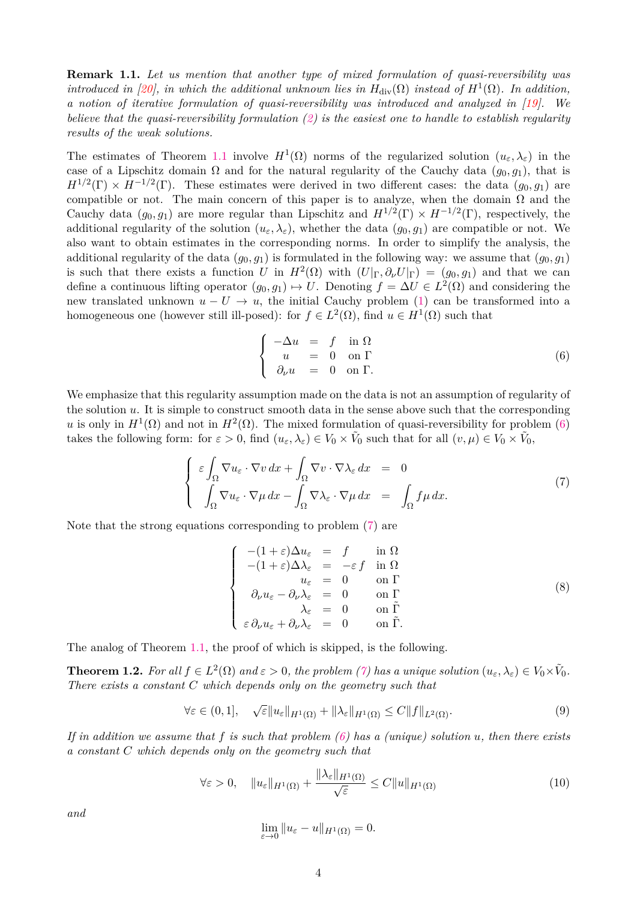**Remark 1.1.** *Let us mention that another type of mixed formulation of quasi-reversibility was introduced in [\[20\]](#page-33-2), in which the additional unknown lies in*  $H_{div}(\Omega)$  *instead of*  $H^1(\Omega)$ *. In addition, a notion of iterative formulation of quasi-reversibility was introduced and analyzed in [\[19\]](#page-33-3). We believe that the quasi-reversibility formulation [\(2\)](#page-1-0) is the easiest one to handle to establish regularity results of the weak solutions.*

The estimates of Theorem [1.1](#page-1-1) involve  $H^1(\Omega)$  norms of the regularized solution  $(u_{\varepsilon}, \lambda_{\varepsilon})$  in the case of a Lipschitz domain  $\Omega$  and for the natural regularity of the Cauchy data  $(g_0, g_1)$ , that is  $H^{1/2}(\Gamma) \times H^{-1/2}(\Gamma)$ . These estimates were derived in two different cases: the data  $(g_0, g_1)$  are compatible or not. The main concern of this paper is to analyze, when the domain  $\Omega$  and the Cauchy data  $(g_0, g_1)$  are more regular than Lipschitz and  $H^{1/2}(\Gamma) \times H^{-1/2}(\Gamma)$ , respectively, the additional regularity of the solution  $(u_{\varepsilon}, \lambda_{\varepsilon})$ , whether the data  $(g_0, g_1)$  are compatible or not. We also want to obtain estimates in the corresponding norms. In order to simplify the analysis, the additional regularity of the data  $(g_0, g_1)$  is formulated in the following way: we assume that  $(g_0, g_1)$ is such that there exists a function *U* in  $H^2(\Omega)$  with  $(U|_{\Gamma}, \partial_{\nu}U|_{\Gamma}) = (g_0, g_1)$  and that we can define a continuous lifting operator  $(g_0, g_1) \mapsto U$ . Denoting  $f = \Delta U \in L^2(\Omega)$  and considering the new translated unknown  $u - U \rightarrow u$ , the initial Cauchy problem [\(1\)](#page-0-1) can be transformed into a homogeneous one (however still ill-posed): for  $f \in L^2(\Omega)$ , find  $u \in H^1(\Omega)$  such that

<span id="page-3-0"></span>
$$
\begin{cases}\n-\Delta u = f \quad \text{in } \Omega \\
u = 0 \quad \text{on } \Gamma \\
\partial_{\nu} u = 0 \quad \text{on } \Gamma.\n\end{cases} \tag{6}
$$

We emphasize that this regularity assumption made on the data is not an assumption of regularity of the solution *u*. It is simple to construct smooth data in the sense above such that the corresponding *u* is only in  $H^1(\Omega)$  and not in  $H^2(\Omega)$ . The mixed formulation of quasi-reversibility for problem [\(6\)](#page-3-0) takes the following form: for  $\varepsilon > 0$ , find  $(u_{\varepsilon}, \lambda_{\varepsilon}) \in V_0 \times \tilde{V}_0$  such that for all  $(v, \mu) \in V_0 \times \tilde{V}_0$ ,

<span id="page-3-1"></span>
$$
\begin{cases}\n\varepsilon \int_{\Omega} \nabla u_{\varepsilon} \cdot \nabla v \, dx + \int_{\Omega} \nabla v \cdot \nabla \lambda_{\varepsilon} \, dx = 0 \\
\int_{\Omega} \nabla u_{\varepsilon} \cdot \nabla \mu \, dx - \int_{\Omega} \nabla \lambda_{\varepsilon} \cdot \nabla \mu \, dx = \int_{\Omega} f \mu \, dx.\n\end{cases} (7)
$$

Note that the strong equations corresponding to problem [\(7\)](#page-3-1) are

<span id="page-3-5"></span>
$$
\begin{cases}\n-(1+\varepsilon)\Delta u_{\varepsilon} = f & \text{in } \Omega \\
-(1+\varepsilon)\Delta\lambda_{\varepsilon} = -\varepsilon f & \text{in } \Omega \\
u_{\varepsilon} = 0 & \text{on } \Gamma \\
\partial_{\nu}u_{\varepsilon} - \partial_{\nu}\lambda_{\varepsilon} = 0 & \text{on } \tilde{\Gamma} \\
\varepsilon \partial_{\nu}u_{\varepsilon} + \partial_{\nu}\lambda_{\varepsilon} = 0 & \text{on } \tilde{\Gamma}.\n\end{cases}
$$
\n(8)

The analog of Theorem [1.1,](#page-1-1) the proof of which is skipped, is the following.

<span id="page-3-4"></span>**Theorem 1.2.** For all  $f \in L^2(\Omega)$  and  $\varepsilon > 0$ , the problem [\(7\)](#page-3-1) has a unique solution  $(u_\varepsilon, \lambda_\varepsilon) \in V_0 \times \tilde{V}_0$ . *There exists a constant C which depends only on the geometry such that*

<span id="page-3-2"></span>
$$
\forall \varepsilon \in (0,1], \quad \sqrt{\varepsilon} \|u_{\varepsilon}\|_{H^1(\Omega)} + \|\lambda_{\varepsilon}\|_{H^1(\Omega)} \le C \|f\|_{L^2(\Omega)}.
$$
\n(9)

*If in addition we assume that f is such that problem [\(6\)](#page-3-0) has a (unique) solution u, then there exists a constant C which depends only on the geometry such that*

<span id="page-3-3"></span>
$$
\forall \varepsilon > 0, \quad \|u_{\varepsilon}\|_{H^{1}(\Omega)} + \frac{\|\lambda_{\varepsilon}\|_{H^{1}(\Omega)}}{\sqrt{\varepsilon}} \le C \|u\|_{H^{1}(\Omega)}
$$
(10)

*and*

$$
\lim_{\varepsilon \to 0} \|u_{\varepsilon} - u\|_{H^1(\Omega)} = 0.
$$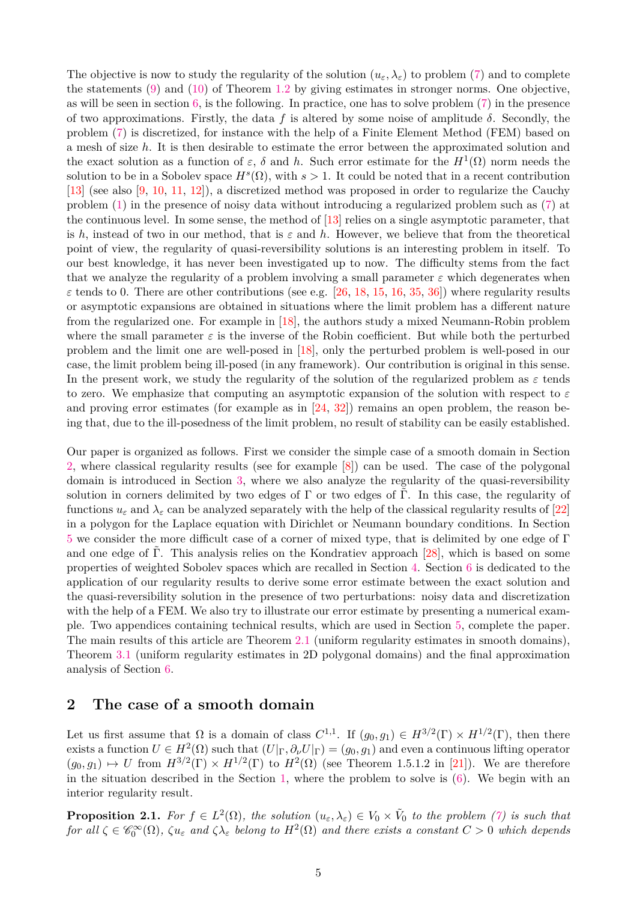The objective is now to study the regularity of the solution  $(u_{\varepsilon}, \lambda_{\varepsilon})$  to problem [\(7\)](#page-3-1) and to complete the statements  $(9)$  and  $(10)$  of Theorem [1.2](#page-3-4) by giving estimates in stronger norms. One objective, as will be seen in section [6,](#page-24-0) is the following. In practice, one has to solve problem [\(7\)](#page-3-1) in the presence of two approximations. Firstly, the data  $f$  is altered by some noise of amplitude  $\delta$ . Secondly, the problem [\(7\)](#page-3-1) is discretized, for instance with the help of a Finite Element Method (FEM) based on a mesh of size *h*. It is then desirable to estimate the error between the approximated solution and the exact solution as a function of  $\varepsilon$ ,  $\delta$  and  $h$ . Such error estimate for the  $H^1(\Omega)$  norm needs the solution to be in a Sobolev space  $H^s(\Omega)$ , with  $s > 1$ . It could be noted that in a recent contribution [\[13\]](#page-33-4) (see also [\[9,](#page-33-5) [10,](#page-33-6) [11,](#page-33-7) [12\]](#page-33-8)), a discretized method was proposed in order to regularize the Cauchy problem [\(1\)](#page-0-1) in the presence of noisy data without introducing a regularized problem such as [\(7\)](#page-3-1) at the continuous level. In some sense, the method of [\[13\]](#page-33-4) relies on a single asymptotic parameter, that is *h*, instead of two in our method, that is  $\varepsilon$  and *h*. However, we believe that from the theoretical point of view, the regularity of quasi-reversibility solutions is an interesting problem in itself. To our best knowledge, it has never been investigated up to now. The difficulty stems from the fact that we analyze the regularity of a problem involving a small parameter  $\varepsilon$  which degenerates when  $\varepsilon$  tends to 0. There are other contributions (see e.g. [\[26,](#page-33-9) [18,](#page-33-10) [15,](#page-33-11) [16,](#page-33-12) [35,](#page-34-0) [36\]](#page-34-1)) where regularity results or asymptotic expansions are obtained in situations where the limit problem has a different nature from the regularized one. For example in [\[18\]](#page-33-10), the authors study a mixed Neumann-Robin problem where the small parameter  $\varepsilon$  is the inverse of the Robin coefficient. But while both the perturbed problem and the limit one are well-posed in [\[18\]](#page-33-10), only the perturbed problem is well-posed in our case, the limit problem being ill-posed (in any framework). Our contribution is original in this sense. In the present work, we study the regularity of the solution of the regularized problem as  $\varepsilon$  tends to zero. We emphasize that computing an asymptotic expansion of the solution with respect to *ε* and proving error estimates (for example as in  $[24, 32]$  $[24, 32]$  $[24, 32]$ ) remains an open problem, the reason being that, due to the ill-posedness of the limit problem, no result of stability can be easily established.

Our paper is organized as follows. First we consider the simple case of a smooth domain in Section [2,](#page-4-0) where classical regularity results (see for example [\[8\]](#page-33-15)) can be used. The case of the polygonal domain is introduced in Section [3,](#page-6-0) where we also analyze the regularity of the quasi-reversibility solution in corners delimited by two edges of  $\Gamma$  or two edges of  $\Gamma$ . In this case, the regularity of functions  $u_{\varepsilon}$  and  $\lambda_{\varepsilon}$  can be analyzed separately with the help of the classical regularity results of [\[22\]](#page-33-16) in a polygon for the Laplace equation with Dirichlet or Neumann boundary conditions. In Section [5](#page-12-0) we consider the more difficult case of a corner of mixed type, that is delimited by one edge of Γ and one edge of Γ. This analysis relies on the Kondratiev approach  $[28]$ , which is based on some properties of weighted Sobolev spaces which are recalled in Section [4.](#page-11-0) Section [6](#page-24-0) is dedicated to the application of our regularity results to derive some error estimate between the exact solution and the quasi-reversibility solution in the presence of two perturbations: noisy data and discretization with the help of a FEM. We also try to illustrate our error estimate by presenting a numerical example. Two appendices containing technical results, which are used in Section [5,](#page-12-0) complete the paper. The main results of this article are Theorem [2.1](#page-5-0) (uniform regularity estimates in smooth domains), Theorem [3.1](#page-7-0) (uniform regularity estimates in 2D polygonal domains) and the final approximation analysis of Section [6.](#page-24-0)

# <span id="page-4-0"></span>**2 The case of a smooth domain**

Let us first assume that  $\Omega$  is a domain of class  $C^{1,1}$ . If  $(g_0, g_1) \in H^{3/2}(\Gamma) \times H^{1/2}(\Gamma)$ , then there exists a function  $U \in H^2(\Omega)$  such that  $(U|_{\Gamma}, \partial_{\nu}U|_{\Gamma}) = (g_0, g_1)$  and even a continuous lifting operator  $(g_0, g_1) \mapsto U$  from  $H^{3/2}(\Gamma) \times H^{1/2}(\Gamma)$  to  $H^2(\Omega)$  (see Theorem 1.5.1.2 in [\[21\]](#page-33-18)). We are therefore in the situation described in the Section [1,](#page-0-2) where the problem to solve is [\(6\)](#page-3-0). We begin with an interior regularity result.

<span id="page-4-1"></span>**Proposition 2.1.** For  $f \in L^2(\Omega)$ , the solution  $(u_\varepsilon, \lambda_\varepsilon) \in V_0 \times V_0$  to the problem [\(7\)](#page-3-1) is such that  $for \ all \ \zeta \in \mathscr{C}_0^{\infty}(\Omega)$ ,  $\zeta u_{\varepsilon}$  and  $\zeta \lambda_{\varepsilon}$  belong to  $H^2(\Omega)$  and there exists a constant  $C > 0$  which depends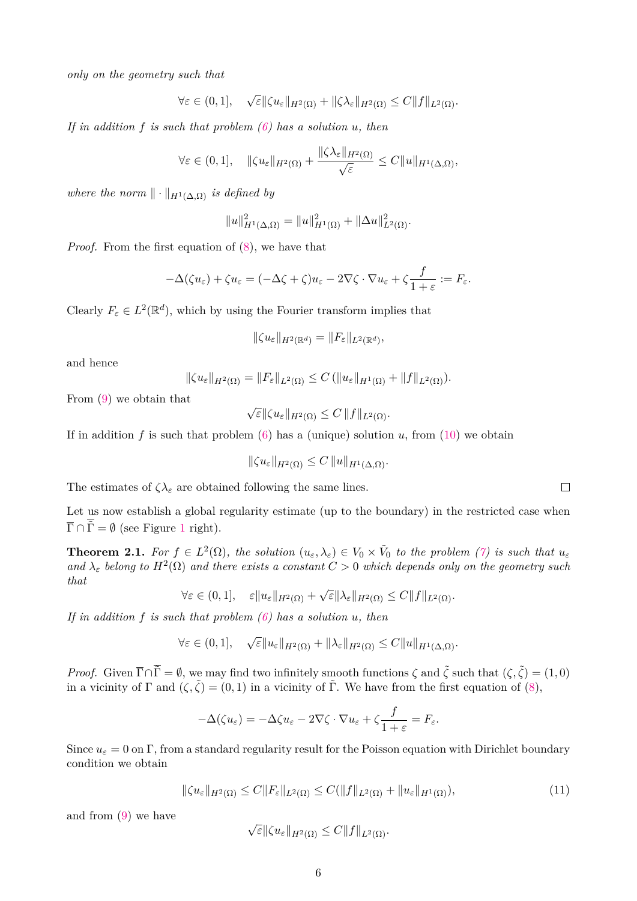*only on the geometry such that*

$$
\forall \varepsilon \in (0,1], \quad \sqrt{\varepsilon} \|\zeta u_{\varepsilon}\|_{H^2(\Omega)} + \|\zeta \lambda_{\varepsilon}\|_{H^2(\Omega)} \le C \|f\|_{L^2(\Omega)}.
$$

*If in addition f is such that problem [\(6\)](#page-3-0) has a solution u, then*

$$
\forall \varepsilon \in (0,1], \quad \|\zeta u_{\varepsilon}\|_{H^2(\Omega)} + \frac{\|\zeta \lambda_{\varepsilon}\|_{H^2(\Omega)}}{\sqrt{\varepsilon}} \le C \|u\|_{H^1(\Delta,\Omega)},
$$

*where the norm*  $\|\cdot\|_{H^1(\Lambda,\Omega)}$  *is defined by* 

$$
||u||_{H^1(\Delta,\Omega)}^2 = ||u||_{H^1(\Omega)}^2 + ||\Delta u||_{L^2(\Omega)}^2.
$$

*Proof.* From the first equation of [\(8\)](#page-3-5), we have that

$$
-\Delta(\zeta u_{\varepsilon}) + \zeta u_{\varepsilon} = (-\Delta \zeta + \zeta)u_{\varepsilon} - 2\nabla \zeta \cdot \nabla u_{\varepsilon} + \zeta \frac{f}{1+\varepsilon} := F_{\varepsilon}.
$$

Clearly  $F_{\varepsilon} \in L^2(\mathbb{R}^d)$ , which by using the Fourier transform implies that

$$
\|\zeta u_{\varepsilon}\|_{H^2(\mathbb{R}^d)}=\|F_{\varepsilon}\|_{L^2(\mathbb{R}^d)},
$$

and hence

$$
\|\zeta u_{\varepsilon}\|_{H^2(\Omega)} = \|F_{\varepsilon}\|_{L^2(\Omega)} \leq C \left( \|u_{\varepsilon}\|_{H^1(\Omega)} + \|f\|_{L^2(\Omega)} \right).
$$

From [\(9\)](#page-3-2) we obtain that

$$
\sqrt{\varepsilon} \|\zeta u_{\varepsilon}\|_{H^2(\Omega)} \leq C \|f\|_{L^2(\Omega)}.
$$

If in addition  $f$  is such that problem  $(6)$  has a (unique) solution  $u$ , from  $(10)$  we obtain

$$
\|\zeta u_{\varepsilon}\|_{H^2(\Omega)} \leq C \|u\|_{H^1(\Delta,\Omega)}.
$$

The estimates of  $\zeta \lambda_{\varepsilon}$  are obtained following the same lines.

Let us now establish a global regularity estimate (up to the boundary) in the restricted case when  $\overline{\Gamma} \cap \overline{\tilde{\Gamma}} = \emptyset$  (see Figure [1](#page-0-0) right).

<span id="page-5-0"></span>**Theorem 2.1.** For  $f \in L^2(\Omega)$ , the solution  $(u_{\varepsilon}, \lambda_{\varepsilon}) \in V_0 \times \tilde{V}_0$  to the problem [\(7\)](#page-3-1) is such that  $u_{\varepsilon}$ and  $\lambda_{\varepsilon}$  belong to  $H^2(\Omega)$  and there exists a constant  $C > 0$  which depends only on the geometry such *that* √

$$
\forall \varepsilon \in (0,1], \quad \varepsilon \|u_{\varepsilon}\|_{H^2(\Omega)} + \sqrt{\varepsilon} \|\lambda_{\varepsilon}\|_{H^2(\Omega)} \leq C \|f\|_{L^2(\Omega)}.
$$

*If in addition f is such that problem [\(6\)](#page-3-0) has a solution u, then*

$$
\forall \varepsilon \in (0,1], \quad \sqrt{\varepsilon} \|u_{\varepsilon}\|_{H^2(\Omega)} + \|\lambda_{\varepsilon}\|_{H^2(\Omega)} \le C \|u\|_{H^1(\Delta,\Omega)}.
$$

*Proof.* Given  $\overline{\Gamma} \cap \overline{\tilde{\Gamma}} = \emptyset$ , we may find two infinitely smooth functions  $\zeta$  and  $\tilde{\zeta}$  such that  $(\zeta, \tilde{\zeta}) = (1, 0)$ in a vicinity of  $\Gamma$  and  $(\zeta, \tilde{\zeta}) = (0, 1)$  in a vicinity of  $\tilde{\Gamma}$ . We have from the first equation of [\(8\)](#page-3-5),

$$
-\Delta(\zeta u_{\varepsilon}) = -\Delta\zeta u_{\varepsilon} - 2\nabla\zeta \cdot \nabla u_{\varepsilon} + \zeta \frac{f}{1+\varepsilon} = F_{\varepsilon}.
$$

Since  $u_{\varepsilon} = 0$  on Γ, from a standard regularity result for the Poisson equation with Dirichlet boundary condition we obtain

<span id="page-5-1"></span>
$$
\|\zeta u_{\varepsilon}\|_{H^{2}(\Omega)} \leq C \|F_{\varepsilon}\|_{L^{2}(\Omega)} \leq C (\|f\|_{L^{2}(\Omega)} + \|u_{\varepsilon}\|_{H^{1}(\Omega)}),
$$
\n(11)

and from [\(9\)](#page-3-2) we have

$$
\sqrt{\varepsilon} \|\zeta u_{\varepsilon}\|_{H^2(\Omega)} \leq C \|f\|_{L^2(\Omega)}.
$$

 $\Box$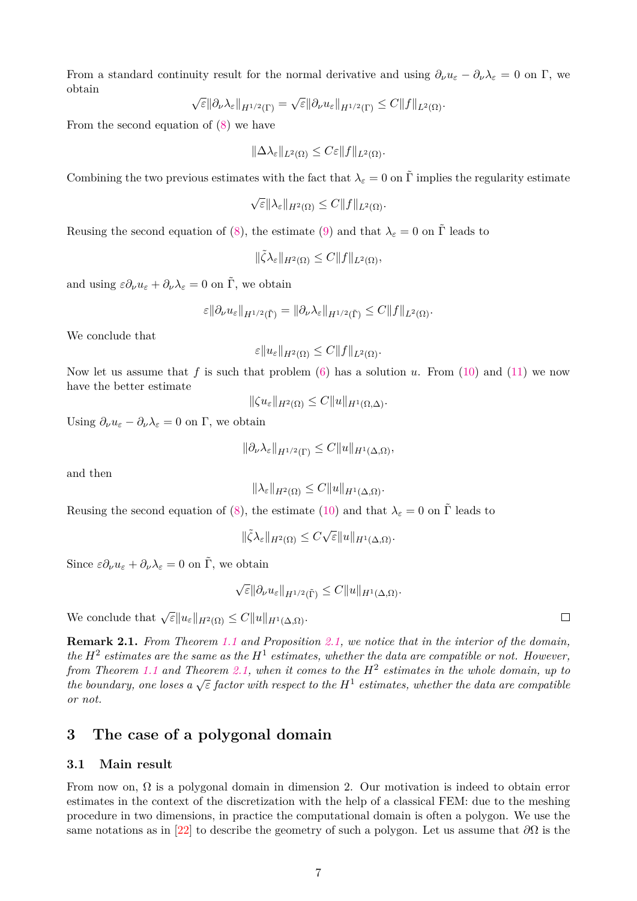From a standard continuity result for the normal derivative and using  $\partial_{\nu}u_{\varepsilon} - \partial_{\nu}\lambda_{\varepsilon} = 0$  on  $\Gamma$ , we obtain √ √

$$
\sqrt{\varepsilon} \|\partial_\nu \lambda_\varepsilon\|_{H^{1/2}(\Gamma)} = \sqrt{\varepsilon} \|\partial_\nu u_\varepsilon\|_{H^{1/2}(\Gamma)} \leq C \|f\|_{L^2(\Omega)}.
$$

From the second equation of [\(8\)](#page-3-5) we have

$$
\|\Delta\lambda_{\varepsilon}\|_{L^2(\Omega)} \leq C\varepsilon \|f\|_{L^2(\Omega)}.
$$

Combining the two previous estimates with the fact that  $\lambda_{\varepsilon} = 0$  on  $\tilde{\Gamma}$  implies the regularity estimate

$$
\sqrt{\varepsilon} \|\lambda_{\varepsilon}\|_{H^2(\Omega)} \leq C \|f\|_{L^2(\Omega)}.
$$

Reusing the second equation of [\(8\)](#page-3-5), the estimate [\(9\)](#page-3-2) and that  $\lambda_{\varepsilon} = 0$  on  $\tilde{\Gamma}$  leads to

$$
\|\tilde{\zeta}\lambda_{\varepsilon}\|_{H^2(\Omega)} \leq C \|f\|_{L^2(\Omega)},
$$

and using  $\varepsilon \partial_\nu u_\varepsilon + \partial_\nu \lambda_\varepsilon = 0$  on  $\tilde{\Gamma}$ , we obtain

$$
\varepsilon \|\partial_{\nu} u_{\varepsilon}\|_{H^{1/2}(\tilde{\Gamma})} = \|\partial_{\nu} \lambda_{\varepsilon}\|_{H^{1/2}(\tilde{\Gamma})} \leq C \|f\|_{L^2(\Omega)}.
$$

We conclude that

$$
\varepsilon \|u_{\varepsilon}\|_{H^2(\Omega)} \leq C \|f\|_{L^2(\Omega)}.
$$

Now let us assume that *f* is such that problem [\(6\)](#page-3-0) has a solution *u*. From [\(10\)](#page-3-3) and [\(11\)](#page-5-1) we now have the better estimate

 $\|\zeta u_{\varepsilon}\|_{H^2(\Omega)} \leq C \|u\|_{H^1(\Omega,\Lambda)}.$ 

Using  $\partial_{\nu}u_{\varepsilon} - \partial_{\nu}\lambda_{\varepsilon} = 0$  on  $\Gamma$ , we obtain

$$
\|\partial_{\nu}\lambda_{\varepsilon}\|_{H^{1/2}(\Gamma)} \leq C \|u\|_{H^1(\Delta,\Omega)},
$$

and then

$$
\|\lambda_{\varepsilon}\|_{H^2(\Omega)} \leq C \|u\|_{H^1(\Delta,\Omega)}.
$$

Reusing the second equation of [\(8\)](#page-3-5), the estimate [\(10\)](#page-3-3) and that  $\lambda_{\varepsilon} = 0$  on  $\tilde{\Gamma}$  leads to

$$
\|\tilde{\zeta}\lambda_{\varepsilon}\|_{H^2(\Omega)} \le C\sqrt{\varepsilon} \|u\|_{H^1(\Delta,\Omega)}.
$$

Since  $\varepsilon \partial_\nu u_\varepsilon + \partial_\nu \lambda_\varepsilon = 0$  on  $\tilde{\Gamma}$ , we obtain

√  $\epsilon$ <sup>*K*</sup> $\partial_\nu u_\varepsilon$ <sub>*H*<sup>1/2</sup>(Γ)  $\leq C$ <sup>*M*</sup> $||u||$ <sub>*H*<sup>1</sup>( $\Delta$ , $\Omega$ )</sub>.</sub>

We conclude that  $\sqrt{\varepsilon} \|u_{\varepsilon}\|_{H^2(\Omega)} \leq C \|u\|_{H^1(\Delta,\Omega)}$ .

**Remark 2.1.** *From Theorem [1.1](#page-1-1) and Proposition [2.1,](#page-4-1) we notice that in the interior of the domain, the*  $H^2$  estimates are the same as the  $H^1$  estimates, whether the data are compatible or not. However, *from Theorem [1.1](#page-1-1) and Theorem [2.1,](#page-5-0) when it comes to the H*<sup>2</sup> *estimates in the whole domain, up to the boundary, one loses a*  $\sqrt{\varepsilon}$  *factor with respect to the*  $H^1$  *estimates, whether the data are compatible*<br>*the boundary, one loses a*  $\sqrt{\varepsilon}$  *factor with respect to the*  $H^1$  *estimates, whether the data a or not.*

# <span id="page-6-0"></span>**3 The case of a polygonal domain**

### **3.1 Main result**

From now on,  $\Omega$  is a polygonal domain in dimension 2. Our motivation is indeed to obtain error estimates in the context of the discretization with the help of a classical FEM: due to the meshing procedure in two dimensions, in practice the computational domain is often a polygon. We use the same notations as in [\[22\]](#page-33-16) to describe the geometry of such a polygon. Let us assume that *∂*Ω is the

 $\Box$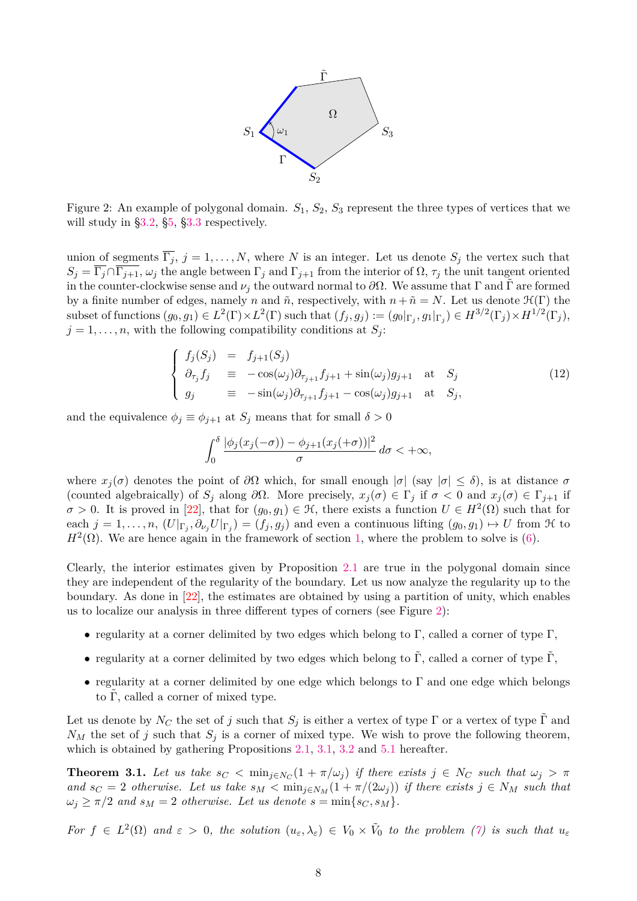

<span id="page-7-1"></span>Figure 2: An example of polygonal domain. *S*1, *S*2, *S*<sup>3</sup> represent the three types of vertices that we will study in [§3.2,](#page-8-0) [§5,](#page-12-0) [§3.3](#page-9-0) respectively.

union of segments  $\overline{\Gamma_j}$ ,  $j = 1, ..., N$ , where *N* is an integer. Let us denote  $S_j$  the vertex such that  $S_j = \overline{\Gamma_j} \cap \overline{\Gamma_{j+1}}$ ,  $\omega_j$  the angle between  $\Gamma_j$  and  $\Gamma_{j+1}$  from the interior of  $\Omega$ ,  $\tau_j$  the unit tangent oriented in the counter-clockwise sense and  $\nu_j$  the outward normal to  $\partial\Omega$ . We assume that  $\Gamma$  and  $\tilde{\Gamma}$  are formed by a finite number of edges, namely *n* and  $\tilde{n}$ , respectively, with  $n + \tilde{n} = N$ . Let us denote  $\mathcal{H}(\Gamma)$  the subset of functions  $(g_0, g_1) \in L^2(\Gamma) \times L^2(\Gamma)$  such that  $(f_j, g_j) := (g_0|_{\Gamma_j}, g_1|_{\Gamma_j}) \in H^{3/2}(\Gamma_j) \times H^{1/2}(\Gamma_j)$ ,  $j = 1, \ldots, n$ , with the following compatibility conditions at  $S_j$ :

$$
\begin{cases}\nf_j(S_j) = f_{j+1}(S_j) \\
\partial_{\tau_j} f_j = -\cos(\omega_j)\partial_{\tau_{j+1}} f_{j+1} + \sin(\omega_j)g_{j+1} \text{ at } S_j \\
g_j = -\sin(\omega_j)\partial_{\tau_{j+1}} f_{j+1} - \cos(\omega_j)g_{j+1} \text{ at } S_j,\n\end{cases}
$$
\n(12)

and the equivalence  $\phi_j \equiv \phi_{j+1}$  at  $S_j$  means that for small  $\delta > 0$ 

$$
\int_0^\delta \frac{|\phi_j(x_j(-\sigma)) - \phi_{j+1}(x_j(+\sigma))|^2}{\sigma} \, d\sigma < +\infty,
$$

where  $x_j(\sigma)$  denotes the point of  $\partial\Omega$  which, for small enough  $|\sigma|$  (say  $|\sigma| \leq \delta$ ), is at distance  $\sigma$ (counted algebraically) of  $S_j$  along  $\partial\Omega$ . More precisely,  $x_j(\sigma) \in \Gamma_j$  if  $\sigma < 0$  and  $x_j(\sigma) \in \Gamma_{j+1}$  if  $\sigma > 0$ . It is proved in [\[22\]](#page-33-16), that for  $(g_0, g_1) \in \mathcal{H}$ , there exists a function  $U \in H^2(\Omega)$  such that for each  $j = 1, \ldots, n$ ,  $(U|_{\Gamma_j}, \partial_{\nu_j} U|_{\Gamma_j}) = (f_j, g_j)$  and even a continuous lifting  $(g_0, g_1) \mapsto U$  from H to  $H^2(\Omega)$ . We are hence again in the framework of section [1,](#page-0-2) where the problem to solve is [\(6\)](#page-3-0).

Clearly, the interior estimates given by Proposition [2.1](#page-4-1) are true in the polygonal domain since they are independent of the regularity of the boundary. Let us now analyze the regularity up to the boundary. As done in [\[22\]](#page-33-16), the estimates are obtained by using a partition of unity, which enables us to localize our analysis in three different types of corners (see Figure [2\)](#page-7-1):

- regularity at a corner delimited by two edges which belong to  $\Gamma$ , called a corner of type  $\Gamma$ ,
- regularity at a corner delimited by two edges which belong to  $\tilde{\Gamma}$ , called a corner of type  $\tilde{\Gamma}$ ,
- regularity at a corner delimited by one edge which belongs to  $\Gamma$  and one edge which belongs to  $\Gamma$ , called a corner of mixed type.

Let us denote by  $N_C$  the set of *j* such that  $S_j$  is either a vertex of type  $\Gamma$  or a vertex of type  $\tilde{\Gamma}$  and  $N_M$  the set of *j* such that  $S_j$  is a corner of mixed type. We wish to prove the following theorem, which is obtained by gathering Propositions [2.1,](#page-4-1) [3.1,](#page-8-1) [3.2](#page-9-1) and [5.1](#page-22-0) hereafter.

<span id="page-7-0"></span>**Theorem 3.1.** Let us take  $s_C < \min_{j \in N_C} (1 + \pi/\omega_j)$  if there exists  $j \in N_C$  such that  $\omega_j > \pi$ *and*  $s_C = 2$  *otherwise. Let us take*  $s_M < \min_{j \in N_M} (1 + \pi/(2\omega_j))$  *if there exists*  $j \in N_M$  *such that*  $\omega_j \geq \pi/2$  *and*  $s_M = 2$  *otherwise. Let us denote*  $s = \min\{s_C, s_M\}.$ 

*For*  $f \in L^2(\Omega)$  *and*  $\varepsilon > 0$ *, the solution*  $(u_{\varepsilon}, \lambda_{\varepsilon}) \in V_0 \times V_0$  *to the problem [\(7\)](#page-3-1) is such that*  $u_{\varepsilon}$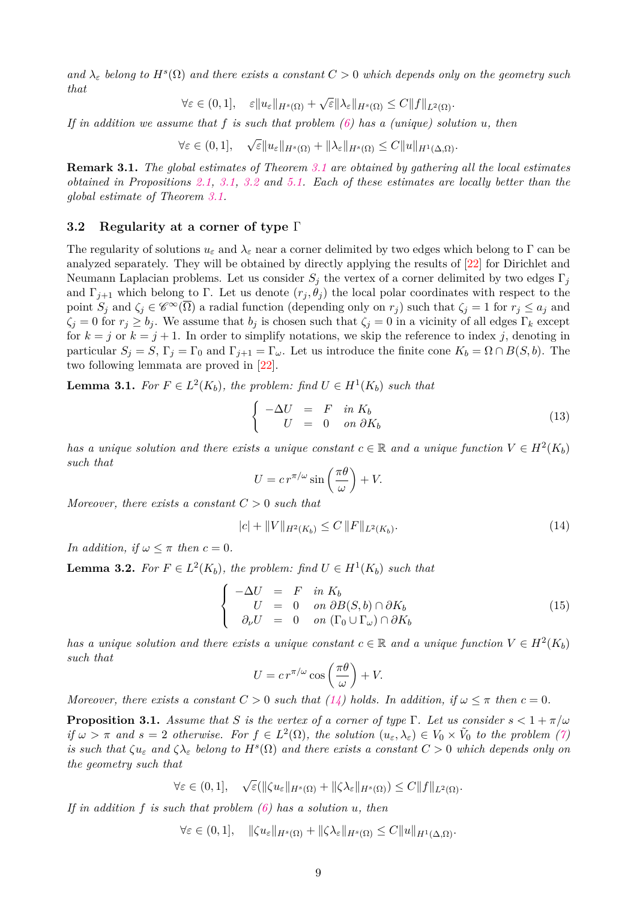*and*  $\lambda_{\varepsilon}$  *belong to*  $H^{s}(\Omega)$  *and there exists a constant*  $C > 0$  *which depends only on the geometry such that* √

$$
\forall \varepsilon \in (0,1], \quad \varepsilon \|u_{\varepsilon}\|_{H^{s}(\Omega)} + \sqrt{\varepsilon} \|\lambda_{\varepsilon}\|_{H^{s}(\Omega)} \leq C \|f\|_{L^{2}(\Omega)}.
$$

*If in addition we assume that f is such that problem [\(6\)](#page-3-0) has a (unique) solution u, then*

∀*ε* ∈ (0*,* 1]*,* √  $\epsilon$ <sup>*K*</sup><sub>*H*<sup>*s*</sup>(Ω) + || $\lambda$ <sub>*ε*</sub>|*H*<sup>*s*</sup>(Ω) ≤ *C*|| $u$ || $_{H^1(\Delta,\Omega)}$ .</sub>

**Remark 3.1.** *The global estimates of Theorem [3.1](#page-7-0) are obtained by gathering all the local estimates obtained in Propositions [2.1,](#page-4-1) [3.1,](#page-8-1) [3.2](#page-9-1) and [5.1.](#page-22-0) Each of these estimates are locally better than the global estimate of Theorem [3.1.](#page-7-0)*

#### <span id="page-8-0"></span>**3.2 Regularity at a corner of type** Γ

The regularity of solutions  $u_{\varepsilon}$  and  $\lambda_{\varepsilon}$  near a corner delimited by two edges which belong to  $\Gamma$  can be analyzed separately. They will be obtained by directly applying the results of [\[22\]](#page-33-16) for Dirichlet and Neumann Laplacian problems. Let us consider  $S_i$  the vertex of a corner delimited by two edges  $\Gamma_i$ and  $\Gamma_{j+1}$  which belong to  $\Gamma$ . Let us denote  $(r_j, \theta_j)$  the local polar coordinates with respect to the point  $S_j$  and  $\zeta_j \in \mathscr{C}^\infty(\overline{\Omega})$  a radial function (depending only on  $r_j$ ) such that  $\zeta_j = 1$  for  $r_j \leq a_j$  and  $\zeta_i = 0$  for  $r_i \geq b_i$ . We assume that  $b_j$  is chosen such that  $\zeta_i = 0$  in a vicinity of all edges  $\Gamma_k$  except for  $k = j$  or  $k = j + 1$ . In order to simplify notations, we skip the reference to index *j*, denoting in particular  $S_j = S$ ,  $\Gamma_j = \Gamma_0$  and  $\Gamma_{j+1} = \Gamma_\omega$ . Let us introduce the finite cone  $K_b = \Omega \cap B(S, b)$ . The two following lemmata are proved in [\[22\]](#page-33-16).

<span id="page-8-4"></span>**Lemma 3.1.** For  $F \in L^2(K_b)$ , the problem: find  $U \in H^1(K_b)$  such that

<span id="page-8-3"></span>
$$
\begin{cases}\n-\Delta U = F & \text{in } K_b \\
U = 0 & \text{on } \partial K_b\n\end{cases}
$$
\n(13)

*has a unique solution and there exists a unique constant*  $c \in \mathbb{R}$  and a unique function  $V \in H^2(K_b)$ *such that*

$$
U = c r^{\pi/\omega} \sin\left(\frac{\pi\theta}{\omega}\right) + V.
$$

*Moreover, there exists a constant C >* 0 *such that*

<span id="page-8-2"></span>
$$
|c| + \|V\|_{H^2(K_b)} \le C \|F\|_{L^2(K_b)}.
$$
\n(14)

*In addition, if*  $\omega \leq \pi$  *then*  $c = 0$ *.* 

<span id="page-8-6"></span>**Lemma 3.2.** For  $F \in L^2(K_b)$ , the problem: find  $U \in H^1(K_b)$  such that

<span id="page-8-5"></span>
$$
\begin{cases}\n-\Delta U = F & \text{in } K_b \\
U = 0 & \text{on } \partial B(S, b) \cap \partial K_b \\
\partial_{\nu} U = 0 & \text{on } (\Gamma_0 \cup \Gamma_{\omega}) \cap \partial K_b\n\end{cases}
$$
\n(15)

*has a unique solution and there exists a unique constant*  $c \in \mathbb{R}$  and a unique function  $V \in H^2(K_b)$ *such that*

$$
U = c r^{\pi/\omega} \cos\left(\frac{\pi\theta}{\omega}\right) + V.
$$

*Moreover, there exists a constant*  $C > 0$  *such that* [\(14\)](#page-8-2) *holds. In addition, if*  $\omega \leq \pi$  *then*  $c = 0$ *.* 

<span id="page-8-1"></span>**Proposition 3.1.** *Assume that S is the vertex of a corner of type*  $\Gamma$ *. Let us consider*  $s < 1 + \pi/\omega$ *if*  $\omega > \pi$  *and*  $s = 2$  *otherwise. For*  $f \in L^2(\Omega)$ *, the solution*  $(u_\varepsilon, \lambda_\varepsilon) \in V_0 \times V_0$  *to the problem* [\(7\)](#page-3-1) *is such that*  $\zeta u_{\varepsilon}$  *and*  $\zeta \lambda_{\varepsilon}$  *belong to*  $H^{s}(\Omega)$  *and there exists a constant*  $C > 0$  *which depends only on the geometry such that*

$$
\forall \varepsilon \in (0,1], \quad \sqrt{\varepsilon}(\|\zeta u_{\varepsilon}\|_{H^s(\Omega)} + \|\zeta \lambda_{\varepsilon}\|_{H^s(\Omega)}) \leq C \|f\|_{L^2(\Omega)}.
$$

*If in addition f is such that problem [\(6\)](#page-3-0) has a solution u, then*

$$
\forall \varepsilon \in (0,1], \quad \|\zeta u_{\varepsilon}\|_{H^s(\Omega)} + \|\zeta \lambda_{\varepsilon}\|_{H^s(\Omega)} \leq C \|u\|_{H^1(\Delta,\Omega)}.
$$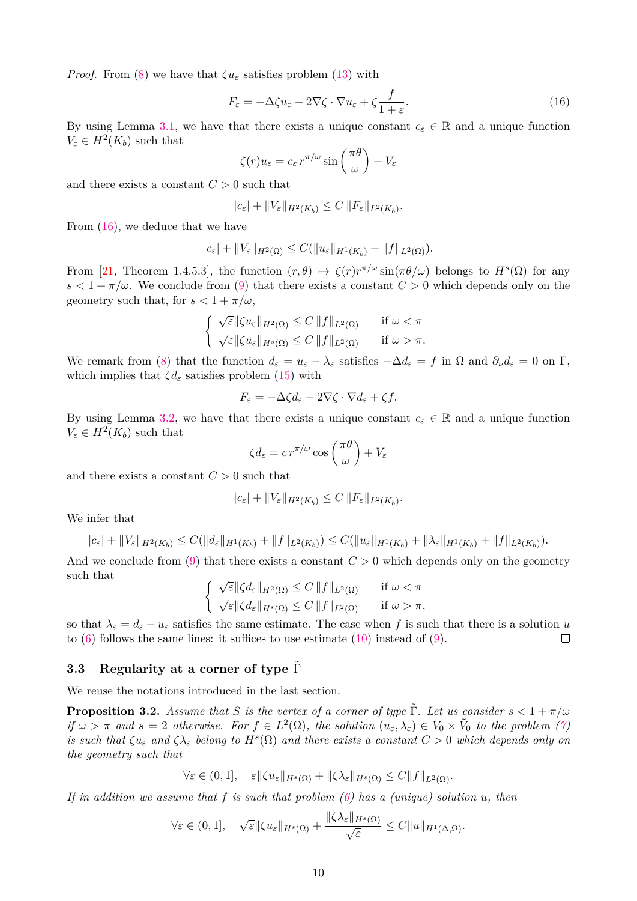*Proof.* From [\(8\)](#page-3-5) we have that  $\zeta u_{\varepsilon}$  satisfies problem [\(13\)](#page-8-3) with

<span id="page-9-2"></span>
$$
F_{\varepsilon} = -\Delta \zeta u_{\varepsilon} - 2\nabla \zeta \cdot \nabla u_{\varepsilon} + \zeta \frac{f}{1 + \varepsilon}.
$$
\n(16)

By using Lemma [3.1,](#page-8-4) we have that there exists a unique constant  $c_{\varepsilon} \in \mathbb{R}$  and a unique function  $V_{\varepsilon} \in H^2(K_b)$  such that

$$
\zeta(r)u_{\varepsilon}=c_{\varepsilon}r^{\pi/\omega}\sin\left(\frac{\pi\theta}{\omega}\right)+V_{\varepsilon}
$$

and there exists a constant *C >* 0 such that

$$
|c_{\varepsilon}| + \|V_{\varepsilon}\|_{H^2(K_b)} \leq C \|F_{\varepsilon}\|_{L^2(K_b)}.
$$

From [\(16\)](#page-9-2), we deduce that we have

$$
|c_{\varepsilon}| + ||V_{\varepsilon}||_{H^2(\Omega)} \leq C(||u_{\varepsilon}||_{H^1(K_b)} + ||f||_{L^2(\Omega)}).
$$

From [\[21,](#page-33-18) Theorem 1.4.5.3], the function  $(r, \theta) \mapsto \zeta(r)r^{\pi/\omega}\sin(\pi\theta/\omega)$  belongs to  $H^s(\Omega)$  for any  $s < 1 + \pi/\omega$ . We conclude from [\(9\)](#page-3-2) that there exists a constant  $C > 0$  which depends only on the geometry such that, for  $s < 1 + \pi/\omega$ ,

$$
\begin{cases} \n\sqrt{\varepsilon} \|\zeta u_{\varepsilon}\|_{H^2(\Omega)} \leq C \|f\|_{L^2(\Omega)} & \text{if } \omega < \pi\\ \n\sqrt{\varepsilon} \|\zeta u_{\varepsilon}\|_{H^s(\Omega)} \leq C \|f\|_{L^2(\Omega)} & \text{if } \omega > \pi. \n\end{cases}
$$

We remark from [\(8\)](#page-3-5) that the function  $d_{\varepsilon} = u_{\varepsilon} - \lambda_{\varepsilon}$  satisfies  $-\Delta d_{\varepsilon} = f$  in  $\Omega$  and  $\partial_{\nu} d_{\varepsilon} = 0$  on  $\Gamma$ , which implies that  $\zeta d_{\varepsilon}$  satisfies problem [\(15\)](#page-8-5) with

$$
F_{\varepsilon} = -\Delta \zeta d_{\varepsilon} - 2\nabla \zeta \cdot \nabla d_{\varepsilon} + \zeta f.
$$

By using Lemma [3.2,](#page-8-6) we have that there exists a unique constant  $c_{\varepsilon} \in \mathbb{R}$  and a unique function  $V_{\varepsilon} \in H^2(K_b)$  such that

$$
\zeta d_{\varepsilon} = c r^{\pi/\omega} \cos\left(\frac{\pi \theta}{\omega}\right) + V_{\varepsilon}
$$

and there exists a constant  $C > 0$  such that

$$
|c_{\varepsilon}| + \|V_{\varepsilon}\|_{H^2(K_b)} \le C \|F_{\varepsilon}\|_{L^2(K_b)}.
$$

We infer that

$$
|c_{\varepsilon}| + ||V_{\varepsilon}||_{H^{2}(K_{b})} \leq C(||d_{\varepsilon}||_{H^{1}(K_{b})} + ||f||_{L^{2}(K_{b})}) \leq C(||u_{\varepsilon}||_{H^{1}(K_{b})} + ||\lambda_{\varepsilon}||_{H^{1}(K_{b})} + ||f||_{L^{2}(K_{b})}).
$$

And we conclude from  $(9)$  that there exists a constant  $C > 0$  which depends only on the geometry such that

$$
\begin{cases} \n\sqrt{\varepsilon} \|\zeta d_{\varepsilon}\|_{H^2(\Omega)} \leq C \|f\|_{L^2(\Omega)} & \text{if } \omega < \pi\\ \n\sqrt{\varepsilon} \|\zeta d_{\varepsilon}\|_{H^s(\Omega)} \leq C \|f\|_{L^2(\Omega)} & \text{if } \omega > \pi, \n\end{cases}
$$

so that  $\lambda_{\varepsilon} = d_{\varepsilon} - u_{\varepsilon}$  satisfies the same estimate. The case when f is such that there is a solution *u* to  $(6)$  follows the same lines: it suffices to use estimate  $(10)$  instead of  $(9)$ .  $\Box$ 

# <span id="page-9-0"></span>**3.3 Regularity at a corner of type**  $\tilde{\Gamma}$

We reuse the notations introduced in the last section.

<span id="page-9-1"></span>**Proposition 3.2.** *Assume that S is the vertex of a corner of type*  $\tilde{\Gamma}$ *. Let us consider*  $s < 1 + \pi/\omega$ *if*  $\omega > \pi$  *and*  $s = 2$  *otherwise. For*  $f \in L^2(\Omega)$ *, the solution*  $(u_{\varepsilon}, \lambda_{\varepsilon}) \in V_0 \times V_0$  *to the problem* [\(7\)](#page-3-1) *is such that*  $\zeta u_{\varepsilon}$  *and*  $\zeta \lambda_{\varepsilon}$  *belong to*  $H^{s}(\Omega)$  *and there exists a constant*  $C > 0$  *which depends only on the geometry such that*

$$
\forall \varepsilon \in (0,1], \quad \varepsilon \|\zeta u_{\varepsilon}\|_{H^s(\Omega)} + \|\zeta \lambda_{\varepsilon}\|_{H^s(\Omega)} \leq C \|f\|_{L^2(\Omega)}.
$$

*If in addition we assume that f is such that problem [\(6\)](#page-3-0) has a (unique) solution u, then*

$$
\forall \varepsilon \in (0,1], \quad \sqrt{\varepsilon} \|\zeta u_{\varepsilon}\|_{H^{s}(\Omega)} + \frac{\|\zeta \lambda_{\varepsilon}\|_{H^{s}(\Omega)}}{\sqrt{\varepsilon}} \leq C \|u\|_{H^{1}(\Delta,\Omega)}.
$$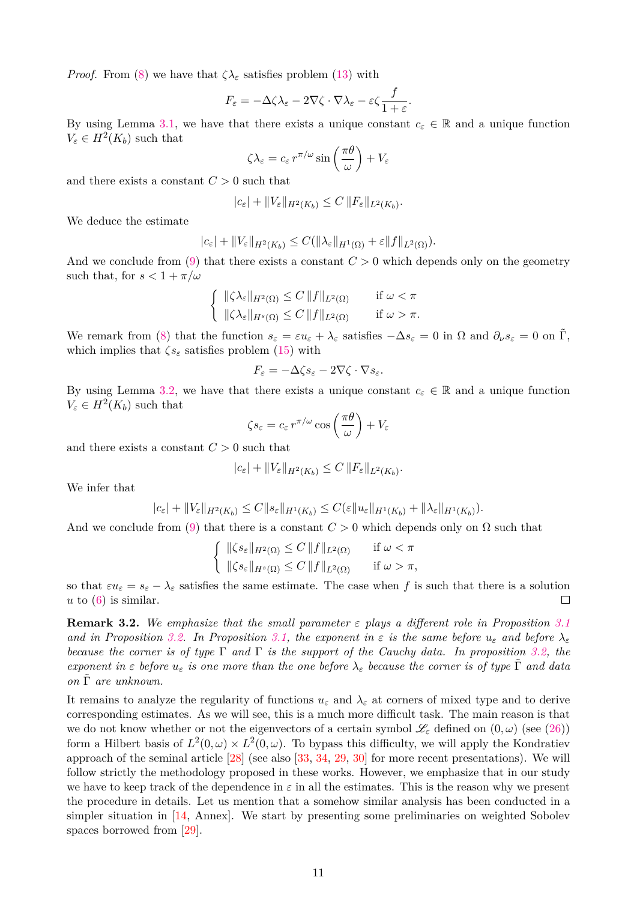*Proof.* From [\(8\)](#page-3-5) we have that  $\zeta \lambda_{\varepsilon}$  satisfies problem [\(13\)](#page-8-3) with

$$
F_{\varepsilon} = -\Delta \zeta \lambda_{\varepsilon} - 2\nabla \zeta \cdot \nabla \lambda_{\varepsilon} - \varepsilon \zeta \frac{f}{1+\varepsilon}.
$$

By using Lemma [3.1,](#page-8-4) we have that there exists a unique constant  $c_{\varepsilon} \in \mathbb{R}$  and a unique function  $V_{\varepsilon} \in H^2(K_b)$  such that

$$
\zeta \lambda_{\varepsilon} = c_{\varepsilon} r^{\pi/\omega} \sin \left( \frac{\pi \theta}{\omega} \right) + V_{\varepsilon}
$$

and there exists a constant  $C > 0$  such that

$$
|c_{\varepsilon}| + \|V_{\varepsilon}\|_{H^2(K_b)} \le C \|F_{\varepsilon}\|_{L^2(K_b)}.
$$

We deduce the estimate

$$
|c_{\varepsilon}| + ||V_{\varepsilon}||_{H^2(K_b)} \leq C(||\lambda_{\varepsilon}||_{H^1(\Omega)} + \varepsilon||f||_{L^2(\Omega)}).
$$

And we conclude from [\(9\)](#page-3-2) that there exists a constant  $C > 0$  which depends only on the geometry such that, for  $s < 1 + \pi/\omega$ 

$$
\left\{ \begin{array}{ll} \|\zeta\lambda_{\varepsilon}\|_{H^2(\Omega)} \le C \, \|f\|_{L^2(\Omega)} & \text{if } \omega < \pi \\ \|\zeta\lambda_{\varepsilon}\|_{H^s(\Omega)} \le C \, \|f\|_{L^2(\Omega)} & \text{if } \omega > \pi. \end{array} \right.
$$

We remark from [\(8\)](#page-3-5) that the function  $s_{\varepsilon} = \varepsilon u_{\varepsilon} + \lambda_{\varepsilon}$  satisfies  $-\Delta s_{\varepsilon} = 0$  in  $\Omega$  and  $\partial_{\nu} s_{\varepsilon} = 0$  on  $\Gamma$ , which implies that  $\zeta s_{\varepsilon}$  satisfies problem [\(15\)](#page-8-5) with

$$
F_{\varepsilon} = -\Delta \zeta s_{\varepsilon} - 2\nabla \zeta \cdot \nabla s_{\varepsilon}.
$$

By using Lemma [3.2,](#page-8-6) we have that there exists a unique constant  $c_{\varepsilon} \in \mathbb{R}$  and a unique function  $V_{\varepsilon} \in H^2(K_b)$  such that

$$
\zeta s_{\varepsilon} = c_{\varepsilon} r^{\pi/\omega} \cos\left(\frac{\pi \theta}{\omega}\right) + V_{\varepsilon}
$$

and there exists a constant  $C > 0$  such that

$$
|c_{\varepsilon}| + \|V_{\varepsilon}\|_{H^2(K_b)} \leq C \|F_{\varepsilon}\|_{L^2(K_b)}.
$$

We infer that

$$
|c_{\varepsilon}| + ||V_{\varepsilon}||_{H^2(K_b)} \leq C ||s_{\varepsilon}||_{H^1(K_b)} \leq C(\varepsilon ||u_{\varepsilon}||_{H^1(K_b)} + ||\lambda_{\varepsilon}||_{H^1(K_b)}).
$$

And we conclude from [\(9\)](#page-3-2) that there is a constant  $C > 0$  which depends only on  $\Omega$  such that

$$
\left\{ \begin{array}{ll} \|\zeta s_{\varepsilon}\|_{H^2(\Omega)} \le C \|f\|_{L^2(\Omega)} & \text{if } \omega < \pi \\ \|\zeta s_{\varepsilon}\|_{H^s(\Omega)} \le C \|f\|_{L^2(\Omega)} & \text{if } \omega > \pi, \end{array} \right.
$$

so that  $\varepsilon u_{\varepsilon} = s_{\varepsilon} - \lambda_{\varepsilon}$  satisfies the same estimate. The case when f is such that there is a solution  $u$  to  $(6)$  is similar.  $\Box$ 

**Remark 3.2.** *We emphasize that the small parameter ε plays a different role in Proposition [3.1](#page-8-1) and in Proposition* [3.2.](#page-9-1) In Proposition [3.1,](#page-8-1) the exponent in  $\varepsilon$  is the same before  $u_{\varepsilon}$  and before  $\lambda_{\varepsilon}$ *because the corner is of type* Γ *and* Γ *is the support of the Cauchy data. In proposition [3.2,](#page-9-1) the exponent in*  $\varepsilon$  *before*  $u_{\varepsilon}$  *is one more than the one before*  $\lambda_{\varepsilon}$  *because the corner is of type*  $\tilde{\Gamma}$  *and data on* Γ˜ *are unknown.*

It remains to analyze the regularity of functions  $u_{\varepsilon}$  and  $\lambda_{\varepsilon}$  at corners of mixed type and to derive corresponding estimates. As we will see, this is a much more difficult task. The main reason is that we do not know whether or not the eigenvectors of a certain symbol L*<sup>ε</sup>* defined on (0*, ω*) (see [\(26\)](#page-13-0)) form a Hilbert basis of  $L^2(0, \omega) \times L^2(0, \omega)$ . To bypass this difficulty, we will apply the Kondratiev approach of the seminal article [\[28\]](#page-33-17) (see also [\[33,](#page-34-2) [34,](#page-34-3) [29,](#page-33-19) [30\]](#page-33-20) for more recent presentations). We will follow strictly the methodology proposed in these works. However, we emphasize that in our study we have to keep track of the dependence in  $\varepsilon$  in all the estimates. This is the reason why we present the procedure in details. Let us mention that a somehow similar analysis has been conducted in a simpler situation in [\[14,](#page-33-21) Annex]. We start by presenting some preliminaries on weighted Sobolev spaces borrowed from [\[29\]](#page-33-19).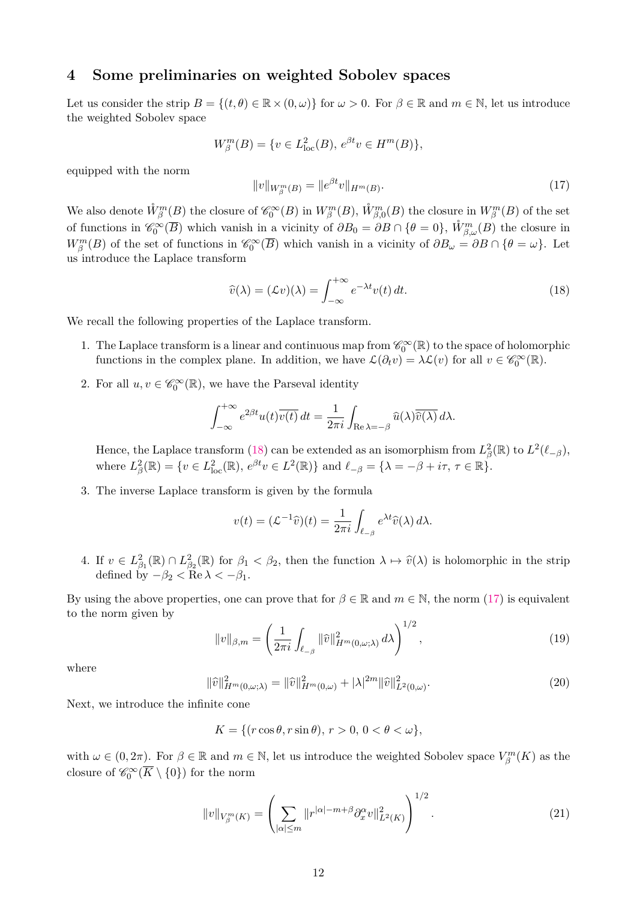### <span id="page-11-0"></span>**4 Some preliminaries on weighted Sobolev spaces**

Let us consider the strip  $B = \{(t, \theta) \in \mathbb{R} \times (0, \omega)\}\$  for  $\omega > 0$ . For  $\beta \in \mathbb{R}$  and  $m \in \mathbb{N}$ , let us introduce the weighted Sobolev space

$$
W_{\beta}^{m}(B) = \{ v \in L_{\text{loc}}^{2}(B), e^{\beta t}v \in H^{m}(B) \},
$$

equipped with the norm

<span id="page-11-2"></span>
$$
||v||_{W_{\beta}^m(B)} = ||e^{\beta t}v||_{H^m(B)}.
$$
\n(17)

We also denote  $\mathring{W}_{\beta}^m(B)$  the closure of  $\mathscr{C}_0^{\infty}(B)$  in  $W_{\beta}^m(B)$ ,  $\mathring{W}_{\beta,0}^m(B)$  the closure in  $W_{\beta}^m(B)$  of the set of functions in  $\mathscr{C}_0^{\infty}(\overline{B})$  which vanish in a vicinity of  $\partial B_0 = \partial B \cap {\theta = 0}$ ,  $\mathring{W}_{\beta,\omega}^m(B)$  the closure in  $W_{\beta}^{m}(B)$  of the set of functions in  $\mathscr{C}_{0}^{\infty}(\overline{B})$  which vanish in a vicinity of  $\partial B_{\omega} = \partial B \cap \{\theta = \omega\}$ . Let us introduce the Laplace transform

<span id="page-11-1"></span>
$$
\widehat{v}(\lambda) = (\mathcal{L}v)(\lambda) = \int_{-\infty}^{+\infty} e^{-\lambda t} v(t) dt.
$$
\n(18)

We recall the following properties of the Laplace transform.

- 1. The Laplace transform is a linear and continuous map from  $\mathscr{C}_0^{\infty}(\mathbb{R})$  to the space of holomorphic functions in the complex plane. In addition, we have  $\mathcal{L}(\partial_t v) = \lambda \mathcal{L}(v)$  for all  $v \in \mathscr{C}_0^{\infty}(\mathbb{R})$ .
- 2. For all  $u, v \in \mathscr{C}_0^{\infty}(\mathbb{R})$ , we have the Parseval identity

$$
\int_{-\infty}^{+\infty} e^{2\beta t} u(t) \overline{v(t)} dt = \frac{1}{2\pi i} \int_{\text{Re }\lambda = -\beta} \widehat{u}(\lambda) \overline{\widehat{v}(\lambda)} d\lambda.
$$

Hence, the Laplace transform [\(18\)](#page-11-1) can be extended as an isomorphism from  $L^2(\mathbb{R})$  to  $L^2(\ell_{-\beta})$ , where  $L^2_{\beta}(\mathbb{R}) = \{v \in L^2_{\text{loc}}(\mathbb{R}), e^{\beta t}v \in L^2(\mathbb{R})\}$  and  $\ell_{-\beta} = \{\lambda = -\beta + i\tau, \tau \in \mathbb{R}\}.$ 

3. The inverse Laplace transform is given by the formula

$$
v(t) = (\mathcal{L}^{-1}\widehat{v})(t) = \frac{1}{2\pi i} \int_{\ell_{-\beta}} e^{\lambda t} \widehat{v}(\lambda) d\lambda.
$$

4. If  $v \in L^2_{\beta_1}(\mathbb{R}) \cap L^2_{\beta_2}(\mathbb{R})$  for  $\beta_1 < \beta_2$ , then the function  $\lambda \mapsto \hat{v}(\lambda)$  is holomorphic in the strip defined by  $-\beta_2 < \text{Re }\lambda < -\beta_1$ .

By using the above properties, one can prove that for  $\beta \in \mathbb{R}$  and  $m \in \mathbb{N}$ , the norm [\(17\)](#page-11-2) is equivalent to the norm given by

<span id="page-11-3"></span>
$$
||v||_{\beta,m} = \left(\frac{1}{2\pi i} \int_{\ell_{-\beta}} ||\widehat{v}||_{H^m(0,\omega;\lambda)}^2 d\lambda\right)^{1/2},\tag{19}
$$

where

$$
\|\hat{v}\|_{H^m(0,\omega;\lambda)}^2 = \|\hat{v}\|_{H^m(0,\omega)}^2 + |\lambda|^{2m} \|\hat{v}\|_{L^2(0,\omega)}^2.
$$
\n(20)

Next, we introduce the infinite cone

$$
K = \{ (r\cos\theta, r\sin\theta), r > 0, 0 < \theta < \omega \},\
$$

with  $\omega \in (0, 2\pi)$ . For  $\beta \in \mathbb{R}$  and  $m \in \mathbb{N}$ , let us introduce the weighted Sobolev space  $V_{\beta}^m(K)$  as the closure of  $\mathscr{C}_0^{\infty}(\overline{K} \setminus \{0\})$  for the norm

$$
||v||_{V_{\beta}^m(K)} = \left(\sum_{|\alpha| \le m} ||r^{|\alpha|-m+\beta} \partial_x^{\alpha} v||_{L^2(K)}^2\right)^{1/2}.
$$
 (21)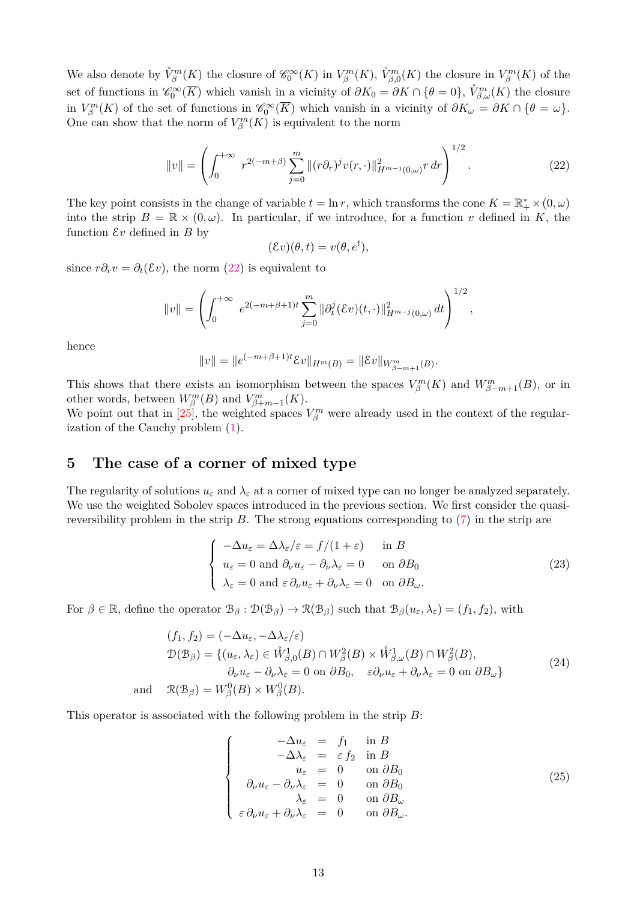We also denote by  $\mathring{V}_{\beta}^{m}(K)$  the closure of  $\mathscr{C}_{0}^{\infty}(K)$  in  $V_{\beta}^{m}(K)$ ,  $\mathring{V}_{\beta,0}^{m}(K)$  the closure in  $V_{\beta}^{m}(K)$  of the set of functions in  $\mathscr{C}_0^{\infty}(\overline{K})$  which vanish in a vicinity of  $\partial K_0 = \partial K \cap \{\theta = 0\}$ ,  $\mathring{V}_{\beta,\omega}^m(K)$  the closure in  $V_{\beta}^{m}(K)$  of the set of functions in  $\mathscr{C}_{0}^{\infty}(\overline{K})$  which vanish in a vicinity of  $\partial K_{\omega} = \partial K \cap {\theta = \omega}$ . One can show that the norm of  $V_{\beta}^{m}(K)$  is equivalent to the norm

<span id="page-12-1"></span>
$$
||v|| = \left(\int_0^{+\infty} r^{2(-m+\beta)} \sum_{j=0}^m ||(r\partial_r)^j v(r,\cdot)||_{H^{m-j}(0,\omega)}^2 r dr\right)^{1/2}.
$$
 (22)

The key point consists in the change of variable  $t = \ln r$ , which transforms the cone  $K = \mathbb{R}_+^* \times (0, \omega)$ into the strip  $B = \mathbb{R} \times (0, \omega)$ . In particular, if we introduce, for a function *v* defined in *K*, the function  $\mathcal{E}v$  defined in  $B$  by

$$
(\mathcal{E}v)(\theta, t) = v(\theta, e^t),
$$

since  $r\partial_r v = \partial_t(\mathcal{E}v)$ , the norm [\(22\)](#page-12-1) is equivalent to

$$
||v|| = \left(\int_0^{+\infty} e^{2(-m+\beta+1)t} \sum_{j=0}^m ||\partial_t^j(\mathcal{E}v)(t,\cdot)||_{H^{m-j}(0,\omega)}^2 dt\right)^{1/2},
$$

hence

$$
||v|| = ||e^{(-m+\beta+1)t} \mathcal{E}v||_{H^m(B)} = ||\mathcal{E}v||_{W^m_{\beta-m+1}(B)}.
$$

This shows that there exists an isomorphism between the spaces  $V_{\beta}^m(K)$  and  $W_{\beta-m+1}^m(B)$ , or in other words, between  $W_{\beta}^{m}(B)$  and  $V_{\beta+m-1}^{m}(K)$ .

We point out that in [\[25\]](#page-33-22), the weighted spaces  $V_{\beta}^m$  were already used in the context of the regularization of the Cauchy problem [\(1\)](#page-0-1).

# <span id="page-12-0"></span>**5 The case of a corner of mixed type**

The regularity of solutions  $u_{\varepsilon}$  and  $\lambda_{\varepsilon}$  at a corner of mixed type can no longer be analyzed separately. We use the weighted Sobolev spaces introduced in the previous section. We first consider the quasireversibility problem in the strip *B*. The strong equations corresponding to [\(7\)](#page-3-1) in the strip are

<span id="page-12-4"></span>
$$
\begin{cases}\n-\Delta u_{\varepsilon} = \Delta \lambda_{\varepsilon}/\varepsilon = f/(1+\varepsilon) & \text{in } B \\
u_{\varepsilon} = 0 \text{ and } \partial_{\nu} u_{\varepsilon} - \partial_{\nu} \lambda_{\varepsilon} = 0 & \text{on } \partial B_0 \\
\lambda_{\varepsilon} = 0 \text{ and } \varepsilon \partial_{\nu} u_{\varepsilon} + \partial_{\nu} \lambda_{\varepsilon} = 0 & \text{on } \partial B_{\omega}.\n\end{cases}
$$
\n(23)

For  $\beta \in \mathbb{R}$ , define the operator  $\mathcal{B}_{\beta} : \mathcal{D}(\mathcal{B}_{\beta}) \to \mathcal{R}(\mathcal{B}_{\beta})$  such that  $\mathcal{B}_{\beta}(u_{\varepsilon}, \lambda_{\varepsilon}) = (f_1, f_2)$ , with

<span id="page-12-3"></span>
$$
(f_1, f_2) = (-\Delta u_{\varepsilon}, -\Delta \lambda_{\varepsilon}/\varepsilon)
$$
  
\n
$$
\mathcal{D}(\mathcal{B}_{\beta}) = \{ (u_{\varepsilon}, \lambda_{\varepsilon}) \in \mathring{W}_{\beta,0}^1(B) \cap W_{\beta}^2(B) \times \mathring{W}_{\beta,\omega}^1(B) \cap W_{\beta}^2(B),
$$
  
\n
$$
\partial_{\nu} u_{\varepsilon} - \partial_{\nu} \lambda_{\varepsilon} = 0 \text{ on } \partial B_0, \quad \varepsilon \partial_{\nu} u_{\varepsilon} + \partial_{\nu} \lambda_{\varepsilon} = 0 \text{ on } \partial B_{\omega} \}
$$
  
\nand 
$$
\mathcal{R}(\mathcal{B}_{\beta}) = W_{\beta}^0(B) \times W_{\beta}^0(B).
$$
 (24)

This operator is associated with the following problem in the strip *B*:

<span id="page-12-2"></span>
$$
\begin{cases}\n-\Delta u_{\varepsilon} = f_1 \quad \text{in } B \\
-\Delta \lambda_{\varepsilon} = \varepsilon f_2 \quad \text{in } B \\
u_{\varepsilon} = 0 \quad \text{on } \partial B_0 \\
\partial_{\nu} u_{\varepsilon} - \partial_{\nu} \lambda_{\varepsilon} = 0 \quad \text{on } \partial B_0 \\
\lambda_{\varepsilon} = 0 \quad \text{on } \partial B_{\omega} \\
\varepsilon \partial_{\nu} u_{\varepsilon} + \partial_{\nu} \lambda_{\varepsilon} = 0 \quad \text{on } \partial B_{\omega}.\n\end{cases}
$$
\n(25)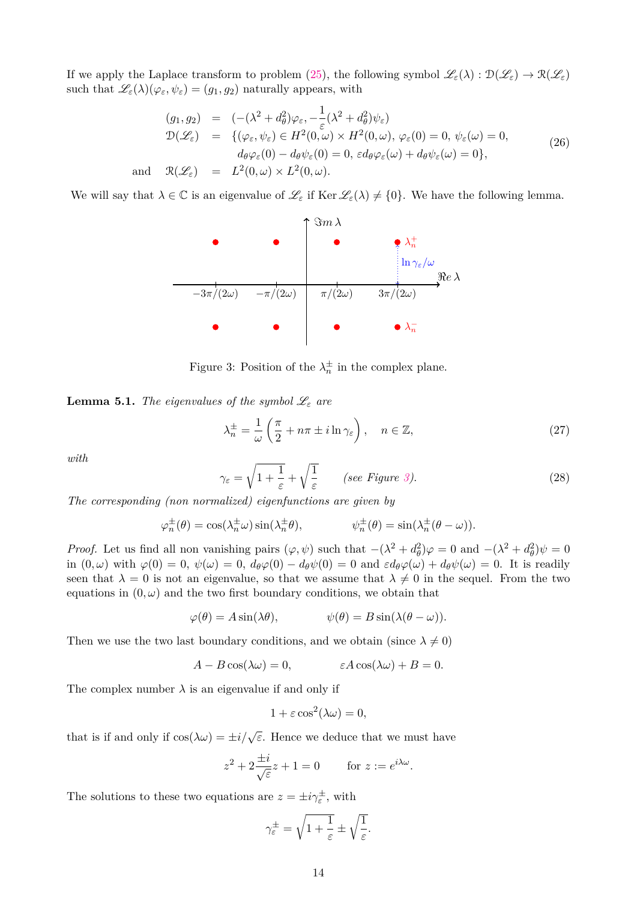If we apply the Laplace transform to problem [\(25\)](#page-12-2), the following symbol  $\mathscr{L}_{\varepsilon}(\lambda): \mathfrak{D}(\mathscr{L}_{\varepsilon}) \to \mathfrak{R}(\mathscr{L}_{\varepsilon})$ such that  $\mathscr{L}_{\varepsilon}(\lambda)(\varphi_{\varepsilon}, \psi_{\varepsilon}) = (g_1, g_2)$  naturally appears, with

<span id="page-13-0"></span>
$$
(g_1, g_2) = (-(\lambda^2 + d_\theta^2)\varphi_\varepsilon, -\frac{1}{\varepsilon}(\lambda^2 + d_\theta^2)\psi_\varepsilon)
$$
  
\n
$$
\mathcal{D}(\mathcal{L}_\varepsilon) = \{(\varphi_\varepsilon, \psi_\varepsilon) \in H^2(0, \omega) \times H^2(0, \omega), \varphi_\varepsilon(0) = 0, \psi_\varepsilon(\omega) = 0, \quad d_\theta \varphi_\varepsilon(0) - d_\theta \psi_\varepsilon(0) = 0, \quad d_\theta \varphi_\varepsilon(\omega) + d_\theta \psi_\varepsilon(\omega) = 0\},\
$$
  
\nand  $\mathcal{R}(\mathcal{L}_\varepsilon) = L^2(0, \omega) \times L^2(0, \omega).$  (26)

We will say that  $\lambda \in \mathbb{C}$  is an eigenvalue of  $\mathscr{L}_{\varepsilon}$  if Ker  $\mathscr{L}_{\varepsilon}(\lambda) \neq \{0\}$ . We have the following lemma.



<span id="page-13-1"></span>Figure 3: Position of the  $\lambda_n^{\pm}$  in the complex plane.

<span id="page-13-2"></span>**Lemma 5.1.** *The eigenvalues of the symbol*  $\mathscr{L}_{\varepsilon}$  *are* 

<span id="page-13-3"></span>
$$
\lambda_n^{\pm} = \frac{1}{\omega} \left( \frac{\pi}{2} + n\pi \pm i \ln \gamma_{\varepsilon} \right), \quad n \in \mathbb{Z}, \tag{27}
$$

*with*

<span id="page-13-4"></span>
$$
\gamma_{\varepsilon} = \sqrt{1 + \frac{1}{\varepsilon}} + \sqrt{\frac{1}{\varepsilon}} \qquad \text{(see Figure 3).} \tag{28}
$$

*The corresponding (non normalized) eigenfunctions are given by*

$$
\varphi_n^{\pm}(\theta) = \cos(\lambda_n^{\pm} \omega) \sin(\lambda_n^{\pm} \theta), \qquad \psi_n^{\pm}(\theta) = \sin(\lambda_n^{\pm} (\theta - \omega)).
$$

*Proof.* Let us find all non vanishing pairs  $(\varphi, \psi)$  such that  $-(\lambda^2 + d_\theta^2)\varphi = 0$  and  $-(\lambda^2 + d_\theta^2)\psi = 0$ in  $(0, \omega)$  with  $\varphi(0) = 0$ ,  $\psi(\omega) = 0$ ,  $d_{\theta}\varphi(0) - d_{\theta}\psi(0) = 0$  and  $\epsilon d_{\theta}\varphi(\omega) + d_{\theta}\psi(\omega) = 0$ . It is readily seen that  $\lambda = 0$  is not an eigenvalue, so that we assume that  $\lambda \neq 0$  in the sequel. From the two equations in  $(0, \omega)$  and the two first boundary conditions, we obtain that

$$
\varphi(\theta) = A \sin(\lambda \theta), \qquad \psi(\theta) = B \sin(\lambda (\theta - \omega)).
$$

Then we use the two last boundary conditions, and we obtain (since  $\lambda \neq 0$ )

$$
A - B\cos(\lambda \omega) = 0, \qquad \epsilon A \cos(\lambda \omega) + B = 0.
$$

The complex number  $\lambda$  is an eigenvalue if and only if

$$
1 + \varepsilon \cos^2(\lambda \omega) = 0,
$$

that is if and only if  $\cos(\lambda \omega) = \pm i/\sqrt{\varepsilon}$ . Hence we deduce that we must have

$$
z^2 + 2\frac{\pm i}{\sqrt{\varepsilon}}z + 1 = 0 \qquad \text{for } z := e^{i\lambda\omega}.
$$

The solutions to these two equations are  $z = \pm i \gamma_{\varepsilon}^{\pm}$ , with

$$
\gamma_{\varepsilon}^{\pm} = \sqrt{1 + \frac{1}{\varepsilon}} \pm \sqrt{\frac{1}{\varepsilon}}.
$$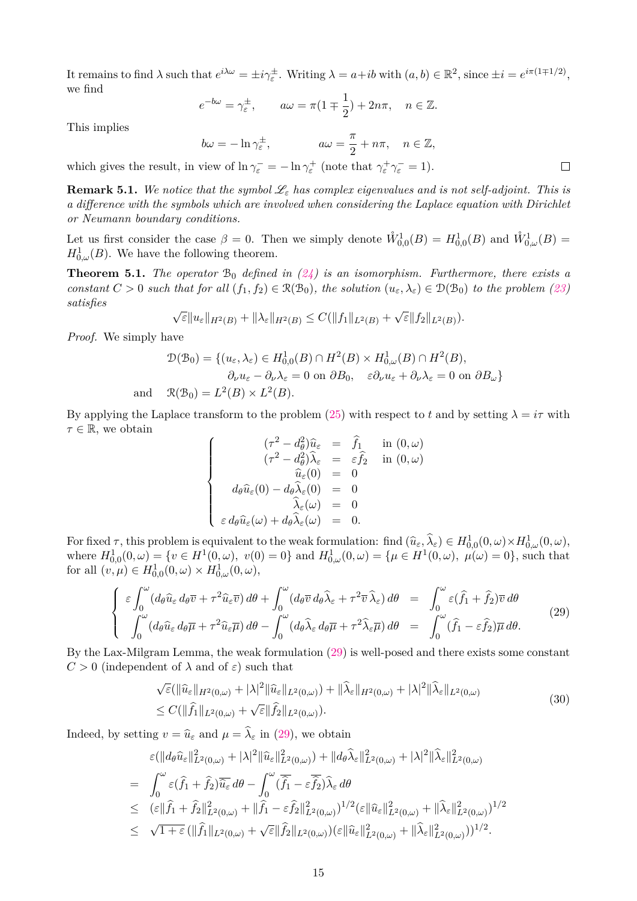It remains to find  $\lambda$  such that  $e^{i\lambda\omega} = \pm i\gamma_{\varepsilon}^{\pm}$ . Writing  $\lambda = a + ib$  with  $(a, b) \in \mathbb{R}^2$ , since  $\pm i = e^{i\pi(1\mp1/2)}$ , we find

$$
e^{-b\omega} = \gamma_{\varepsilon}^{\pm}, \qquad a\omega = \pi(1 \mp \frac{1}{2}) + 2n\pi, \quad n \in \mathbb{Z}.
$$

This implies

$$
b\omega = -\ln \gamma_{\varepsilon}^{\pm}, \qquad a\omega = \frac{\pi}{2} + n\pi, \quad n \in \mathbb{Z},
$$

which gives the result, in view of  $\ln \gamma_{\varepsilon}^- = -\ln \gamma_{\varepsilon}^+$  (note that  $\gamma_{\varepsilon}^+ \gamma_{\varepsilon}^- = 1$ ).

**Remark 5.1.** We notice that the symbol  $\mathcal{L}_{\varepsilon}$  has complex eigenvalues and is not self-adjoint. This is *a difference with the symbols which are involved when considering the Laplace equation with Dirichlet or Neumann boundary conditions.*

Let us first consider the case  $\beta = 0$ . Then we simply denote  $\mathring{W}^1_{0,0}(B) = H^1_{0,0}(B)$  and  $\mathring{W}^1_{0,\omega}(B) =$  $H_{0,\omega}^1(B)$ . We have the following theorem.

<span id="page-14-2"></span>**Theorem 5.1.** *The operator*  $B_0$  *defined in* [\(24\)](#page-12-3) *is an isomorphism. Furthermore, there exists a constant*  $C > 0$  *such that for all*  $(f_1, f_2) \in \mathcal{R}(\mathcal{B}_0)$ *, the solution*  $(u_{\varepsilon}, \lambda_{\varepsilon}) \in \mathcal{D}(\mathcal{B}_0)$  *to the problem* [\(23\)](#page-12-4) *satisfies* √ √

$$
\sqrt{\varepsilon} \|u_{\varepsilon}\|_{H^2(B)} + \|\lambda_{\varepsilon}\|_{H^2(B)} \leq C(\|f_1\|_{L^2(B)} + \sqrt{\varepsilon} \|f_2\|_{L^2(B)}).
$$

*Proof.* We simply have

$$
\mathcal{D}(\mathcal{B}_0) = \{ (u_{\varepsilon}, \lambda_{\varepsilon}) \in H^1_{0,0}(B) \cap H^2(B) \times H^1_{0,\omega}(B) \cap H^2(B),
$$
  
\n
$$
\partial_{\nu} u_{\varepsilon} - \partial_{\nu} \lambda_{\varepsilon} = 0 \text{ on } \partial B_0, \quad \varepsilon \partial_{\nu} u_{\varepsilon} + \partial_{\nu} \lambda_{\varepsilon} = 0 \text{ on } \partial B_{\omega} \}
$$
  
\nand 
$$
\mathcal{R}(\mathcal{B}_0) = L^2(B) \times L^2(B).
$$

By applying the Laplace transform to the problem [\(25\)](#page-12-2) with respect to *t* and by setting  $\lambda = i\tau$  with *τ* ∈ R, we obtain

$$
\begin{cases}\n(\tau^2 - d_\theta^2)\hat{u}_{\varepsilon} = \hat{f}_1 & \text{in } (0, \omega) \\
(\tau^2 - d_\theta^2)\hat{\lambda}_{\varepsilon} = \varepsilon \hat{f}_2 & \text{in } (0, \omega) \\
\hat{u}_{\varepsilon}(0) = 0 & \\
d_{\theta}\hat{u}_{\varepsilon}(0) - d_{\theta}\hat{\lambda}_{\varepsilon}(0) = 0 & \\
\hat{\lambda}_{\varepsilon}(\omega) = 0 & \\
\varepsilon d_{\theta}\hat{u}_{\varepsilon}(\omega) + d_{\theta}\hat{\lambda}_{\varepsilon}(\omega) = 0.\n\end{cases}
$$

For fixed  $\tau$ , this problem is equivalent to the weak formulation: find  $(\hat{u}_{\varepsilon}, \hat{\lambda}_{\varepsilon}) \in H^1_{0,0}(0, \omega) \times H^1_{0,\omega}(0, \omega)$ ,<br>release  $H^1_{0,0}(\omega)$ ,  $(\omega \in H^1(0, \omega) \times (0, \omega)$ ,  $\omega$ ,  $(\omega \in H^1(0, \omega) \times (0, \omega) \times (0, \omega))$ ,  $(\omega \in H^$ where  $H_{0,0}^1(0,\omega) = \{v \in H^1(0,\omega), v(0) = 0\}$  and  $H_{0,\omega}^1(0,\omega) = \{\mu \in H^1(0,\omega), \mu(\omega) = 0\}$ , such that for all  $(v, \mu) \in H_{0,0}^1(0, \omega) \times H_{0,\omega}^1(0, \omega),$ 

<span id="page-14-0"></span>
$$
\begin{cases}\n\varepsilon \int_0^{\omega} (d_{\theta} \widehat{u}_{\varepsilon} d_{\theta} \overline{v} + \tau^2 \widehat{u}_{\varepsilon} \overline{v}) d\theta + \int_0^{\omega} (d_{\theta} \overline{v} d_{\theta} \widehat{\lambda}_{\varepsilon} + \tau^2 \overline{v} \widehat{\lambda}_{\varepsilon}) d\theta = \int_0^{\omega} \varepsilon (\widehat{f}_1 + \widehat{f}_2) \overline{v} d\theta \\
\int_0^{\omega} (d_{\theta} \widehat{u}_{\varepsilon} d_{\theta} \overline{\mu} + \tau^2 \widehat{u}_{\varepsilon} \overline{\mu}) d\theta - \int_0^{\omega} (d_{\theta} \widehat{\lambda}_{\varepsilon} d_{\theta} \overline{\mu} + \tau^2 \widehat{\lambda}_{\varepsilon} \overline{\mu}) d\theta = \int_0^{\omega} (\widehat{f}_1 - \varepsilon \widehat{f}_2) \overline{\mu} d\theta. \n\end{cases} (29)
$$

By the Lax-Milgram Lemma, the weak formulation [\(29\)](#page-14-0) is well-posed and there exists some constant *C >* 0 (independent of *λ* and of *ε*) such that

<span id="page-14-1"></span>
$$
\sqrt{\varepsilon}(\|\widehat{u}_{\varepsilon}\|_{H^2(0,\omega)} + |\lambda|^2 \|\widehat{u}_{\varepsilon}\|_{L^2(0,\omega)}) + \|\widehat{\lambda}_{\varepsilon}\|_{H^2(0,\omega)} + |\lambda|^2 \|\widehat{\lambda}_{\varepsilon}\|_{L^2(0,\omega)}
$$
  
\n
$$
\leq C(\|\widehat{f}_1\|_{L^2(0,\omega)} + \sqrt{\varepsilon}\|\widehat{f}_2\|_{L^2(0,\omega)}).
$$
\n(30)

Indeed, by setting  $v = \hat{u}_{\varepsilon}$  and  $\mu = \hat{\lambda}_{\varepsilon}$  in [\(29\)](#page-14-0), we obtain

$$
\varepsilon(\|d_{\theta}\widehat{u}_{\varepsilon}\|_{L^{2}(0,\omega)}^{2}+|\lambda|^{2}\|\widehat{u}_{\varepsilon}\|_{L^{2}(0,\omega)}^{2})+\|d_{\theta}\widehat{\lambda}_{\varepsilon}\|_{L^{2}(0,\omega)}^{2}+|\lambda|^{2}\|\widehat{\lambda}_{\varepsilon}\|_{L^{2}(0,\omega)}^{2}
$$
\n
$$
=\int_{0}^{\omega}\varepsilon(\widehat{f}_{1}+\widehat{f}_{2})\overline{\widehat{u}_{\varepsilon}}d\theta-\int_{0}^{\omega}(\overline{\widehat{f}_{1}}-\varepsilon\overline{\widehat{f}_{2}})\widehat{\lambda}_{\varepsilon}d\theta
$$
\n
$$
\leq (\varepsilon\|\widehat{f}_{1}+\widehat{f}_{2}\|_{L^{2}(0,\omega)}^{2}+\|\widehat{f}_{1}-\varepsilon\widehat{f}_{2}\|_{L^{2}(0,\omega)}^{2})^{1/2}(\varepsilon\|\widehat{u}_{\varepsilon}\|_{L^{2}(0,\omega)}^{2}+\|\widehat{\lambda}_{\varepsilon}\|_{L^{2}(0,\omega)}^{2})^{1/2}
$$
\n
$$
\leq \sqrt{1+\varepsilon}\left(\|\widehat{f}_{1}\|_{L^{2}(0,\omega)}+\sqrt{\varepsilon}\|\widehat{f}_{2}\|_{L^{2}(0,\omega)}\right)(\varepsilon\|\widehat{u}_{\varepsilon}\|_{L^{2}(0,\omega)}^{2}+\|\widehat{\lambda}_{\varepsilon}\|_{L^{2}(0,\omega)}^{2}))^{1/2}.
$$

 $\Box$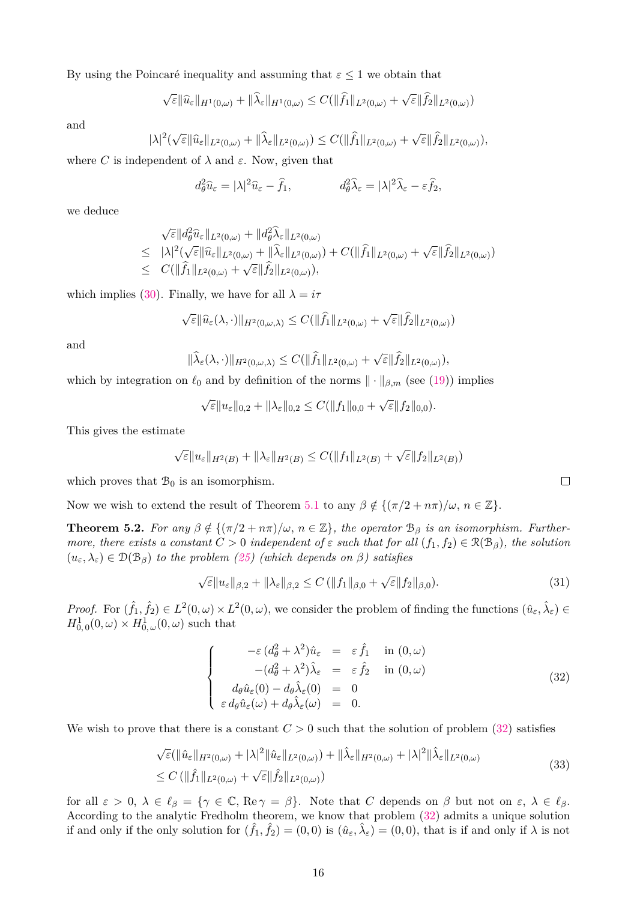By using the Poincaré inequality and assuming that  $\varepsilon \leq 1$  we obtain that

$$
\sqrt{\varepsilon} \|\widehat{u}_{\varepsilon}\|_{H^1(0,\omega)} + \|\widehat{\lambda}_{\varepsilon}\|_{H^1(0,\omega)} \leq C(\|\widehat{f}_1\|_{L^2(0,\omega)} + \sqrt{\varepsilon}\|\widehat{f}_2\|_{L^2(0,\omega)})
$$

and

$$
|\lambda|^2(\sqrt{\varepsilon}\|\widehat{u}_{\varepsilon}\|_{L^2(0,\omega)}+\|\widehat{\lambda}_{\varepsilon}\|_{L^2(0,\omega)})\leq C(\|\widehat{f}_1\|_{L^2(0,\omega)}+\sqrt{\varepsilon}\|\widehat{f}_2\|_{L^2(0,\omega)}),
$$

where *C* is independent of  $\lambda$  and  $\varepsilon$ . Now, given that

$$
d_{\theta}^{2}\hat{u}_{\varepsilon} = |\lambda|^{2}\hat{u}_{\varepsilon} - \hat{f}_{1}, \qquad d_{\theta}^{2}\hat{\lambda}_{\varepsilon} = |\lambda|^{2}\hat{\lambda}_{\varepsilon} - \varepsilon\hat{f}_{2},
$$

we deduce

$$
\sqrt{\varepsilon} \| d_{\theta}^{2} \widehat{u}_{\varepsilon} \|_{L^{2}(0,\omega)} + \| d_{\theta}^{2} \widehat{\lambda}_{\varepsilon} \|_{L^{2}(0,\omega)}
$$
\n
$$
\leq |\lambda|^{2} (\sqrt{\varepsilon} \| \widehat{u}_{\varepsilon} \|_{L^{2}(0,\omega)} + \| \widehat{\lambda}_{\varepsilon} \|_{L^{2}(0,\omega)}) + C(\| \widehat{f}_{1} \|_{L^{2}(0,\omega)} + \sqrt{\varepsilon} \| \widehat{f}_{2} \|_{L^{2}(0,\omega)})
$$
\n
$$
\leq C(\| \widehat{f}_{1} \|_{L^{2}(0,\omega)} + \sqrt{\varepsilon} \| \widehat{f}_{2} \|_{L^{2}(0,\omega)}),
$$

which implies [\(30\)](#page-14-1). Finally, we have for all  $\lambda = i\tau$ 

$$
\sqrt{\varepsilon} \|\widehat{u}_{\varepsilon}(\lambda,\cdot)\|_{H^2(0,\omega,\lambda)} \leq C(\|\widehat{f}_1\|_{L^2(0,\omega)} + \sqrt{\varepsilon} \|\widehat{f}_2\|_{L^2(0,\omega)})
$$

and

$$
\|\widehat{\lambda}_{\varepsilon}(\lambda,\cdot)\|_{H^2(0,\omega,\lambda)} \leq C(\|\widehat{f}_1\|_{L^2(0,\omega)} + \sqrt{\varepsilon}\|\widehat{f}_2\|_{L^2(0,\omega)}),
$$

which by integration on  $\ell_0$  and by definition of the norms  $\|\cdot\|_{\beta,m}$  (see [\(19\)](#page-11-3)) implies

$$
\sqrt{\varepsilon}||u_{\varepsilon}||_{0,2} + ||\lambda_{\varepsilon}||_{0,2} \leq C(||f_1||_{0,0} + \sqrt{\varepsilon}||f_2||_{0,0}).
$$

This gives the estimate

$$
\sqrt{\varepsilon}||u_{\varepsilon}||_{H^2(B)} + ||\lambda_{\varepsilon}||_{H^2(B)} \leq C(||f_1||_{L^2(B)} + \sqrt{\varepsilon}||f_2||_{L^2(B)})
$$

which proves that  $\mathcal{B}_0$  is an isomorphism.

Now we wish to extend the result of Theorem [5.1](#page-14-2) to any  $\beta \notin \{(\pi/2 + n\pi)/\omega, n \in \mathbb{Z}\}.$ 

<span id="page-15-2"></span>**Theorem 5.2.** *For any*  $\beta \notin \{(\pi/2 + n\pi)/\omega, n \in \mathbb{Z}\}$ , the operator  $\mathcal{B}_{\beta}$  *is an isomorphism. Furthermore, there exists a constant*  $C > 0$  *independent* of  $\varepsilon$  *such that for all*  $(f_1, f_2) \in \mathcal{R}(\mathcal{B}_{\beta})$ *, the solution*  $(u_{\varepsilon}, \lambda_{\varepsilon}) \in \mathcal{D}(\mathcal{B}_{\beta})$  *to the problem [\(25\)](#page-12-2) (which depends on*  $\beta$ ) *satisfies* 

<span id="page-15-3"></span>
$$
\sqrt{\varepsilon} \|u_{\varepsilon}\|_{\beta,2} + \|\lambda_{\varepsilon}\|_{\beta,2} \le C \left( \|f_1\|_{\beta,0} + \sqrt{\varepsilon} \|f_2\|_{\beta,0} \right). \tag{31}
$$

*Proof.* For  $(\hat{f}_1, \hat{f}_2) \in L^2(0, \omega) \times L^2(0, \omega)$ , we consider the problem of finding the functions  $(\hat{u}_{\varepsilon}, \hat{\lambda}_{\varepsilon}) \in$  $H_{0,0}^1(0,\omega) \times H_{0,\omega}^1(0,\omega)$  such that

<span id="page-15-0"></span>
$$
\begin{cases}\n-\varepsilon (d_{\theta}^{2} + \lambda^{2})\hat{u}_{\varepsilon} = \varepsilon \hat{f}_{1} & \text{in } (0, \omega) \\
-(d_{\theta}^{2} + \lambda^{2})\hat{\lambda}_{\varepsilon} = \varepsilon \hat{f}_{2} & \text{in } (0, \omega) \\
d_{\theta}\hat{u}_{\varepsilon}(0) - d_{\theta}\hat{\lambda}_{\varepsilon}(0) = 0 \\
\varepsilon d_{\theta}\hat{u}_{\varepsilon}(\omega) + d_{\theta}\hat{\lambda}_{\varepsilon}(\omega) = 0.\n\end{cases}
$$
\n(32)

We wish to prove that there is a constant  $C > 0$  such that the solution of problem [\(32\)](#page-15-0) satisfies

<span id="page-15-1"></span>
$$
\sqrt{\varepsilon}(\|\hat{u}_{\varepsilon}\|_{H^{2}(0,\omega)} + |\lambda|^{2} \|\hat{u}_{\varepsilon}\|_{L^{2}(0,\omega)}) + \|\hat{\lambda}_{\varepsilon}\|_{H^{2}(0,\omega)} + |\lambda|^{2} \|\hat{\lambda}_{\varepsilon}\|_{L^{2}(0,\omega)}
$$
  
\n
$$
\leq C (\|\hat{f}_{1}\|_{L^{2}(0,\omega)} + \sqrt{\varepsilon} \|\hat{f}_{2}\|_{L^{2}(0,\omega)})
$$
\n(33)

for all  $\varepsilon > 0$ ,  $\lambda \in \ell_{\beta} = {\gamma \in \mathbb{C}, \text{Re}\gamma = \beta}.$  Note that *C* depends on  $\beta$  but not on  $\varepsilon, \lambda \in \ell_{\beta}$ . According to the analytic Fredholm theorem, we know that problem [\(32\)](#page-15-0) admits a unique solution if and only if the only solution for  $(\hat{f}_1, \hat{f}_2) = (0,0)$  is  $(\hat{u}_{\varepsilon}, \hat{\lambda}_{\varepsilon}) = (0,0)$ , that is if and only if  $\lambda$  is not

 $\Box$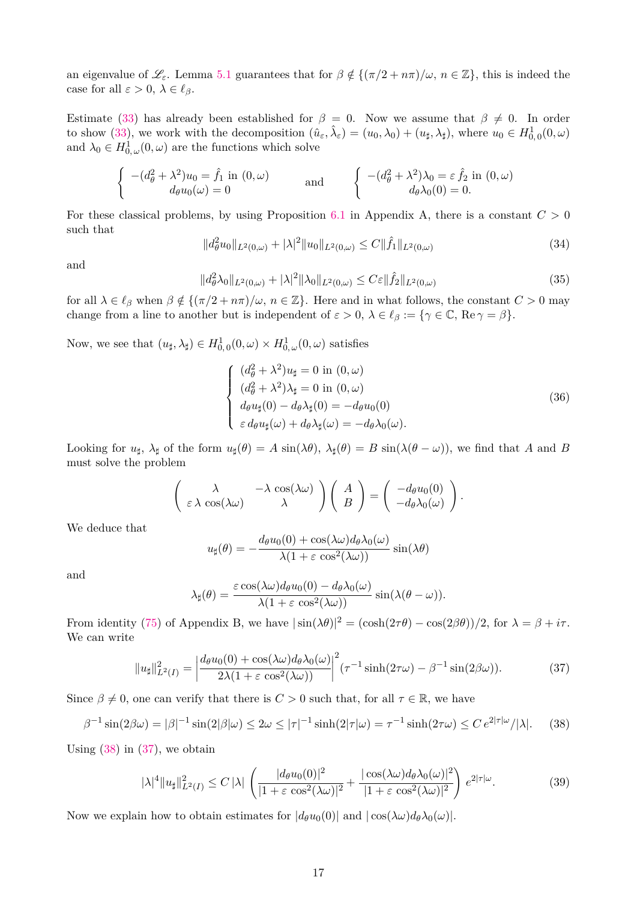an eigenvalue of  $\mathscr{L}_{\varepsilon}$ . Lemma [5.1](#page-13-2) guarantees that for  $\beta \notin \{(\pi/2 + n\pi)/\omega, n \in \mathbb{Z}\}\)$ , this is indeed the case for all  $\varepsilon > 0$ ,  $\lambda \in \ell_{\beta}$ .

Estimate [\(33\)](#page-15-1) has already been established for  $\beta = 0$ . Now we assume that  $\beta \neq 0$ . In order to show [\(33\)](#page-15-1), we work with the decomposition  $(\hat{u}_{\varepsilon}, \hat{\lambda}_{\varepsilon}) = (u_0, \lambda_0) + (u_{\sharp}, \lambda_{\sharp})$ , where  $u_0 \in H^1_{0,0}(0, \omega)$ and  $\lambda_0 \in H^1_{0,\omega}(0,\omega)$  are the functions which solve

$$
\begin{cases}\n-(d_{\theta}^{2} + \lambda^{2})u_{0} = \hat{f}_{1} \text{ in } (0, \omega) \\
d_{\theta}u_{0}(\omega) = 0\n\end{cases}\n\text{ and }\n\begin{cases}\n-(d_{\theta}^{2} + \lambda^{2})\lambda_{0} = \varepsilon \hat{f}_{2} \text{ in } (0, \omega) \\
d_{\theta}\lambda_{0}(0) = 0.\n\end{cases}
$$

For these classical problems, by using Proposition [6.1](#page-30-0) in Appendix A, there is a constant  $C > 0$ such that

<span id="page-16-3"></span>
$$
||d_{\theta}^{2}u_{0}||_{L^{2}(0,\omega)} + |\lambda|^{2}||u_{0}||_{L^{2}(0,\omega)} \leq C||\hat{f}_{1}||_{L^{2}(0,\omega)}
$$
\n(34)

and

<span id="page-16-4"></span>
$$
||d_{\theta}^{2}\lambda_{0}||_{L^{2}(0,\omega)} + |\lambda|^{2}||\lambda_{0}||_{L^{2}(0,\omega)} \leq C\varepsilon||\hat{f}_{2}||_{L^{2}(0,\omega)}\tag{35}
$$

for all  $\lambda \in \ell_\beta$  when  $\beta \notin \{(\pi/2 + n\pi)/\omega, n \in \mathbb{Z}\}$ . Here and in what follows, the constant  $C > 0$  may change from a line to another but is independent of  $\varepsilon > 0$ ,  $\lambda \in \ell_{\beta} := {\gamma \in \mathbb{C}}$ , Re  $\gamma = \beta$ .

Now, we see that  $(u_{\sharp}, \lambda_{\sharp}) \in H^1_{0,0}(0, \omega) \times H^1_{0,\omega}(0, \omega)$  satisfies

$$
\begin{cases}\n(d_{\theta}^{2} + \lambda^{2})u_{\sharp} = 0 \text{ in } (0, \omega) \\
(d_{\theta}^{2} + \lambda^{2})\lambda_{\sharp} = 0 \text{ in } (0, \omega) \\
 d_{\theta}u_{\sharp}(0) - d_{\theta}\lambda_{\sharp}(0) = -d_{\theta}u_{0}(0) \\
\varepsilon d_{\theta}u_{\sharp}(\omega) + d_{\theta}\lambda_{\sharp}(\omega) = -d_{\theta}\lambda_{0}(\omega).\n\end{cases}
$$
\n(36)

Looking for  $u_{\sharp}$ ,  $\lambda_{\sharp}$  of the form  $u_{\sharp}(\theta) = A \sin(\lambda \theta)$ ,  $\lambda_{\sharp}(\theta) = B \sin(\lambda (\theta - \omega))$ , we find that *A* and *B* must solve the problem

$$
\left(\begin{array}{cc} \lambda & -\lambda \cos(\lambda \omega) \\ \varepsilon \lambda \cos(\lambda \omega) & \lambda \end{array}\right) \left(\begin{array}{c} A \\ B \end{array}\right) = \left(\begin{array}{c} -d_{\theta}u_{0}(0) \\ -d_{\theta}\lambda_{0}(\omega) \end{array}\right).
$$

We deduce that

$$
u_{\sharp}(\theta) = -\frac{d_{\theta}u_{0}(0) + \cos(\lambda\omega)d_{\theta}\lambda_{0}(\omega)}{\lambda(1 + \varepsilon \cos^{2}(\lambda\omega))}\sin(\lambda\theta)
$$

and

$$
\lambda_{\sharp}(\theta) = \frac{\varepsilon \cos(\lambda \omega) d_{\theta} u_0(0) - d_{\theta} \lambda_0(\omega)}{\lambda (1 + \varepsilon \cos^2(\lambda \omega))} \sin(\lambda (\theta - \omega)).
$$

From identity [\(75\)](#page-31-0) of Appendix B, we have  $|\sin(\lambda \theta)|^2 = (\cosh(2\tau \theta) - \cos(2\beta \theta))/2$ , for  $\lambda = \beta + i\tau$ . We can write

<span id="page-16-1"></span>
$$
||u_{\sharp}||_{L^{2}(I)}^{2} = \left|\frac{d_{\theta}u_{0}(0) + \cos(\lambda\omega)d_{\theta}\lambda_{0}(\omega)}{2\lambda(1 + \varepsilon\cos^{2}(\lambda\omega))}\right|^{2} (\tau^{-1}\sinh(2\tau\omega) - \beta^{-1}\sin(2\beta\omega)).
$$
\n(37)

Since  $\beta \neq 0$ , one can verify that there is  $C > 0$  such that, for all  $\tau \in \mathbb{R}$ , we have

<span id="page-16-0"></span>
$$
\beta^{-1}\sin(2\beta\omega) = |\beta|^{-1}\sin(2|\beta|\omega) \le 2\omega \le |\tau|^{-1}\sinh(2|\tau|\omega) = \tau^{-1}\sinh(2\tau\omega) \le C\,e^{2|\tau|\omega}/|\lambda|.\tag{38}
$$

Using  $(38)$  in  $(37)$ , we obtain

<span id="page-16-2"></span>
$$
|\lambda|^4 \|u_{\sharp}\|_{L^2(I)}^2 \le C |\lambda| \left( \frac{|d_{\theta}u_0(0)|^2}{|1+\varepsilon \cos^2(\lambda \omega)|^2} + \frac{|\cos(\lambda \omega)d_{\theta}\lambda_0(\omega)|^2}{|1+\varepsilon \cos^2(\lambda \omega)|^2} \right) e^{2|\tau|\omega}.
$$
 (39)

Now we explain how to obtain estimates for  $|d_{\theta}u_0(0)|$  and  $|\cos(\lambda\omega)d_{\theta}\lambda_0(\omega)|$ .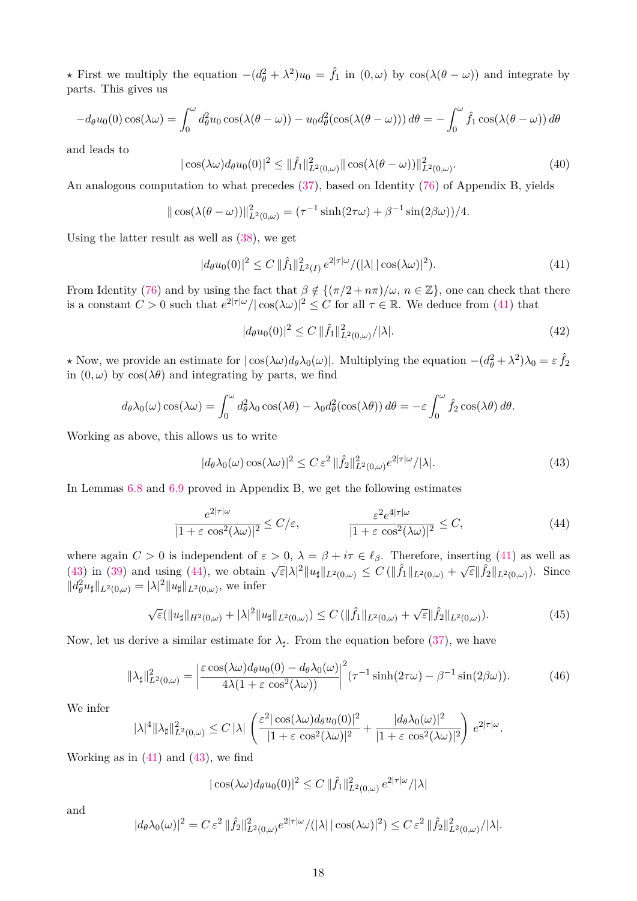*★* First we multiply the equation  $-(d_{\theta}^2 + \lambda^2)u_0 = \hat{f}_1$  in  $(0, \omega)$  by  $\cos(\lambda(\theta - \omega))$  and integrate by parts. This gives us

$$
-d_{\theta}u_0(0)\cos(\lambda\omega) = \int_0^{\omega} d_{\theta}^2 u_0 \cos(\lambda(\theta - \omega)) - u_0 d_{\theta}^2(\cos(\lambda(\theta - \omega))) d\theta = -\int_0^{\omega} \hat{f}_1 \cos(\lambda(\theta - \omega)) d\theta
$$

and leads to

$$
|\cos(\lambda \omega)d_{\theta}u_0(0)|^2 \le ||\hat{f}_1||^2_{L^2(0,\omega)}||\cos(\lambda(\theta - \omega))||^2_{L^2(0,\omega)}.
$$
\n(40)

An analogous computation to what precedes [\(37\)](#page-16-1), based on Identity [\(76\)](#page-31-1) of Appendix B, yields

$$
\|\cos(\lambda(\theta-\omega))\|_{L^2(0,\omega)}^2=(\tau^{-1}\sinh(2\tau\omega)+\beta^{-1}\sin(2\beta\omega))/4.
$$

Using the latter result as well as [\(38\)](#page-16-0), we get

<span id="page-17-0"></span>
$$
|d_{\theta}u_0(0)|^2 \le C \|\hat{f}_1\|_{L^2(I)}^2 e^{2|\tau|\omega}/(|\lambda| |\cos(\lambda \omega)|^2). \tag{41}
$$

From Identity [\(76\)](#page-31-1) and by using the fact that  $\beta \notin \{(\pi/2 + n\pi)/\omega, n \in \mathbb{Z}\}\)$ , one can check that there is a constant  $C > 0$  such that  $e^{2|\tau|\omega|}/|\cos(\lambda \omega)|^2 \leq C$  for all  $\tau \in \mathbb{R}$ . We deduce from [\(41\)](#page-17-0) that

$$
|d_{\theta}u_0(0)|^2 \le C \|\hat{f}_1\|_{L^2(0,\omega)}^2 / |\lambda|.
$$
\n(42)

 $\star$  Now, we provide an estimate for  $|\cos(\lambda \omega)d_{\theta}\lambda_0(\omega)|$ . Multiplying the equation  $-(d_{\theta}^2 + \lambda^2)\lambda_0 = \varepsilon \hat{f}_2$ in  $(0, \omega)$  by  $\cos(\lambda \theta)$  and integrating by parts, we find

$$
d_{\theta}\lambda_0(\omega)\cos(\lambda\omega) = \int_0^{\omega} d_{\theta}^2\lambda_0\cos(\lambda\theta) - \lambda_0 d_{\theta}^2(\cos(\lambda\theta)) d\theta = -\varepsilon \int_0^{\omega} \hat{f}_2\cos(\lambda\theta) d\theta.
$$

Working as above, this allows us to write

<span id="page-17-1"></span>
$$
|d_{\theta}\lambda_0(\omega)\cos(\lambda\omega)|^2 \le C\,\varepsilon^2 \, \|\hat{f}_2\|_{L^2(0,\omega)}^2 e^{2|\tau|\omega}/|\lambda|. \tag{43}
$$

In Lemmas [6.8](#page-31-2) and [6.9](#page-32-3) proved in Appendix B, we get the following estimates

<span id="page-17-2"></span>
$$
\frac{e^{2|\tau|\omega}}{|1+\varepsilon\cos^2(\lambda\omega)|^2} \le C/\varepsilon, \qquad \qquad \frac{\varepsilon^2 e^{4|\tau|\omega}}{|1+\varepsilon\cos^2(\lambda\omega)|^2} \le C,\tag{44}
$$

where again  $C > 0$  is independent of  $\varepsilon > 0$ ,  $\lambda = \beta + i\tau \in \ell_{\beta}$ . Therefore, inserting [\(41\)](#page-17-0) as well as [\(43\)](#page-17-1) in [\(39\)](#page-16-2) and using [\(44\)](#page-17-2), we obtain  $\sqrt{\varepsilon}|\lambda|^2 \|u_{\sharp}\|_{L^2(0,\omega)} \leq C (\|\hat{f}_1\|_{L^2(0,\omega)} + \sqrt{\varepsilon} \|\hat{f}_2\|_{L^2(0,\omega)}).$  Since  $||d_{\theta}^{2}u_{\sharp}||_{L^{2}(0,\omega)} = |\lambda|^{2}||u_{\sharp}||_{L^{2}(0,\omega)},$  we infer

<span id="page-17-3"></span>
$$
\sqrt{\varepsilon}(\|u_{\sharp}\|_{H^2(0,\omega)} + |\lambda|^2 \|u_{\sharp}\|_{L^2(0,\omega)}) \le C \left(\|\hat{f}_1\|_{L^2(0,\omega)} + \sqrt{\varepsilon} \|\hat{f}_2\|_{L^2(0,\omega)}\right). \tag{45}
$$

Now, let us derive a similar estimate for  $\lambda_{\sharp}$ . From the equation before [\(37\)](#page-16-1), we have

$$
\|\lambda_{\sharp}\|_{L^{2}(0,\omega)}^{2} = \left| \frac{\varepsilon \cos(\lambda \omega) d_{\theta} u_{0}(0) - d_{\theta} \lambda_{0}(\omega)}{4\lambda (1 + \varepsilon \cos^{2}(\lambda \omega))} \right|^{2} (\tau^{-1} \sinh(2\tau \omega) - \beta^{-1} \sin(2\beta \omega)). \tag{46}
$$

We infer

$$
|\lambda|^4 \|\lambda_{\sharp}\|_{L^2(0,\omega)}^2 \leq C |\lambda| \left( \frac{\varepsilon^2 |\cos(\lambda \omega) d_{\theta} u_0(0)|^2}{|1+\varepsilon \cos^2(\lambda \omega)|^2} + \frac{|d_{\theta} \lambda_0(\omega)|^2}{|1+\varepsilon \cos^2(\lambda \omega)|^2} \right) e^{2|\tau|\omega}.
$$

Working as in  $(41)$  and  $(43)$ , we find

$$
|\cos(\lambda\omega)d_{\theta}u_0(0)|^2 \leq C \, \|\hat{f}_1\|_{L^2(0,\omega)}^2 \, e^{2|\tau|\omega}/|\lambda|
$$

and

$$
|d_{\theta}\lambda_0(\omega)|^2 = C \,\varepsilon^2 \, \|\hat{f}_2\|_{L^2(0,\omega)}^2 e^{2|\tau|\omega}/(|\lambda| \,|\cos(\lambda\omega)|^2) \leq C \,\varepsilon^2 \, \|\hat{f}_2\|_{L^2(0,\omega)}^2/|\lambda|.
$$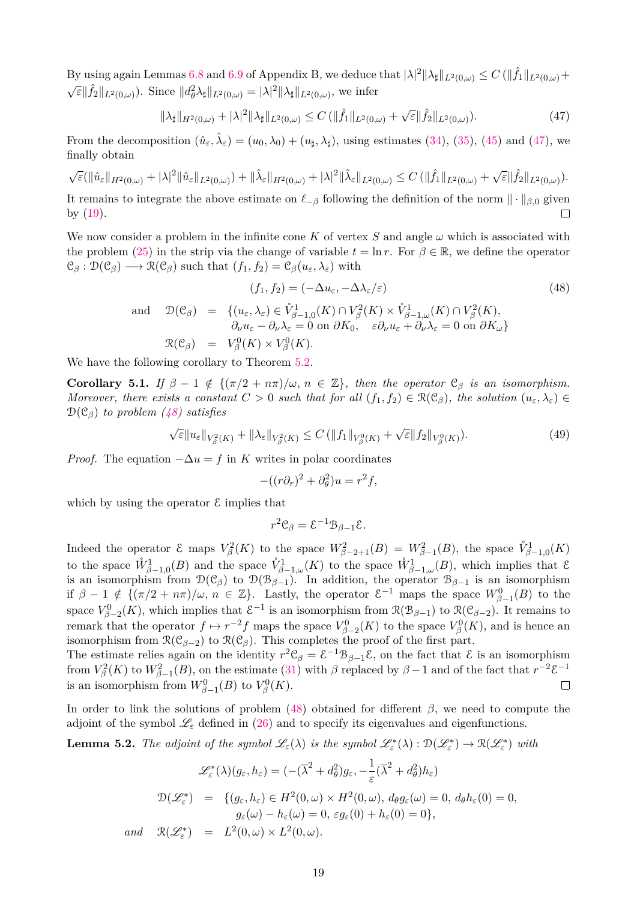By using again Lemmas [6.8](#page-31-2) and [6.9](#page-32-3) of Appendix B, we deduce that  $|\lambda|^2 \|\lambda_{\sharp}\|_{L^2(0,\omega)} \leq C (\|\hat{f}_1\|_{L^2(0,\omega)} +$  $\sqrt{\varepsilon} ||\hat{f}_2||_{L^2(0,\omega)}$ ). Since  $||d^2_{\theta}\lambda_{\sharp}||_{L^2(0,\omega)} = |\lambda|^2 ||\lambda_{\sharp}||_{L^2(0,\omega)}$ , we infer

<span id="page-18-0"></span>
$$
\|\lambda_{\sharp}\|_{H^{2}(0,\omega)} + |\lambda|^{2} \|\lambda_{\sharp}\|_{L^{2}(0,\omega)} \leq C \left( \|\hat{f}_{1}\|_{L^{2}(0,\omega)} + \sqrt{\varepsilon} \|\hat{f}_{2}\|_{L^{2}(0,\omega)} \right).
$$
\n(47)

From the decomposition  $(\hat{u}_{\varepsilon}, \hat{\lambda}_{\varepsilon}) = (u_0, \lambda_0) + (u_{\sharp}, \lambda_{\sharp})$ , using estimates [\(34\)](#page-16-3), [\(35\)](#page-16-4), [\(45\)](#page-17-3) and [\(47\)](#page-18-0), we finally obtain

$$
\sqrt{\varepsilon}(\|\hat{u}_{\varepsilon}\|_{H^2(0,\omega)}+|\lambda|^2\|\hat{u}_{\varepsilon}\|_{L^2(0,\omega)})+\|\hat{\lambda}_{\varepsilon}\|_{H^2(0,\omega)}+|\lambda|^2\|\hat{\lambda}_{\varepsilon}\|_{L^2(0,\omega)}\leq C\left(\|\hat{f}_1\|_{L^2(0,\omega)}+\sqrt{\varepsilon}\|\hat{f}_2\|_{L^2(0,\omega)}\right).
$$

It remains to integrate the above estimate on  $\ell_{\alpha\beta}$  following the definition of the norm  $\|\cdot\|_{\beta,0}$  given by [\(19\)](#page-11-3).  $\Box$ 

We now consider a problem in the infinite cone K of vertex S and angle  $\omega$  which is associated with the problem [\(25\)](#page-12-2) in the strip via the change of variable  $t = \ln r$ . For  $\beta \in \mathbb{R}$ , we define the operator  $\mathcal{C}_{\beta}: \mathcal{D}(\mathcal{C}_{\beta}) \longrightarrow \mathcal{R}(\mathcal{C}_{\beta})$  such that  $(f_1, f_2) = \mathcal{C}_{\beta}(u_{\varepsilon}, \lambda_{\varepsilon})$  with

<span id="page-18-1"></span>
$$
(f_1, f_2) = (-\Delta u_{\varepsilon}, -\Delta \lambda_{\varepsilon}/\varepsilon)
$$
\n
$$
\text{and} \quad \mathcal{D}(\mathcal{C}_{\beta}) = \{ (u_{\varepsilon}, \lambda_{\varepsilon}) \in \mathring{V}_{\beta-1,0}^1(K) \cap V_{\beta}^2(K) \times \mathring{V}_{\beta-1,\omega}^1(K) \cap V_{\beta}^2(K),
$$
\n
$$
\partial_{\nu} u_{\varepsilon} - \partial_{\nu} \lambda_{\varepsilon} = 0 \text{ on } \partial K_0, \quad \varepsilon \partial_{\nu} u_{\varepsilon} + \partial_{\nu} \lambda_{\varepsilon} = 0 \text{ on } \partial K_{\omega} \}
$$
\n
$$
\mathcal{R}(\mathcal{C}_{\beta}) = V_{\beta}^0(K) \times V_{\beta}^0(K).
$$
\n
$$
(48)
$$

We have the following corollary to Theorem [5.2.](#page-15-2)

<span id="page-18-2"></span>**Corollary 5.1.** *If*  $\beta - 1 \notin \{ (\pi/2 + n\pi)/\omega, n \in \mathbb{Z} \}$ , then the operator  $\mathcal{C}_{\beta}$  *is an isomorphism. Moreover, there exists a constant*  $C > 0$  *such that for all*  $(f_1, f_2) \in \mathcal{R}(\mathcal{C}_{\beta})$ *, the solution*  $(u_{\varepsilon}, \lambda_{\varepsilon}) \in$ D(C*β*) *to problem [\(48\)](#page-18-1) satisfies*

$$
\sqrt{\varepsilon} \|u_{\varepsilon}\|_{V_{\beta}^{2}(K)} + \|\lambda_{\varepsilon}\|_{V_{\beta}^{2}(K)} \leq C \left( \|f_{1}\|_{V_{\beta}^{0}(K)} + \sqrt{\varepsilon} \|f_{2}\|_{V_{\beta}^{0}(K)}\right). \tag{49}
$$

*Proof.* The equation  $-\Delta u = f$  in *K* writes in polar coordinates

$$
-((r\partial_r)^2 + \partial_\theta^2)u = r^2f,
$$

which by using the operator  $\mathcal E$  implies that

$$
r^2 \mathcal{C}_{\beta} = \mathcal{E}^{-1} \mathcal{B}_{\beta - 1} \mathcal{E}.
$$

Indeed the operator ε maps  $V_\beta^2(K)$  to the space  $W_{\beta-2+1}^2(B) = W_{\beta-1}^2(B)$ , the space  $\mathring{V}_{\beta-1,0}^1(K)$ to the space  $\mathring{W}_{\beta-1,0}^1(B)$  and the space  $\mathring{V}_{\beta-1,\omega}^1(K)$  to the space  $\mathring{W}_{\beta-1,\omega}^1(B)$ , which implies that  $\mathcal E$ is an isomorphism from  $\mathcal{D}(\mathcal{C}_\beta)$  to  $\mathcal{D}(\mathcal{B}_{\beta-1})$ . In addition, the operator  $\mathcal{B}_{\beta-1}$  is an isomorphism if  $\beta - 1 \notin \{ (\pi/2 + n\pi)/\omega, n \in \mathbb{Z} \}.$  Lastly, the operator  $\mathcal{E}^{-1}$  maps the space  $W_{\beta-1}^0(B)$  to the space  $V_{\beta-2}^0(K)$ , which implies that  $\mathcal{E}^{-1}$  is an isomorphism from  $\mathcal{R}(\mathcal{B}_{\beta-1})$  to  $\mathcal{R}(\mathcal{C}_{\beta-2})$ . It remains to remark that the operator  $f \mapsto r^{-2}f$  maps the space  $V_{\beta-2}^0(K)$  to the space  $V_{\beta}^0(K)$ , and is hence an isomorphism from  $\mathcal{R}(\mathcal{C}_{\beta-2})$  to  $\mathcal{R}(\mathcal{C}_{\beta})$ . This completes the proof of the first part.

The estimate relies again on the identity  $r^2C_\beta = \mathcal{E}^{-1}B_{\beta-1}\mathcal{E}$ , on the fact that  $\mathcal E$  is an isomorphism from  $V_\beta^2(K)$  to  $W_{\beta-1}^2(B)$ , on the estimate [\(31\)](#page-15-3) with  $\beta$  replaced by  $\beta-1$  and of the fact that  $r^{-2}\xi^{-1}$ is an isomorphism from  $W_{\beta-1}^0(B)$  to  $V_\beta^0(K)$ .  $\Box$ 

In order to link the solutions of problem  $(48)$  obtained for different  $\beta$ , we need to compute the adjoint of the symbol  $\mathcal{L}_{\varepsilon}$  defined in [\(26\)](#page-13-0) and to specify its eigenvalues and eigenfunctions.

**Lemma 5.2.** *The adjoint of the symbol*  $\mathscr{L}_{\varepsilon}(\lambda)$  *is the symbol*  $\mathscr{L}_{\varepsilon}^{*}(\lambda) : \mathcal{D}(\mathscr{L}_{\varepsilon}^{*}) \to \mathcal{R}(\mathscr{L}_{\varepsilon}^{*})$  *with* 

$$
\mathcal{L}_{\varepsilon}^{*}(\lambda)(g_{\varepsilon}, h_{\varepsilon}) = (-(\overline{\lambda}^{2} + d_{\theta}^{2})g_{\varepsilon}, -\frac{1}{\varepsilon}(\overline{\lambda}^{2} + d_{\theta}^{2})h_{\varepsilon})
$$
  

$$
\mathcal{D}(\mathcal{L}_{\varepsilon}^{*}) = \{(g_{\varepsilon}, h_{\varepsilon}) \in H^{2}(0, \omega) \times H^{2}(0, \omega), d_{\theta}g_{\varepsilon}(\omega) = 0, d_{\theta}h_{\varepsilon}(0) = 0,
$$
  

$$
g_{\varepsilon}(\omega) - h_{\varepsilon}(\omega) = 0, \, \varepsilon g_{\varepsilon}(0) + h_{\varepsilon}(0) = 0\},
$$
  
and 
$$
\mathcal{R}(\mathcal{L}_{\varepsilon}^{*}) = L^{2}(0, \omega) \times L^{2}(0, \omega).
$$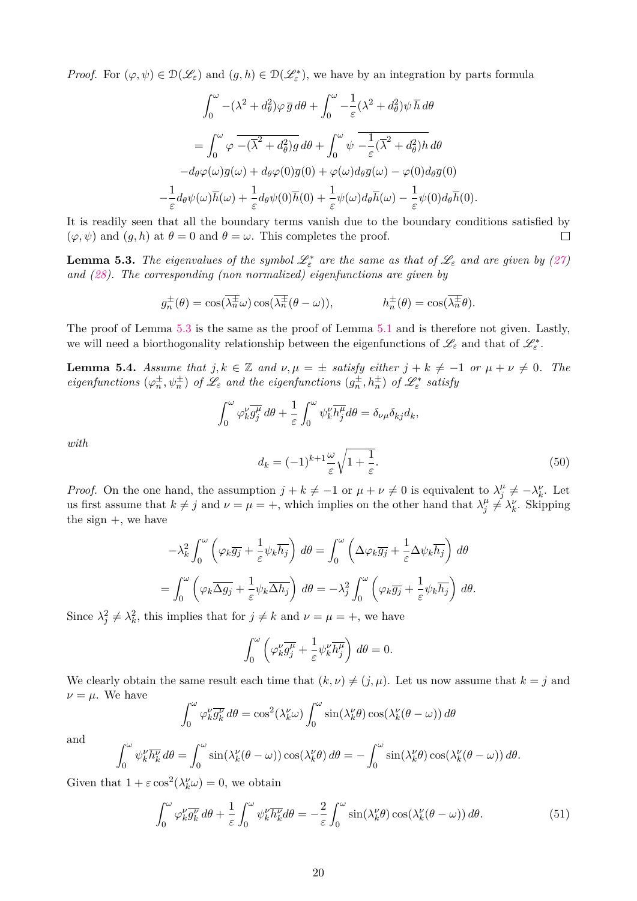*Proof.* For  $(\varphi, \psi) \in \mathcal{D}(\mathcal{L}_{\varepsilon})$  and  $(g, h) \in \mathcal{D}(\mathcal{L}_{\varepsilon}^*)$ , we have by an integration by parts formula

$$
\int_0^{\omega} -(\lambda^2 + d_\theta^2)\varphi \, \overline{g} \, d\theta + \int_0^{\omega} -\frac{1}{\varepsilon}(\lambda^2 + d_\theta^2)\psi \, \overline{h} \, d\theta
$$
\n
$$
= \int_0^{\omega} \varphi \, \overline{-(\overline{\lambda}^2 + d_\theta^2)g} \, d\theta + \int_0^{\omega} \psi \, \overline{-\frac{1}{\varepsilon}(\overline{\lambda}^2 + d_\theta^2)h} \, d\theta
$$
\n
$$
-d_\theta \varphi(\omega) \overline{g}(\omega) + d_\theta \varphi(0) \overline{g}(0) + \varphi(\omega) d_\theta \overline{g}(\omega) - \varphi(0) d_\theta \overline{g}(0)
$$
\n
$$
-\frac{1}{\varepsilon} d_\theta \psi(\omega) \overline{h}(\omega) + \frac{1}{\varepsilon} d_\theta \psi(0) \overline{h}(0) + \frac{1}{\varepsilon} \psi(\omega) d_\theta \overline{h}(\omega) - \frac{1}{\varepsilon} \psi(0) d_\theta \overline{h}(0).
$$

It is readily seen that all the boundary terms vanish due to the boundary conditions satisfied by  $(\varphi, \psi)$  and  $(g, h)$  at  $\theta = 0$  and  $\theta = \omega$ . This completes the proof.  $\Box$ 

<span id="page-19-0"></span>**Lemma 5.3.** *The eigenvalues of the symbol*  $\mathscr{L}_{\varepsilon}^{*}$  *are the same as that of*  $\mathscr{L}_{\varepsilon}$  *and are given by* [\(27\)](#page-13-3) *and [\(28\)](#page-13-4). The corresponding (non normalized) eigenfunctions are given by*

$$
g_n^{\pm}(\theta) = \cos(\overline{\lambda_n^{\pm}}\omega) \cos(\overline{\lambda_n^{\pm}}(\theta - \omega)),
$$
  $h_n^{\pm}(\theta) = \cos(\overline{\lambda_n^{\pm}}\theta).$ 

The proof of Lemma [5.3](#page-19-0) is the same as the proof of Lemma [5.1](#page-13-2) and is therefore not given. Lastly, we will need a biorthogonality relationship between the eigenfunctions of  $\mathscr{L}_{\varepsilon}$  and that of  $\mathscr{L}_{\varepsilon}^*$ .

<span id="page-19-3"></span>**Lemma 5.4.** *Assume that*  $j, k \in \mathbb{Z}$  *and*  $\nu, \mu = \pm$  *satisfy either*  $j + k \neq -1$  *or*  $\mu + \nu \neq 0$ *. The eigenfunctions*  $(\varphi_n^{\pm}, \psi_n^{\pm})$  *of*  $\mathscr{L}_{\varepsilon}$  *and the eigenfunctions*  $(g_n^{\pm}, h_n^{\pm})$  *of*  $\mathscr{L}_{\varepsilon}^*$  *satisfy* 

$$
\int_0^{\omega} \varphi_k^{\nu} \overline{g_j^{\mu}} d\theta + \frac{1}{\varepsilon} \int_0^{\omega} \psi_k^{\nu} \overline{h_j^{\mu}} d\theta = \delta_{\nu\mu} \delta_{kj} d_k,
$$

*with*

<span id="page-19-2"></span>
$$
d_k = (-1)^{k+1} \frac{\omega}{\varepsilon} \sqrt{1 + \frac{1}{\varepsilon}}.\tag{50}
$$

*Proof.* On the one hand, the assumption  $j + k \neq -1$  or  $\mu + \nu \neq 0$  is equivalent to  $\lambda_j^{\mu}$  $\mu_j^{\mu} \neq -\lambda_k^{\nu}$ . Let us first assume that  $k \neq j$  and  $\nu = \mu = +$ , which implies on the other hand that  $\lambda_i^{\mu}$  $\mu_j^{\mu} \neq \lambda_k^{\nu}$ . Skipping the sign  $+$ , we have

$$
-\lambda_k^2 \int_0^{\omega} \left( \varphi_k \overline{g_j} + \frac{1}{\varepsilon} \psi_k \overline{h_j} \right) d\theta = \int_0^{\omega} \left( \Delta \varphi_k \overline{g_j} + \frac{1}{\varepsilon} \Delta \psi_k \overline{h_j} \right) d\theta
$$
  
= 
$$
\int_0^{\omega} \left( \varphi_k \overline{\Delta g_j} + \frac{1}{\varepsilon} \psi_k \overline{\Delta h_j} \right) d\theta = -\lambda_j^2 \int_0^{\omega} \left( \varphi_k \overline{g_j} + \frac{1}{\varepsilon} \psi_k \overline{h_j} \right) d\theta.
$$

Since  $\lambda_j^2 \neq \lambda_k^2$ , this implies that for  $j \neq k$  and  $\nu = \mu = +$ , we have

$$
\int_0^{\omega} \left( \varphi_k^{\nu} \overline{g_j^{\mu}} + \frac{1}{\varepsilon} \psi_k^{\nu} \overline{h_j^{\mu}} \right) d\theta = 0.
$$

We clearly obtain the same result each time that  $(k, \nu) \neq (j, \mu)$ . Let us now assume that  $k = j$  and  $\nu = \mu$ . We have

$$
\int_0^{\omega} \varphi_k^{\nu} \overline{g_k^{\nu}} d\theta = \cos^2(\lambda_k^{\nu} \omega) \int_0^{\omega} \sin(\lambda_k^{\nu} \theta) \cos(\lambda_k^{\nu} (\theta - \omega)) d\theta
$$

and

$$
\int_0^{\omega} \psi_k^{\nu} \overline{h_k^{\nu}} d\theta = \int_0^{\omega} \sin(\lambda_k^{\nu} (\theta - \omega)) \cos(\lambda_k^{\nu} \theta) d\theta = -\int_0^{\omega} \sin(\lambda_k^{\nu} \theta) \cos(\lambda_k^{\nu} (\theta - \omega)) d\theta.
$$

Given that  $1 + \varepsilon \cos^2(\lambda_k^{\nu} \omega) = 0$ , we obtain

<span id="page-19-1"></span>
$$
\int_0^{\omega} \varphi_k^{\nu} \overline{g_k^{\nu}} d\theta + \frac{1}{\varepsilon} \int_0^{\omega} \psi_k^{\nu} \overline{h_k^{\nu}} d\theta = -\frac{2}{\varepsilon} \int_0^{\omega} \sin(\lambda_k^{\nu} \theta) \cos(\lambda_k^{\nu} (\theta - \omega)) d\theta.
$$
 (51)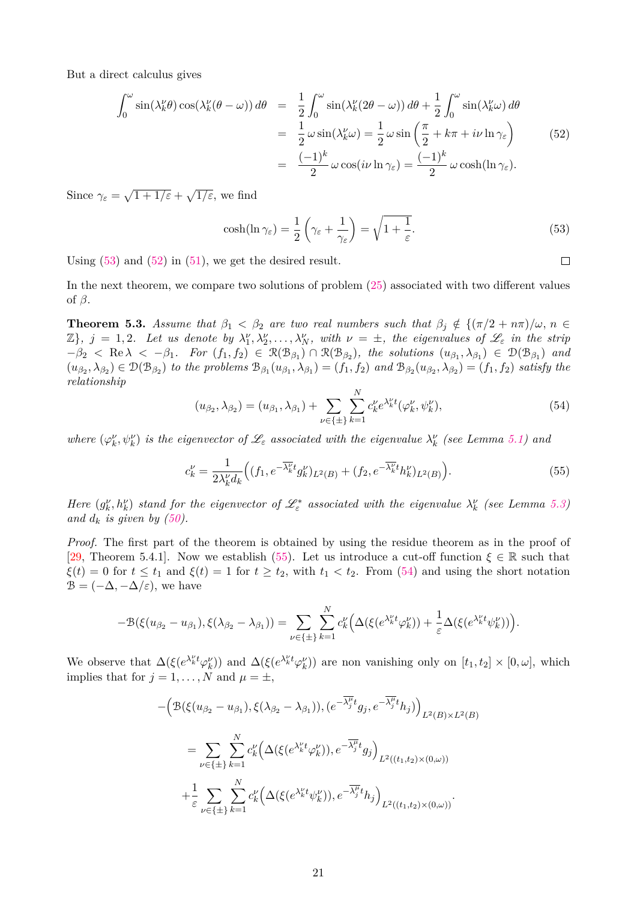But a direct calculus gives

<span id="page-20-1"></span>
$$
\int_0^{\omega} \sin(\lambda_k^{\nu} \theta) \cos(\lambda_k^{\nu} (\theta - \omega)) d\theta = \frac{1}{2} \int_0^{\omega} \sin(\lambda_k^{\nu} (2\theta - \omega)) d\theta + \frac{1}{2} \int_0^{\omega} \sin(\lambda_k^{\nu} \omega) d\theta
$$

$$
= \frac{1}{2} \omega \sin(\lambda_k^{\nu} \omega) = \frac{1}{2} \omega \sin\left(\frac{\pi}{2} + k\pi + i\nu \ln \gamma_{\varepsilon}\right) \tag{52}
$$

$$
= \frac{(-1)^k}{2} \omega \cos(i\nu \ln \gamma_{\varepsilon}) = \frac{(-1)^k}{2} \omega \cosh(\ln \gamma_{\varepsilon}).
$$

Since  $\gamma_{\varepsilon} = \sqrt{1 + 1/\varepsilon} + \sqrt{1/\varepsilon}$ , we find

<span id="page-20-0"></span>
$$
\cosh(\ln \gamma_{\varepsilon}) = \frac{1}{2} \left( \gamma_{\varepsilon} + \frac{1}{\gamma_{\varepsilon}} \right) = \sqrt{1 + \frac{1}{\varepsilon}}.
$$
\n(53)

 $\Box$ 

Using  $(53)$  and  $(52)$  in  $(51)$ , we get the desired result.

In the next theorem, we compare two solutions of problem [\(25\)](#page-12-2) associated with two different values of *β*.

**Theorem 5.3.** *Assume that*  $\beta_1 < \beta_2$  *are two real numbers such that*  $\beta_j \notin \{(\pi/2 + n\pi)/\omega, n \in \mathbb{Z}\}$  $\mathbb{Z}$ ,  $j = 1, 2$ . Let us denote by  $\lambda_1^{\nu}, \lambda_2^{\nu}, \ldots, \lambda_N^{\nu}$ , with  $\nu = \pm$ , the eigenvalues of  $\mathscr{L}_{\varepsilon}$  in the strip  $-\beta_2$  < Re  $\lambda$  <  $-\beta_1$ *. For*  $(f_1, f_2) \in \mathcal{R}(\mathcal{B}_{\beta_1}) \cap \mathcal{R}(\mathcal{B}_{\beta_2})$ *, the solutions*  $(u_{\beta_1}, \lambda_{\beta_1}) \in \mathcal{D}(\mathcal{B}_{\beta_1})$  and  $(u_{\beta_2},\lambda_{\beta_2})\in\mathcal{D}(\mathcal{B}_{\beta_2})$  to the problems  $\mathcal{B}_{\beta_1}(u_{\beta_1},\lambda_{\beta_1})=(f_1,f_2)$  and  $\mathcal{B}_{\beta_2}(u_{\beta_2},\lambda_{\beta_2})=(f_1,f_2)$  satisfy the *relationship*

<span id="page-20-3"></span>
$$
(u_{\beta_2}, \lambda_{\beta_2}) = (u_{\beta_1}, \lambda_{\beta_1}) + \sum_{\nu \in \{\pm\}} \sum_{k=1}^N c_k^{\nu} e^{\lambda_k^{\nu} t} (\varphi_k^{\nu}, \psi_k^{\nu}), \tag{54}
$$

*where*  $(\varphi_k^{\nu}, \psi_k^{\nu})$  *is the eigenvector of*  $\mathcal{L}_{\varepsilon}$  *associated with the eigenvalue*  $\lambda_k^{\nu}$  *(see Lemma [5.1\)](#page-13-2) and* 

<span id="page-20-2"></span>
$$
c_k^{\nu} = \frac{1}{2\lambda_k^{\nu}d_k} \Big( (f_1, e^{-\overline{\lambda_k^{\nu}}t} g_k^{\nu})_{L^2(B)} + (f_2, e^{-\overline{\lambda_k^{\nu}}t} h_k^{\nu})_{L^2(B)} \Big). \tag{55}
$$

*Here*  $(g_k^{\nu}, h_k^{\nu})$  *stand for the eigenvector of*  $\mathscr{L}_{\varepsilon}^*$  *associated with the eigenvalue*  $\lambda_k^{\nu}$  *(see Lemma [5.3\)](#page-19-0) and*  $d_k$  *is given by* [\(50\)](#page-19-2)*.* 

*Proof.* The first part of the theorem is obtained by using the residue theorem as in the proof of [\[29,](#page-33-19) Theorem 5.4.1]. Now we establish [\(55\)](#page-20-2). Let us introduce a cut-off function  $\xi \in \mathbb{R}$  such that  $\xi(t) = 0$  for  $t \leq t_1$  and  $\xi(t) = 1$  for  $t \geq t_2$ , with  $t_1 < t_2$ . From [\(54\)](#page-20-3) and using the short notation  $\mathcal{B} = (-\Delta, -\Delta/\varepsilon)$ , we have

$$
-\mathcal{B}(\xi(u_{\beta_2}-u_{\beta_1}),\xi(\lambda_{\beta_2}-\lambda_{\beta_1}))=\sum_{\nu\in\{\pm\}}\sum_{k=1}^N c_k^{\nu}\Big(\Delta(\xi(e^{\lambda_k^{\nu}t}\varphi_k^{\nu}))+\frac{1}{\varepsilon}\Delta(\xi(e^{\lambda_k^{\nu}t}\psi_k^{\nu}))\Big).
$$

We observe that  $\Delta(\xi(e^{\lambda_k^{\nu} t}\varphi_k^{\nu}))$  and  $\Delta(\xi(e^{\lambda_k^{\nu} t}\varphi_k^{\nu}))$  are non vanishing only on  $[t_1, t_2] \times [0, \omega]$ , which implies that for  $j = 1, ..., N$  and  $\mu = \pm$ ,

$$
-\left(\mathcal{B}(\xi(u_{\beta_2}-u_{\beta_1}),\xi(\lambda_{\beta_2}-\lambda_{\beta_1})),(e^{-\overline{\lambda_j^{\mu}}t}g_j,e^{-\overline{\lambda_j^{\mu}}t}h_j)\right)_{L^2(B)\times L^2(B)}
$$
  

$$
=\sum_{\nu\in\{\pm\}}\sum_{k=1}^N c_k^{\nu}\left(\Delta(\xi(e^{\lambda_k^{\nu}t}\varphi_k^{\nu})),e^{-\overline{\lambda_j^{\mu}}t}g_j\right)_{L^2((t_1,t_2)\times(0,\omega))}
$$

$$
+\frac{1}{\varepsilon}\sum_{\nu\in\{\pm\}}\sum_{k=1}^N c_k^{\nu}\left(\Delta(\xi(e^{\lambda_k^{\nu}t}\psi_k^{\nu})),e^{-\overline{\lambda_j^{\mu}}t}h_j\right)_{L^2((t_1,t_2)\times(0,\omega))}.
$$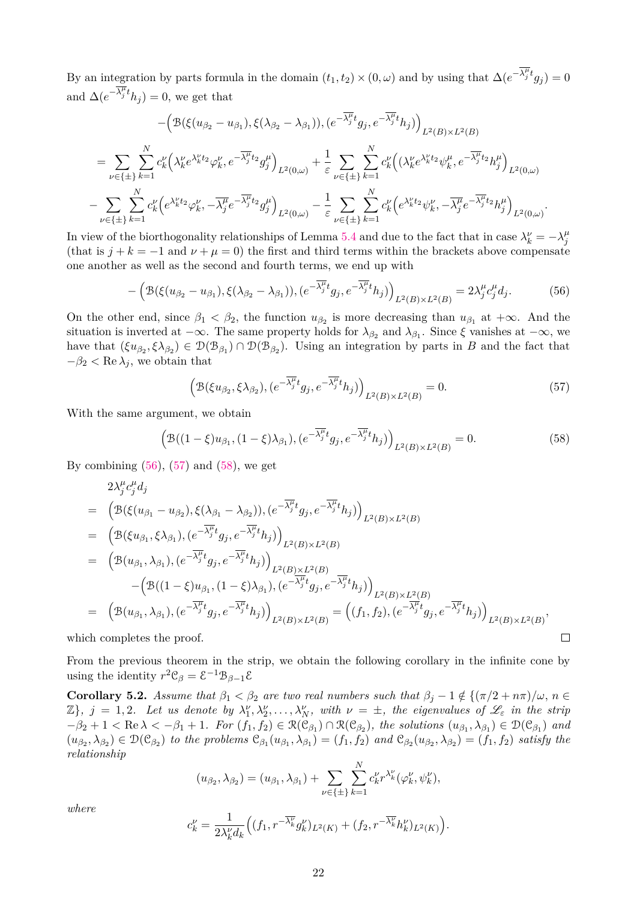By an integration by parts formula in the domain  $(t_1, t_2) \times (0, \omega)$  and by using that  $\Delta(e^{-\overline{\lambda_j^{\mu}}t}g_j) = 0$ and  $\Delta(e^{-\overline{\lambda_j^{\mu}}t}h_j) = 0$ , we get that

$$
-\left(\mathcal{B}(\xi(u_{\beta_{2}}-u_{\beta_{1}}),\xi(\lambda_{\beta_{2}}-\lambda_{\beta_{1}})),(e^{-\overline{\lambda_{j}^{\mu}}t}g_{j},e^{-\overline{\lambda_{j}^{\mu}}t}h_{j})\right)_{L^{2}(B)\times L^{2}(B)}
$$
\n
$$
=\sum_{\nu\in\{\pm\}}\sum_{k=1}^{N}c_{k}^{\nu}\left(\lambda_{k}^{\nu}e^{\lambda_{k}^{\nu}t_{2}}\varphi_{k}^{\nu},e^{-\overline{\lambda_{j}^{\mu}}t_{2}}g_{j}^{\mu}\right)_{L^{2}(0,\omega)}+\frac{1}{\varepsilon}\sum_{\nu\in\{\pm\}}\sum_{k=1}^{N}c_{k}^{\nu}\left((\lambda_{k}^{\nu}e^{\lambda_{k}^{\nu}t_{2}}\psi_{k}^{\mu},e^{-\overline{\lambda_{j}^{\mu}}t_{2}}h_{j}^{\mu}\right)_{L^{2}(0,\omega)}-\sum_{\nu\in\{\pm\}}\sum_{k=1}^{N}c_{k}^{\nu}\left(e^{\lambda_{k}^{\nu}t_{2}}\varphi_{k}^{\nu},-\overline{\lambda_{j}^{\mu}}e^{-\overline{\lambda_{j}^{\mu}}t_{2}}g_{j}^{\mu}\right)_{L^{2}(0,\omega)}-\frac{1}{\varepsilon}\sum_{\nu\in\{\pm\}}\sum_{k=1}^{N}c_{k}^{\nu}\left(e^{\lambda_{k}^{\nu}t_{2}}\psi_{k}^{\nu},-\overline{\lambda_{j}^{\mu}}e^{-\overline{\lambda_{j}^{\mu}}t_{2}}h_{j}^{\mu}\right)_{L^{2}(0,\omega)}.
$$

In view of the biorthogonality relationships of Lemma [5.4](#page-19-3) and due to the fact that in case  $\lambda_k^{\nu} = -\lambda_j^{\mu}$ *j* (that is  $j + k = -1$  and  $\nu + \mu = 0$ ) the first and third terms within the brackets above compensate one another as well as the second and fourth terms, we end up with

<span id="page-21-0"></span>
$$
-\left(\mathcal{B}(\xi(u_{\beta_2}-u_{\beta_1}),\xi(\lambda_{\beta_2}-\lambda_{\beta_1})),(e^{-\overline{\lambda_j^{\mu}}t}g_j,e^{-\overline{\lambda_j^{\mu}}t}h_j)\right)_{L^2(B)\times L^2(B)}=2\lambda_j^{\mu}c_j^{\mu}d_j.
$$
 (56)

On the other end, since  $\beta_1 < \beta_2$ , the function  $u_{\beta_2}$  is more decreasing than  $u_{\beta_1}$  at  $+\infty$ . And the situation is inverted at  $-\infty$ . The same property holds for  $\lambda_{\beta_2}$  and  $\lambda_{\beta_1}$ . Since  $\xi$  vanishes at  $-\infty$ , we have that  $(\xi u_{\beta_2}, \xi \lambda_{\beta_2}) \in \mathcal{D}(\mathcal{B}_{\beta_1}) \cap \mathcal{D}(\mathcal{B}_{\beta_2})$ . Using an integration by parts in *B* and the fact that  $-\beta_2 < \text{Re }\lambda_i$ , we obtain that

<span id="page-21-1"></span>
$$
\left(\mathcal{B}(\xi u_{\beta_2}, \xi \lambda_{\beta_2}), (e^{-\overline{\lambda_j^{\mu}}t} g_j, e^{-\overline{\lambda_j^{\mu}}t} h_j)\right)_{L^2(B) \times L^2(B)} = 0. \tag{57}
$$

With the same argument, we obtain

<span id="page-21-2"></span>
$$
\left(\mathcal{B}((1-\xi)u_{\beta_1}, (1-\xi)\lambda_{\beta_1}), (e^{-\overline{\lambda_j^{\mu}}t}g_j, e^{-\overline{\lambda_j^{\mu}}t}h_j)\right)_{L^2(B)\times L^2(B)} = 0.
$$
\n(58)

By combining  $(56)$ ,  $(57)$  and  $(58)$ , we get

$$
2\lambda_j^{\mu} c_j^{\mu} d_j
$$
  
\n
$$
= \left(\mathcal{B}(\xi(u_{\beta_1} - u_{\beta_2}), \xi(\lambda_{\beta_1} - \lambda_{\beta_2})), (e^{-\overline{\lambda_j^{\mu}}t} g_j, e^{-\overline{\lambda_j^{\mu}}t} h_j)\right)_{L^2(B) \times L^2(B)}
$$
  
\n
$$
= \left(\mathcal{B}(\xi u_{\beta_1}, \xi \lambda_{\beta_1}), (e^{-\overline{\lambda_j^{\mu}}t} g_j, e^{-\overline{\lambda_j^{\mu}}t} h_j)\right)_{L^2(B) \times L^2(B)}
$$
  
\n
$$
= \left(\mathcal{B}(u_{\beta_1}, \lambda_{\beta_1}), (e^{-\overline{\lambda_j^{\mu}}t} g_j, e^{-\overline{\lambda_j^{\mu}}t} h_j)\right)_{L^2(B) \times L^2(B)}
$$
  
\n
$$
- \left(\mathcal{B}((1 - \xi)u_{\beta_1}, (1 - \xi)\lambda_{\beta_1}), (e^{-\overline{\lambda_j^{\mu}}t} g_j, e^{-\overline{\lambda_j^{\mu}}t} h_j)\right)_{L^2(B) \times L^2(B)}
$$
  
\n
$$
= \left(\mathcal{B}(u_{\beta_1}, \lambda_{\beta_1}), (e^{-\overline{\lambda_j^{\mu}}t} g_j, e^{-\overline{\lambda_j^{\mu}}t} h_j)\right)_{L^2(B) \times L^2(B)} = \left((f_1, f_2), (e^{-\overline{\lambda_j^{\mu}}t} g_j, e^{-\overline{\lambda_j^{\mu}}t} h_j)\right)_{L^2(B) \times L^2(B)}
$$
  
\n
$$
= \left(\mathcal{B}(u_{\beta_1}, \lambda_{\beta_1}), (e^{-\overline{\lambda_j^{\mu}}t} g_j, e^{-\overline{\lambda_j^{\mu}}t} h_j)\right)_{L^2(B) \times L^2(B)} = \left((f_1, f_2), (e^{-\overline{\lambda_j^{\mu}}t} g_j, e^{-\overline{\lambda_j^{\mu}}t} h_j)\right)_{L^2(B) \times L^2(B)}
$$
  
\n
$$
\Box
$$

which completes the proof.

From the previous theorem in the strip, we obtain the following corollary in the infinite cone by using the identity  $r^2 \mathcal{C}_{\beta} = \mathcal{E}^{-1} \mathcal{B}_{\beta-1} \mathcal{E}$ 

<span id="page-21-3"></span>**Corollary 5.2.** *Assume that*  $\beta_1 < \beta_2$  *are two real numbers such that*  $\beta_i - 1 \notin \{(\pi/2 + n\pi)/\omega, n \in \mathbb{R}\}$  $\mathbb{Z}$ ,  $j = 1, 2$ . Let us denote by  $\lambda_1^{\nu}, \lambda_2^{\nu}, \ldots, \lambda_N^{\nu}$ , with  $\nu = \pm$ , the eigenvalues of  $\mathscr{L}_{\varepsilon}$  in the strip  $-\beta_2 + 1 < \text{Re } \lambda < -\beta_1 + 1$ . For  $(f_1, f_2) \in \mathcal{R}(\mathcal{C}_{\beta_1}) \cap \mathcal{R}(\mathcal{C}_{\beta_2})$ , the solutions  $(u_{\beta_1}, \lambda_{\beta_1}) \in \mathcal{D}(\mathcal{C}_{\beta_1})$  and  $(u_{\beta_2},\lambda_{\beta_2})\in\mathcal{D}(\mathcal{C}_{\beta_2})$  to the problems  $\mathcal{C}_{\beta_1}(u_{\beta_1},\lambda_{\beta_1})=(f_1,f_2)$  and  $\mathcal{C}_{\beta_2}(u_{\beta_2},\lambda_{\beta_2})=(f_1,f_2)$  satisfy the *relationship*

$$
(u_{\beta_2}, \lambda_{\beta_2}) = (u_{\beta_1}, \lambda_{\beta_1}) + \sum_{\nu \in \{\pm\}} \sum_{k=1}^N c_k^{\nu} r^{\lambda_k^{\nu}} (\varphi_k^{\nu}, \psi_k^{\nu}),
$$

*where*

$$
c_k^{\nu} = \frac{1}{2\lambda_k^{\nu} d_k} \Big( (f_1, r^{-\overline{\lambda_k^{\nu}}} g_k^{\nu})_{L^2(K)} + (f_2, r^{-\overline{\lambda_k^{\nu}}} h_k^{\nu})_{L^2(K)} \Big).
$$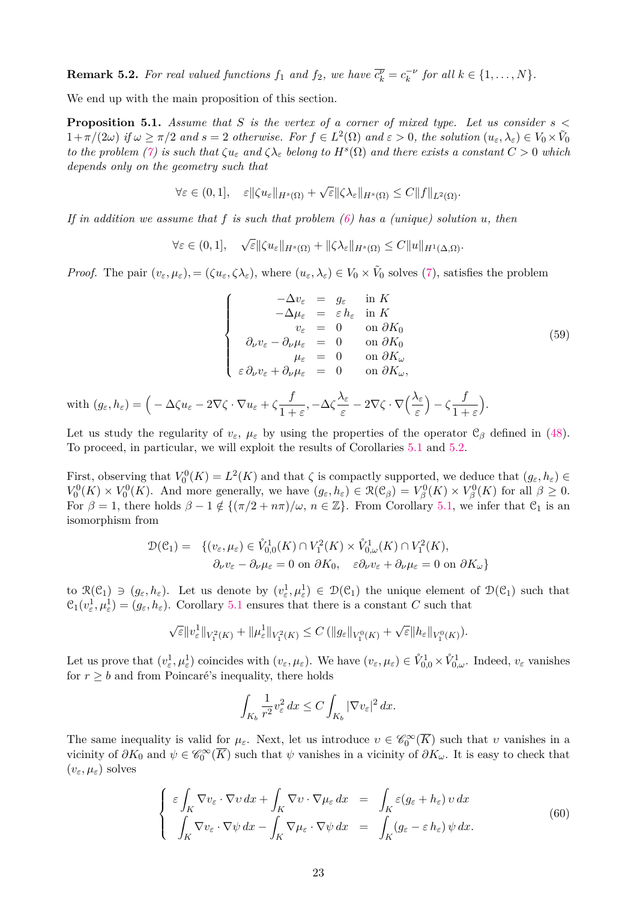**Remark 5.2.** For real valued functions  $f_1$  and  $f_2$ , we have  $\overline{c_k^{\nu}} = c_k^{-\nu}$  for all  $k \in \{1, ..., N\}$ .

We end up with the main proposition of this section.

<span id="page-22-0"></span>**Proposition 5.1.** *Assume that S is the vertex of a corner of mixed type. Let us consider s <*  $1+\pi/(2\omega)$  if  $\omega \ge \pi/2$  and  $s=2$  otherwise. For  $f \in L^2(\Omega)$  and  $\varepsilon > 0$ , the solution  $(u_{\varepsilon}, \lambda_{\varepsilon}) \in V_0 \times \tilde{V}_0$ *to the problem* [\(7\)](#page-3-1) *is such that*  $\zeta u_{\varepsilon}$  *and*  $\zeta \lambda_{\varepsilon}$  *belong to*  $H^{s}(\Omega)$  *and there exists a constant*  $C > 0$  *which depends only on the geometry such that*

$$
\forall \varepsilon \in (0,1], \quad \varepsilon \|\zeta u_{\varepsilon}\|_{H^{s}(\Omega)} + \sqrt{\varepsilon} \|\zeta \lambda_{\varepsilon}\|_{H^{s}(\Omega)} \leq C \|f\|_{L^{2}(\Omega)}.
$$

*If in addition we assume that f is such that problem [\(6\)](#page-3-0) has a (unique) solution u, then*

$$
\forall \varepsilon \in (0,1], \quad \sqrt{\varepsilon} \|\zeta u_{\varepsilon}\|_{H^s(\Omega)} + \|\zeta \lambda_{\varepsilon}\|_{H^s(\Omega)} \leq C \|u\|_{H^1(\Delta,\Omega)}.
$$

*Proof.* The pair  $(v_{\varepsilon}, \mu_{\varepsilon})$ , =  $(\zeta u_{\varepsilon}, \zeta \lambda_{\varepsilon})$ , where  $(u_{\varepsilon}, \lambda_{\varepsilon}) \in V_0 \times V_0$  solves [\(7\)](#page-3-1), satisfies the problem

$$
\begin{cases}\n-\Delta v_{\varepsilon} = g_{\varepsilon} & \text{in } K \\
-\Delta \mu_{\varepsilon} = \varepsilon h_{\varepsilon} & \text{in } K \\
v_{\varepsilon} = 0 & \text{on } \partial K_0 \\
\partial_{\nu} v_{\varepsilon} - \partial_{\nu} \mu_{\varepsilon} = 0 & \text{on } \partial K_0 \\
\mu_{\varepsilon} = 0 & \text{on } \partial K_{\omega} \\
\varepsilon \partial_{\nu} v_{\varepsilon} + \partial_{\nu} \mu_{\varepsilon} = 0 & \text{on } \partial K_{\omega},\n\end{cases}
$$
\n(59)

with  $(g_{\varepsilon}, h_{\varepsilon}) = \left(-\Delta \zeta u_{\varepsilon} - 2\nabla \zeta \cdot \nabla u_{\varepsilon} + \zeta \frac{f}{1+v_{\varepsilon}}\right)$  $\frac{f}{1+\varepsilon}, -\Delta\zeta\frac{\lambda_{\varepsilon}}{\varepsilon}$  $\frac{\lambda_{\varepsilon}}{\varepsilon} - 2\nabla \zeta \cdot \nabla \Big( \frac{\lambda_{\varepsilon}}{\varepsilon} \Big)$  $(-\zeta_{1}^{-1})$ 1 + *ε* .

Let us study the regularity of  $v_{\varepsilon}$ ,  $\mu_{\varepsilon}$  by using the properties of the operator  $\mathcal{C}_{\beta}$  defined in [\(48\)](#page-18-1). To proceed, in particular, we will exploit the results of Corollaries [5.1](#page-18-2) and [5.2.](#page-21-3)

First, observing that  $V_0^0(K) = L^2(K)$  and that  $\zeta$  is compactly supported, we deduce that  $(g_{\varepsilon}, h_{\varepsilon}) \in$  $V_0^0(K) \times V_0^0(K)$ . And more generally, we have  $(g_{\varepsilon}, h_{\varepsilon}) \in \mathcal{R}(\mathcal{C}_{\beta}) = V_{\beta}^0(K) \times V_{\beta}^0(K)$  for all  $\beta \geq 0$ . For  $\beta = 1$ , there holds  $\beta - 1 \notin \{(\pi/2 + n\pi)/\omega, n \in \mathbb{Z}\}\.$  From Corollary [5.1,](#page-18-2) we infer that  $\mathcal{C}_1$  is an isomorphism from

$$
\mathcal{D}(\mathcal{C}_1) = \{ (v_{\varepsilon}, \mu_{\varepsilon}) \in \mathring{V}_{0,0}^1(K) \cap V_1^2(K) \times \mathring{V}_{0,\omega}^1(K) \cap V_1^2(K), \partial_{\nu}v_{\varepsilon} - \partial_{\nu}\mu_{\varepsilon} = 0 \text{ on } \partial K_0, \quad \varepsilon\partial_{\nu}v_{\varepsilon} + \partial_{\nu}\mu_{\varepsilon} = 0 \text{ on } \partial K_{\omega} \}
$$

to  $\mathcal{R}(\mathcal{C}_1) \ni (g_{\varepsilon}, h_{\varepsilon})$ . Let us denote by  $(v_{\varepsilon}^1, \mu_{\varepsilon}^1) \in \mathcal{D}(\mathcal{C}_1)$  the unique element of  $\mathcal{D}(\mathcal{C}_1)$  such that  $C_1(v_\varepsilon^1, \mu_\varepsilon^1) = (g_\varepsilon, h_\varepsilon)$ . Corollary [5.1](#page-18-2) ensures that there is a constant *C* such that

$$
\sqrt{\varepsilon}||v_{\varepsilon}^{1}||_{V_{1}^{2}(K)}+||\mu_{\varepsilon}^{1}||_{V_{1}^{2}(K)}\leq C\left(||g_{\varepsilon}||_{V_{1}^{0}(K)}+\sqrt{\varepsilon}||h_{\varepsilon}||_{V_{1}^{0}(K)}\right).
$$

Let us prove that  $(v_\varepsilon^1, \mu_\varepsilon^1)$  coincides with  $(v_\varepsilon, \mu_\varepsilon)$ . We have  $(v_\varepsilon, \mu_\varepsilon) \in \mathring{V}_{0,0}^1 \times \mathring{V}_{0,\omega}^1$ . Indeed,  $v_\varepsilon$  vanishes for  $r \geq b$  and from Poincaré's inequality, there holds

$$
\int_{K_b} \frac{1}{r^2} v_\varepsilon^2 \, dx \le C \int_{K_b} |\nabla v_\varepsilon|^2 \, dx.
$$

The same inequality is valid for  $\mu_{\varepsilon}$ . Next, let us introduce  $v \in \mathscr{C}_0^{\infty}(\overline{K})$  such that *v* vanishes in a vicinity of  $\partial K_0$  and  $\psi \in \mathscr{C}_0^\infty(\overline{K})$  such that  $\psi$  vanishes in a vicinity of  $\partial K_\omega$ . It is easy to check that  $(v_{\varepsilon}, \mu_{\varepsilon})$  solves

<span id="page-22-1"></span>
$$
\begin{cases}\n\varepsilon \int_{K} \nabla v_{\varepsilon} \cdot \nabla v \, dx + \int_{K} \nabla v \cdot \nabla \mu_{\varepsilon} \, dx & = \int_{K} \varepsilon (g_{\varepsilon} + h_{\varepsilon}) \, v \, dx \\
\int_{K} \nabla v_{\varepsilon} \cdot \nabla \psi \, dx - \int_{K} \nabla \mu_{\varepsilon} \cdot \nabla \psi \, dx & = \int_{K} (g_{\varepsilon} - \varepsilon \, h_{\varepsilon}) \, \psi \, dx.\n\end{cases} \tag{60}
$$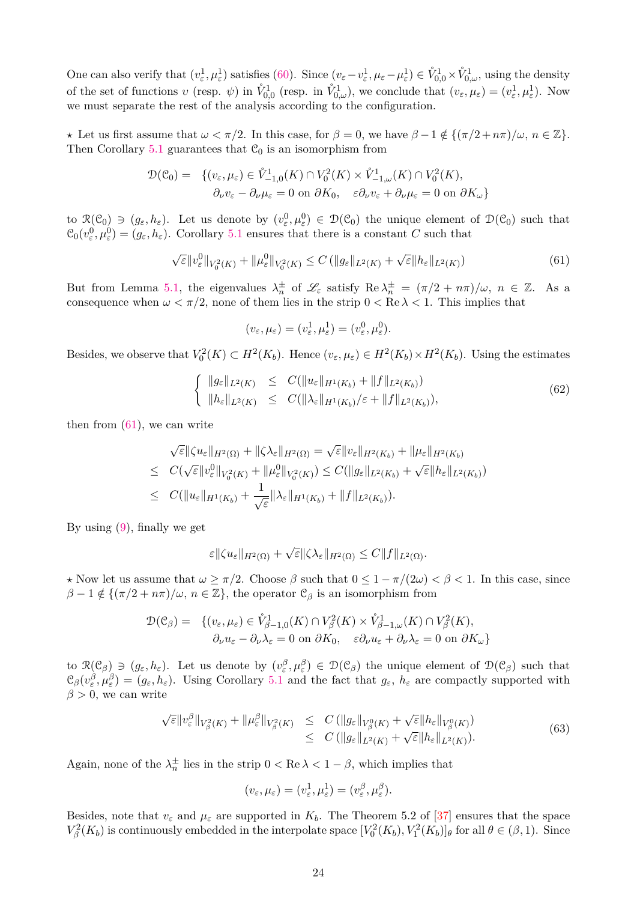One can also verify that  $(v_{\varepsilon}^1, \mu_{\varepsilon}^1)$  satisfies [\(60\)](#page-22-1). Since  $(v_{\varepsilon}-v_{\varepsilon}^1, \mu_{\varepsilon}-\mu_{\varepsilon}^1) \in \mathring{V}_{0,0}^1 \times \mathring{V}_{0,\omega}^1$ , using the density of the set of functions *v* (resp.  $\psi$ ) in  $\mathring{V}_{0,0}^1$  (resp. in  $\mathring{V}_{0,\omega}^1$ ), we conclude that  $(v_\varepsilon, \mu_\varepsilon) = (v_\varepsilon^1, \mu_\varepsilon^1)$ . Now we must separate the rest of the analysis according to the configuration.

 $\star$  Let us first assume that  $\omega < \pi/2$ . In this case, for  $\beta = 0$ , we have  $\beta - 1 \notin \{ (\pi/2 + n\pi)/\omega, n \in \mathbb{Z} \}.$ Then Corollary [5.1](#page-18-2) guarantees that  $C_0$  is an isomorphism from

$$
\mathcal{D}(\mathcal{C}_0) = \{ (v_{\varepsilon}, \mu_{\varepsilon}) \in \mathring{V}_{-1,0}^1(K) \cap V_0^2(K) \times \mathring{V}_{-1,\omega}^1(K) \cap V_0^2(K),
$$
  

$$
\partial_{\nu} v_{\varepsilon} - \partial_{\nu} \mu_{\varepsilon} = 0 \text{ on } \partial K_0, \quad \varepsilon \partial_{\nu} v_{\varepsilon} + \partial_{\nu} \mu_{\varepsilon} = 0 \text{ on } \partial K_{\omega} \}
$$

to  $\mathcal{R}(\mathcal{C}_0) \ni (g_{\varepsilon}, h_{\varepsilon})$ . Let us denote by  $(v_{\varepsilon}^0, \mu_{\varepsilon}^0) \in \mathcal{D}(\mathcal{C}_0)$  the unique element of  $\mathcal{D}(\mathcal{C}_0)$  such that  $C_0(v_\varepsilon^0, \mu_\varepsilon^0) = (g_\varepsilon, h_\varepsilon)$ . Corollary [5.1](#page-18-2) ensures that there is a constant *C* such that

<span id="page-23-0"></span>
$$
\sqrt{\varepsilon} \|v_{\varepsilon}^{0}\|_{V_{0}^{2}(K)} + \|\mu_{\varepsilon}^{0}\|_{V_{0}^{2}(K)} \leq C \left( \|g_{\varepsilon}\|_{L^{2}(K)} + \sqrt{\varepsilon} \|h_{\varepsilon}\|_{L^{2}(K)} \right) \tag{61}
$$

But from Lemma [5.1,](#page-13-2) the eigenvalues  $\lambda_n^{\pm}$  of  $\mathscr{L}_{\varepsilon}$  satisfy  $\text{Re }\lambda_n^{\pm} = (\pi/2 + n\pi)/\omega, n \in \mathbb{Z}$ . As a consequence when  $\omega < \pi/2$ , none of them lies in the strip  $0 < \text{Re }\lambda < 1$ . This implies that

$$
(v_{\varepsilon}, \mu_{\varepsilon}) = (v_{\varepsilon}^1, \mu_{\varepsilon}^1) = (v_{\varepsilon}^0, \mu_{\varepsilon}^0).
$$

Besides, we observe that  $V_0^2(K) \subset H^2(K_b)$ . Hence  $(v_\varepsilon, \mu_\varepsilon) \in H^2(K_b) \times H^2(K_b)$ . Using the estimates

<span id="page-23-1"></span>
$$
\begin{cases} \|\mathcal{g}_{\varepsilon}\|_{L^{2}(K)} \leq C(\|u_{\varepsilon}\|_{H^{1}(K_{b})} + \|f\|_{L^{2}(K_{b})}) \\ \|\mathcal{h}_{\varepsilon}\|_{L^{2}(K)} \leq C(\|\lambda_{\varepsilon}\|_{H^{1}(K_{b})}/\varepsilon + \|f\|_{L^{2}(K_{b})}), \end{cases}
$$
(62)

then from  $(61)$ , we can write

$$
\sqrt{\varepsilon} \|\zeta u_{\varepsilon}\|_{H^2(\Omega)} + \|\zeta \lambda_{\varepsilon}\|_{H^2(\Omega)} = \sqrt{\varepsilon} \|v_{\varepsilon}\|_{H^2(K_b)} + \|\mu_{\varepsilon}\|_{H^2(K_b)}
$$
  
\n
$$
\leq C(\sqrt{\varepsilon} \|v_{\varepsilon}^0\|_{V_0^2(K)} + \|\mu_{\varepsilon}^0\|_{V_0^2(K)}) \leq C(\|g_{\varepsilon}\|_{L^2(K_b)} + \sqrt{\varepsilon} \|h_{\varepsilon}\|_{L^2(K_b)})
$$
  
\n
$$
\leq C(\|u_{\varepsilon}\|_{H^1(K_b)} + \frac{1}{\sqrt{\varepsilon}} \|\lambda_{\varepsilon}\|_{H^1(K_b)} + \|f\|_{L^2(K_b)}).
$$

By using [\(9\)](#page-3-2), finally we get

$$
\varepsilon \|\zeta u_{\varepsilon}\|_{H^2(\Omega)} + \sqrt{\varepsilon} \|\zeta \lambda_{\varepsilon}\|_{H^2(\Omega)} \leq C \|f\|_{L^2(\Omega)}.
$$

 $\star$  Now let us assume that  $\omega \ge \pi/2$ . Choose  $\beta$  such that  $0 \le 1 - \pi/(2\omega) < \beta < 1$ . In this case, since  $\beta - 1 \notin \{ (\pi/2 + n\pi)/\omega, n \in \mathbb{Z} \},\$  the operator  $\mathcal{C}_{\beta}$  is an isomorphism from

$$
\mathcal{D}(\mathcal{C}_{\beta}) = \{ (v_{\varepsilon}, \mu_{\varepsilon}) \in \mathring{V}_{\beta-1,0}^1(K) \cap V_{\beta}^2(K) \times \mathring{V}_{\beta-1,\omega}^1(K) \cap V_{\beta}^2(K), \partial_{\nu}u_{\varepsilon} - \partial_{\nu}\lambda_{\varepsilon} = 0 \text{ on } \partial K_0, \quad \varepsilon \partial_{\nu}u_{\varepsilon} + \partial_{\nu}\lambda_{\varepsilon} = 0 \text{ on } \partial K_{\omega} \}
$$

to  $\mathcal{R}(\mathcal{C}_{\beta}) \ni (g_{\varepsilon}, h_{\varepsilon})$ . Let us denote by  $(v_{\varepsilon}^{\beta}, \mu_{\varepsilon}^{\beta}) \in \mathcal{D}(\mathcal{C}_{\beta})$  the unique element of  $\mathcal{D}(\mathcal{C}_{\beta})$  such that  $\mathcal{C}_{\beta}(v_{\varepsilon}^{\beta}, \mu_{\varepsilon}^{\beta}) = (g_{\varepsilon}, h_{\varepsilon})$ . Using Corollary [5.1](#page-18-2) and the fact that  $g_{\varepsilon}$ ,  $h_{\varepsilon}$  are compactly supported with  $\beta > 0$ , we can write

<span id="page-23-2"></span>
$$
\sqrt{\varepsilon} \|v_{\varepsilon}^{\beta}\|_{V_{\beta}^{2}(K)} + \|\mu_{\varepsilon}^{\beta}\|_{V_{\beta}^{2}(K)} \leq C (\|g_{\varepsilon}\|_{V_{\beta}^{0}(K)} + \sqrt{\varepsilon} \|h_{\varepsilon}\|_{V_{\beta}^{0}(K)})
$$
  

$$
\leq C (\|g_{\varepsilon}\|_{L^{2}(K)} + \sqrt{\varepsilon} \|h_{\varepsilon}\|_{L^{2}(K)}).
$$
 (63)

Again, none of the  $\lambda_n^{\pm}$  lies in the strip  $0 < \text{Re } \lambda < 1 - \beta$ , which implies that

$$
(v_{\varepsilon}, \mu_{\varepsilon}) = (v_{\varepsilon}^1, \mu_{\varepsilon}^1) = (v_{\varepsilon}^{\beta}, \mu_{\varepsilon}^{\beta}).
$$

Besides, note that  $v_{\varepsilon}$  and  $\mu_{\varepsilon}$  are supported in  $K_b$ . The Theorem 5.2 of [\[37\]](#page-34-4) ensures that the space  $V_\beta^2(K_b)$  is continuously embedded in the interpolate space  $[V_0^2(K_b), V_1^2(K_b)]_\theta$  for all  $\theta \in (\beta, 1)$ . Since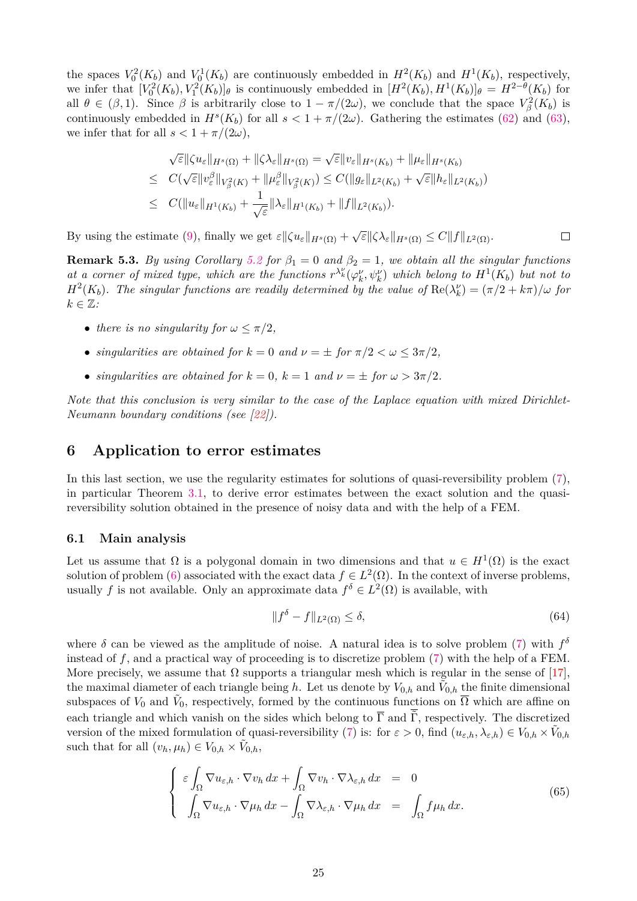the spaces  $V_0^2(K_b)$  and  $V_0^1(K_b)$  are continuously embedded in  $H^2(K_b)$  and  $H^1(K_b)$ , respectively, we infer that  $[V_0^2(K_b), V_1^2(K_b)]_\theta$  is continuously embedded in  $[H^2(K_b), H^1(K_b)]_\theta = H^{2-\theta}(K_b)$  for all  $\theta \in (\beta, 1)$ . Since  $\beta$  is arbitrarily close to  $1 - \pi/(2\omega)$ , we conclude that the space  $V_\beta^2(K_b)$  is continuously embedded in  $H^s(K_b)$  for all  $s < 1 + \pi/(2\omega)$ . Gathering the estimates [\(62\)](#page-23-1) and [\(63\)](#page-23-2), we infer that for all  $s < 1 + \pi/(2\omega)$ ,

$$
\sqrt{\varepsilon} \|\zeta u_{\varepsilon}\|_{H^{s}(\Omega)} + \|\zeta\lambda_{\varepsilon}\|_{H^{s}(\Omega)} = \sqrt{\varepsilon} \|v_{\varepsilon}\|_{H^{s}(K_{b})} + \|\mu_{\varepsilon}\|_{H^{s}(K_{b})}
$$
  
\n
$$
\leq C(\sqrt{\varepsilon} \|v_{\varepsilon}^{\beta}\|_{V_{\beta}^{2}(K)} + \|\mu_{\varepsilon}^{\beta}\|_{V_{\beta}^{2}(K)}) \leq C(\|g_{\varepsilon}\|_{L^{2}(K_{b})} + \sqrt{\varepsilon} \|h_{\varepsilon}\|_{L^{2}(K_{b})})
$$
  
\n
$$
\leq C(\|u_{\varepsilon}\|_{H^{1}(K_{b})} + \frac{1}{\sqrt{\varepsilon}} \|\lambda_{\varepsilon}\|_{H^{1}(K_{b})} + \|f\|_{L^{2}(K_{b})}).
$$

By using the estimate [\(9\)](#page-3-2), finally we get  $\varepsilon$   $\|\zeta u_{\varepsilon}\|_{H^{s}(\Omega)} + \sqrt{\varepsilon} \|\zeta \lambda_{\varepsilon}\|_{H^{s}(\Omega)} \leq C \|f\|_{L^{2}(\Omega)}$ .  $\Box$ 

**Remark 5.3.** *By using Corollary* [5.2](#page-21-3) *for*  $\beta_1 = 0$  *and*  $\beta_2 = 1$ *, we obtain all the singular functions at a corner of mixed type, which are the functions*  $r^{\lambda_k}(\varphi_k^{\nu}, \psi_k^{\nu})$  which belong to  $H^1(K_b)$  but not to *H*<sup>2</sup>( $K_b$ ). The singular functions are readily determined by the value of  $\text{Re}(\lambda_k^{\nu}) = (\pi/2 + k\pi)/\omega$  for  $k \in \mathbb{Z}$ *:* 

- *there is no singularity for*  $\omega \leq \pi/2$ ,
- *singularities are obtained for*  $k = 0$  *and*  $\nu = \pm$  *for*  $\pi/2 < \omega \leq 3\pi/2$ ,
- *singularities are obtained for*  $k = 0$ ,  $k = 1$  *and*  $\nu = \pm$  *for*  $\omega > 3\pi/2$ *.*

*Note that this conclusion is very similar to the case of the Laplace equation with mixed Dirichlet-Neumann boundary conditions (see [\[22\]](#page-33-16)).*

### <span id="page-24-0"></span>**6 Application to error estimates**

In this last section, we use the regularity estimates for solutions of quasi-reversibility problem  $(7)$ , in particular Theorem [3.1,](#page-7-0) to derive error estimates between the exact solution and the quasireversibility solution obtained in the presence of noisy data and with the help of a FEM.

### **6.1 Main analysis**

Let us assume that  $\Omega$  is a polygonal domain in two dimensions and that  $u \in H^1(\Omega)$  is the exact solution of problem [\(6\)](#page-3-0) associated with the exact data  $f \in L^2(\Omega)$ . In the context of inverse problems, usually *f* is not available. Only an approximate data  $f^{\delta} \in L^2(\Omega)$  is available, with

<span id="page-24-2"></span>
$$
||f^{\delta} - f||_{L^{2}(\Omega)} \leq \delta,
$$
\n(64)

where  $\delta$  can be viewed as the amplitude of noise. A natural idea is to solve problem [\(7\)](#page-3-1) with  $f^{\delta}$ instead of *f*, and a practical way of proceeding is to discretize problem [\(7\)](#page-3-1) with the help of a FEM. More precisely, we assume that  $\Omega$  supports a triangular mesh which is regular in the sense of [\[17\]](#page-33-23), the maximal diameter of each triangle being *h*. Let us denote by  $V_{0,h}$  and  $\tilde{V}_{0,h}$  the finite dimensional subspaces of  $V_0$  and  $\tilde{V}_0$ , respectively, formed by the continuous functions on  $\overline{\Omega}$  which are affine on each triangle and which vanish on the sides which belong to  $\overline{\Gamma}$  and  $\tilde{\Gamma}$ , respectively. The discretized version of the mixed formulation of quasi-reversibility [\(7\)](#page-3-1) is: for  $\varepsilon > 0$ , find  $(u_{\varepsilon,h}, \lambda_{\varepsilon,h}) \in V_{0,h} \times \tilde{V}_{0,h}$ such that for all  $(v_h, \mu_h) \in V_{0,h} \times \tilde{V}_{0,h}$ ,

<span id="page-24-1"></span>
$$
\begin{cases}\n\varepsilon \int_{\Omega} \nabla u_{\varepsilon,h} \cdot \nabla v_h \, dx + \int_{\Omega} \nabla v_h \cdot \nabla \lambda_{\varepsilon,h} \, dx = 0 \\
\int_{\Omega} \nabla u_{\varepsilon,h} \cdot \nabla \mu_h \, dx - \int_{\Omega} \nabla \lambda_{\varepsilon,h} \cdot \nabla \mu_h \, dx = \int_{\Omega} f \mu_h \, dx.\n\end{cases}
$$
\n(65)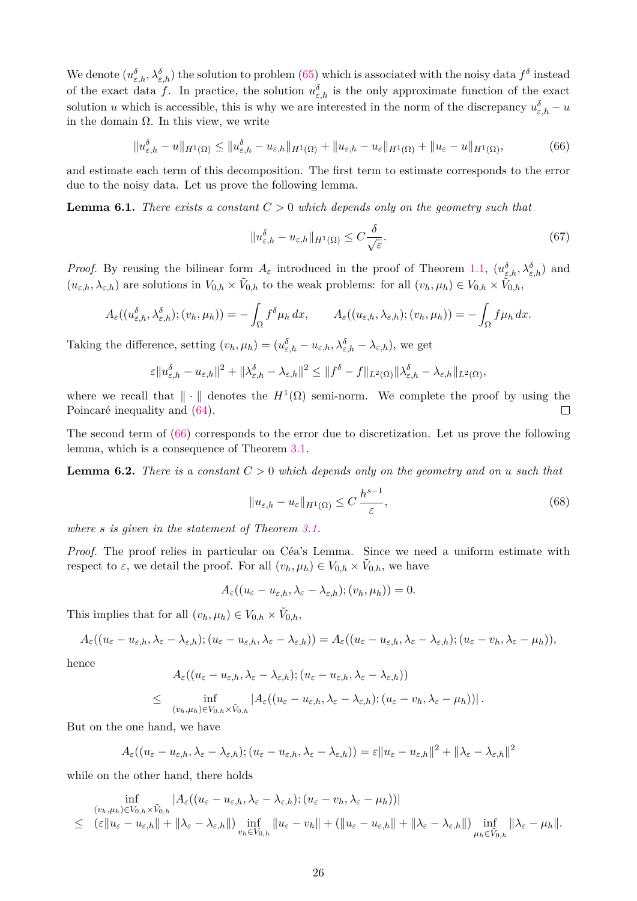We denote  $(u_{\varepsilon,h}^{\delta}, \lambda_{\varepsilon,h}^{\delta})$  the solution to problem [\(65\)](#page-24-1) which is associated with the noisy data  $f^{\delta}$  instead of the exact data f. In practice, the solution  $u_{\varepsilon,h}^{\delta}$  is the only approximate function of the exact solution *u* which is accessible, this is why we are interested in the norm of the discrepancy  $u_{\varepsilon,h}^{\delta} - u$ in the domain Ω. In this view, we write

<span id="page-25-0"></span>
$$
||u_{\varepsilon,h}^{\delta} - u||_{H^{1}(\Omega)} \le ||u_{\varepsilon,h}^{\delta} - u_{\varepsilon,h}||_{H^{1}(\Omega)} + ||u_{\varepsilon,h} - u_{\varepsilon}||_{H^{1}(\Omega)} + ||u_{\varepsilon} - u||_{H^{1}(\Omega)},
$$
\n(66)

and estimate each term of this decomposition. The first term to estimate corresponds to the error due to the noisy data. Let us prove the following lemma.

**Lemma 6.1.** *There exists a constant*  $C > 0$  *which depends only on the geometry such that* 

$$
||u_{\varepsilon,h}^{\delta} - u_{\varepsilon,h}||_{H^1(\Omega)} \le C \frac{\delta}{\sqrt{\varepsilon}}.
$$
\n(67)

*Proof.* By reusing the bilinear form  $A_{\varepsilon}$  introduced in the proof of Theorem [1.1,](#page-1-1)  $(u_{\varepsilon,h}^{\delta}, \lambda_{\varepsilon,h}^{\delta})$  and  $(u_{\varepsilon,h}, \lambda_{\varepsilon,h})$  are solutions in  $V_{0,h} \times V_{0,h}$  to the weak problems: for all  $(v_h, \mu_h) \in V_{0,h} \times V_{0,h}$ ,

$$
A_{\varepsilon}((u_{\varepsilon,h}^{\delta},\lambda_{\varepsilon,h}^{\delta});(v_h,\mu_h))=-\int_{\Omega}f^{\delta}\mu_h dx, \qquad A_{\varepsilon}((u_{\varepsilon,h},\lambda_{\varepsilon,h});(v_h,\mu_h))=-\int_{\Omega}f\mu_h dx.
$$

Taking the difference, setting  $(v_h, \mu_h) = (u_{\varepsilon,h}^{\delta} - u_{\varepsilon,h}, \lambda_{\varepsilon,h}^{\delta} - \lambda_{\varepsilon,h})$ , we get

$$
\varepsilon \|u_{\varepsilon,h}^\delta - u_{\varepsilon,h}\|^2 + \|\lambda_{\varepsilon,h}^\delta - \lambda_{\varepsilon,h}\|^2 \le \|f^\delta - f\|_{L^2(\Omega)} \|\lambda_{\varepsilon,h}^\delta - \lambda_{\varepsilon,h}\|_{L^2(\Omega)},
$$

where we recall that  $\|\cdot\|$  denotes the  $H^1(\Omega)$  semi-norm. We complete the proof by using the Poincaré inequality and [\(64\)](#page-24-2).  $\Box$ 

The second term of [\(66\)](#page-25-0) corresponds to the error due to discretization. Let us prove the following lemma, which is a consequence of Theorem [3.1.](#page-7-0)

**Lemma 6.2.** *There is a constant C >* 0 *which depends only on the geometry and on u such that*

<span id="page-25-1"></span>
$$
||u_{\varepsilon,h} - u_{\varepsilon}||_{H^1(\Omega)} \le C \frac{h^{s-1}}{\varepsilon},
$$
\n(68)

*where s is given in the statement of Theorem [3.1.](#page-7-0)*

*Proof.* The proof relies in particular on Céa's Lemma. Since we need a uniform estimate with respect to  $\varepsilon$ , we detail the proof. For all  $(v_h, \mu_h) \in V_{0,h} \times \tilde{V}_{0,h}$ , we have

$$
A_{\varepsilon}((u_{\varepsilon}-u_{\varepsilon,h},\lambda_{\varepsilon}-\lambda_{\varepsilon,h});(v_{h},\mu_{h}))=0.
$$

This implies that for all  $(v_h, \mu_h) \in V_{0,h} \times \tilde{V}_{0,h}$ ,

$$
A_{\varepsilon}((u_{\varepsilon}-u_{\varepsilon,h},\lambda_{\varepsilon}-\lambda_{\varepsilon,h});(u_{\varepsilon}-u_{\varepsilon,h},\lambda_{\varepsilon}-\lambda_{\varepsilon,h}))=A_{\varepsilon}((u_{\varepsilon}-u_{\varepsilon,h},\lambda_{\varepsilon}-\lambda_{\varepsilon,h});(u_{\varepsilon}-v_{h},\lambda_{\varepsilon}-\mu_{h})),
$$

hence

$$
A_{\varepsilon}((u_{\varepsilon}-u_{\varepsilon,h},\lambda_{\varepsilon}-\lambda_{\varepsilon,h});(u_{\varepsilon}-u_{\varepsilon,h},\lambda_{\varepsilon}-\lambda_{\varepsilon,h}))
$$
  

$$
\leq \inf_{(v_h,\mu_h)\in V_{0,h}\times \tilde{V}_{0,h}}|A_{\varepsilon}((u_{\varepsilon}-u_{\varepsilon,h},\lambda_{\varepsilon}-\lambda_{\varepsilon,h});(u_{\varepsilon}-v_h,\lambda_{\varepsilon}-\mu_h))|.
$$

But on the one hand, we have

$$
A_{\varepsilon}((u_{\varepsilon}-u_{\varepsilon,h},\lambda_{\varepsilon}-\lambda_{\varepsilon,h});(u_{\varepsilon}-u_{\varepsilon,h},\lambda_{\varepsilon}-\lambda_{\varepsilon,h}))=\varepsilon||u_{\varepsilon}-u_{\varepsilon,h}||^2+||\lambda_{\varepsilon}-\lambda_{\varepsilon,h}||^2
$$

while on the other hand, there holds

$$
\inf_{(v_h,\mu_h)\in V_{0,h}\times \tilde{V}_{0,h}}|A_{\varepsilon}((u_{\varepsilon}-u_{\varepsilon,h},\lambda_{\varepsilon}-\lambda_{\varepsilon,h});(u_{\varepsilon}-v_h,\lambda_{\varepsilon}-\mu_h))|\leq (\varepsilon||u_{\varepsilon}-u_{\varepsilon,h}||+||\lambda_{\varepsilon}-\lambda_{\varepsilon,h}||)\inf_{v_h\in V_{0,h}}||u_{\varepsilon}-v_h||+(||u_{\varepsilon}-u_{\varepsilon,h}||+||\lambda_{\varepsilon}-\lambda_{\varepsilon,h}||)\inf_{\mu_h\in \tilde{V}_{0,h}}||\lambda_{\varepsilon}-\mu_h||.
$$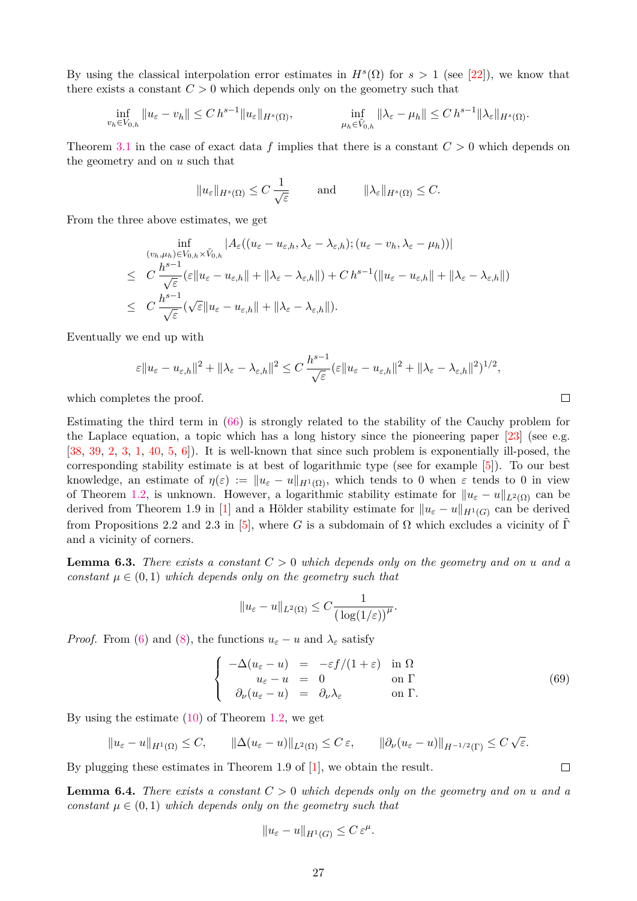By using the classical interpolation error estimates in  $H^s(\Omega)$  for  $s > 1$  (see [\[22\]](#page-33-16)), we know that there exists a constant  $C > 0$  which depends only on the geometry such that

$$
\inf_{v_h \in V_{0,h}} \|u_{\varepsilon} - v_h\| \le C h^{s-1} \|u_{\varepsilon}\|_{H^s(\Omega)}, \qquad \inf_{\mu_h \in \tilde{V}_{0,h}} \|\lambda_{\varepsilon} - \mu_h\| \le C h^{s-1} \|\lambda_{\varepsilon}\|_{H^s(\Omega)}.
$$

Theorem [3.1](#page-7-0) in the case of exact data *f* implies that there is a constant *C >* 0 which depends on the geometry and on *u* such that

$$
||u_{\varepsilon}||_{H^{s}(\Omega)} \leq C \frac{1}{\sqrt{\varepsilon}}
$$
 and  $||\lambda_{\varepsilon}||_{H^{s}(\Omega)} \leq C.$ 

From the three above estimates, we get

$$
\inf_{(v_h,\mu_h)\in V_{0,h}\times \tilde{V}_{0,h}} |A_{\varepsilon}((u_{\varepsilon}-u_{\varepsilon,h},\lambda_{\varepsilon}-\lambda_{\varepsilon,h});(u_{\varepsilon}-v_h,\lambda_{\varepsilon}-\mu_h))|
$$
\n
$$
\leq C \frac{h^{s-1}}{\sqrt{\varepsilon}} (\varepsilon \|u_{\varepsilon}-u_{\varepsilon,h}\| + \|\lambda_{\varepsilon}-\lambda_{\varepsilon,h}\|) + C h^{s-1}(\|u_{\varepsilon}-u_{\varepsilon,h}\| + \|\lambda_{\varepsilon}-\lambda_{\varepsilon,h}\|)
$$
\n
$$
\leq C \frac{h^{s-1}}{\sqrt{\varepsilon}} (\sqrt{\varepsilon}\|u_{\varepsilon}-u_{\varepsilon,h}\| + \|\lambda_{\varepsilon}-\lambda_{\varepsilon,h}\|).
$$

Eventually we end up with

$$
\varepsilon \|u_{\varepsilon}-u_{\varepsilon,h}\|^2 + \|\lambda_{\varepsilon}-\lambda_{\varepsilon,h}\|^2 \leq C \frac{h^{s-1}}{\sqrt{\varepsilon}} (\varepsilon \|u_{\varepsilon}-u_{\varepsilon,h}\|^2 + \|\lambda_{\varepsilon}-\lambda_{\varepsilon,h}\|^2)^{1/2},
$$

which completes the proof.

Estimating the third term in [\(66\)](#page-25-0) is strongly related to the stability of the Cauchy problem for the Laplace equation, a topic which has a long history since the pioneering paper  $[23]$  (see e.g. [\[38,](#page-34-5) [39,](#page-34-6) [2,](#page-32-4) [3,](#page-32-0) [1,](#page-32-5) [40,](#page-34-7) [5,](#page-32-6) [6\]](#page-32-7)). It is well-known that since such problem is exponentially ill-posed, the corresponding stability estimate is at best of logarithmic type (see for example [\[5\]](#page-32-6)). To our best knowledge, an estimate of  $\eta(\varepsilon) := ||u_{\varepsilon} - u||_{H^1(\Omega)}$ , which tends to 0 when  $\varepsilon$  tends to 0 in view of Theorem [1.2,](#page-3-4) is unknown. However, a logarithmic stability estimate for  $||u_{\varepsilon} - u||_{L^2(\Omega)}$  can be derived from Theorem 1.9 in [\[1\]](#page-32-5) and a Hölder stability estimate for  $||u_{\varepsilon} - u||_{H^1(G)}$  can be derived from Propositions 2.2 and 2.3 in [\[5\]](#page-32-6), where *G* is a subdomain of  $\Omega$  which excludes a vicinity of Γ and a vicinity of corners.

<span id="page-26-1"></span>**Lemma 6.3.** *There exists a constant C >* 0 *which depends only on the geometry and on u and a constant*  $\mu \in (0,1)$  *which depends only on the geometry such that* 

$$
||u_{\varepsilon}-u||_{L^{2}(\Omega)} \leq C \frac{1}{(\log(1/\varepsilon))^{n}}.
$$

*Proof.* From [\(6\)](#page-3-0) and [\(8\)](#page-3-5), the functions  $u_{\varepsilon} - u$  and  $\lambda_{\varepsilon}$  satisfy

<span id="page-26-0"></span>
$$
\begin{cases}\n-\Delta(u_{\varepsilon} - u) &= -\varepsilon f/(1 + \varepsilon) \text{ in } \Omega \\
u_{\varepsilon} - u &= 0 \\
\partial_{\nu}(u_{\varepsilon} - u) &= \partial_{\nu}\lambda_{\varepsilon} \text{ on } \Gamma.\n\end{cases}
$$
\n(69)

By using the estimate  $(10)$  of Theorem [1.2,](#page-3-4) we get

$$
||u_{\varepsilon}-u||_{H^1(\Omega)} \leq C, \qquad ||\Delta(u_{\varepsilon}-u)||_{L^2(\Omega)} \leq C \, \varepsilon, \qquad ||\partial_{\nu}(u_{\varepsilon}-u)||_{H^{-1/2}(\Gamma)} \leq C \, \sqrt{\varepsilon}.
$$

By plugging these estimates in Theorem 1.9 of [\[1\]](#page-32-5), we obtain the result.

<span id="page-26-2"></span>**Lemma 6.4.** *There exists a constant*  $C > 0$  *which depends only on the geometry and on u and a constant*  $\mu \in (0,1)$  *which depends only on the geometry such that* 

$$
||u_{\varepsilon} - u||_{H^1(G)} \le C \, \varepsilon^{\mu}.
$$

 $\Box$ 

 $\Box$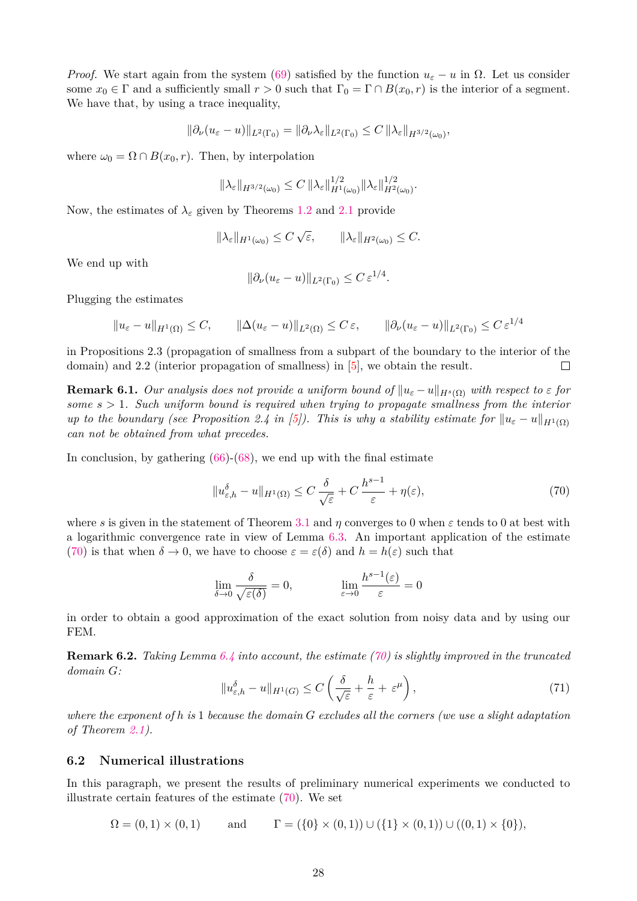*Proof.* We start again from the system [\(69\)](#page-26-0) satisfied by the function  $u_{\varepsilon} - u$  in  $\Omega$ . Let us consider some  $x_0 \in \Gamma$  and a sufficiently small  $r > 0$  such that  $\Gamma_0 = \Gamma \cap B(x_0, r)$  is the interior of a segment. We have that, by using a trace inequality,

$$
\|\partial_{\nu}(u_{\varepsilon}-u)\|_{L^{2}(\Gamma_{0})}=\|\partial_{\nu}\lambda_{\varepsilon}\|_{L^{2}(\Gamma_{0})}\leq C\,\|\lambda_{\varepsilon}\|_{H^{3/2}(\omega_{0})},
$$

where  $\omega_0 = \Omega \cap B(x_0, r)$ . Then, by interpolation

$$
\|\lambda_{\varepsilon}\|_{H^{3/2}(\omega_0)} \leq C \, \|\lambda_{\varepsilon}\|_{H^1(\omega_0)}^{1/2} \|\lambda_{\varepsilon}\|_{H^2(\omega_0)}^{1/2}.
$$

Now, the estimates of  $\lambda_{\varepsilon}$  given by Theorems [1.2](#page-3-4) and [2.1](#page-5-0) provide

$$
\|\lambda_{\varepsilon}\|_{H^1(\omega_0)} \le C\sqrt{\varepsilon}, \qquad \|\lambda_{\varepsilon}\|_{H^2(\omega_0)} \le C.
$$

We end up with

$$
\|\partial_{\nu}(u_{\varepsilon}-u)\|_{L^2(\Gamma_0)}\leq C\,\varepsilon^{1/4}.
$$

Plugging the estimates

$$
||u_{\varepsilon} - u||_{H^1(\Omega)} \leq C, \qquad ||\Delta(u_{\varepsilon} - u)||_{L^2(\Omega)} \leq C \varepsilon, \qquad ||\partial_\nu (u_{\varepsilon} - u)||_{L^2(\Gamma_0)} \leq C \varepsilon^{1/4}
$$

in Propositions 2.3 (propagation of smallness from a subpart of the boundary to the interior of the domain) and 2.2 (interior propagation of smallness) in [\[5\]](#page-32-6), we obtain the result.  $\Box$ 

**Remark 6.1.** *Our analysis does not provide a uniform bound of*  $||u_{\varepsilon} - u||_{H^{s}(\Omega)}$  *with respect to*  $\varepsilon$  *for some s >* 1*. Such uniform bound is required when trying to propagate smallness from the interior up to the boundary (see Proposition 2.4 in [\[5\]](#page-32-6)). This is why a stability estimate for*  $||u_{\varepsilon} - u||_{H^1(\Omega)}$ *can not be obtained from what precedes.*

In conclusion, by gathering  $(66)-(68)$  $(66)-(68)$  $(66)-(68)$ , we end up with the final estimate

<span id="page-27-0"></span>
$$
||u_{\varepsilon,h}^{\delta} - u||_{H^{1}(\Omega)} \leq C \frac{\delta}{\sqrt{\varepsilon}} + C \frac{h^{s-1}}{\varepsilon} + \eta(\varepsilon),
$$
\n(70)

where *s* is given in the statement of Theorem [3.1](#page-7-0) and *η* converges to 0 when  $\varepsilon$  tends to 0 at best with a logarithmic convergence rate in view of Lemma [6.3.](#page-26-1) An important application of the estimate [\(70\)](#page-27-0) is that when  $\delta \to 0$ , we have to choose  $\varepsilon = \varepsilon(\delta)$  and  $h = h(\varepsilon)$  such that

$$
\lim_{\delta \to 0} \frac{\delta}{\sqrt{\varepsilon(\delta)}} = 0, \qquad \lim_{\varepsilon \to 0} \frac{h^{s-1}(\varepsilon)}{\varepsilon} = 0
$$

in order to obtain a good approximation of the exact solution from noisy data and by using our FEM.

**Remark 6.2.** *Taking Lemma [6.4](#page-26-2) into account, the estimate [\(70\)](#page-27-0) is slightly improved in the truncated domain G:*

<span id="page-27-1"></span>
$$
||u_{\varepsilon,h}^{\delta} - u||_{H^1(G)} \le C\left(\frac{\delta}{\sqrt{\varepsilon}} + \frac{h}{\varepsilon} + \varepsilon^{\mu}\right),\tag{71}
$$

*where the exponent of h is* 1 *because the domain G excludes all the corners (we use a slight adaptation of Theorem [2.1\)](#page-5-0).*

### **6.2 Numerical illustrations**

In this paragraph, we present the results of preliminary numerical experiments we conducted to illustrate certain features of the estimate [\(70\)](#page-27-0). We set

$$
\Omega = (0,1) \times (0,1) \quad \text{and} \quad \Gamma = (\{0\} \times (0,1)) \cup (\{1\} \times (0,1)) \cup ((0,1) \times \{0\}),
$$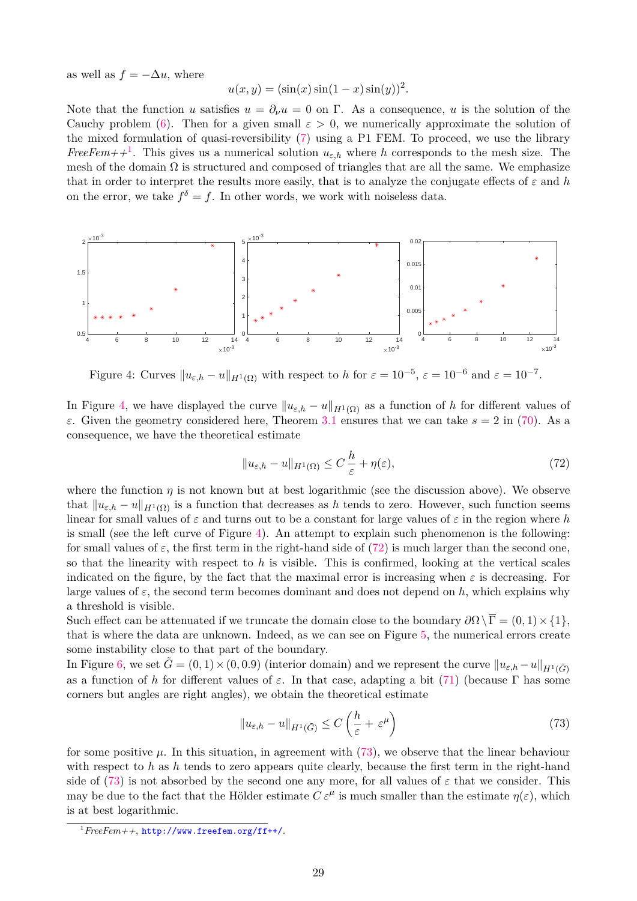as well as  $f = -\Delta u$ , where

$$
u(x, y) = (\sin(x) \sin(1 - x) \sin(y))^2
$$
.

Note that the function *u* satisfies  $u = \partial_\nu u = 0$  on  $\Gamma$ . As a consequence, *u* is the solution of the Cauchy problem [\(6\)](#page-3-0). Then for a given small  $\varepsilon > 0$ , we numerically approximate the solution of the mixed formulation of quasi-reversibility [\(7\)](#page-3-1) using a P1 FEM. To proceed, we use the library *FreeFem++*<sup>[1](#page-28-0)</sup>. This gives us a numerical solution  $u_{\varepsilon,h}$  where *h* corresponds to the mesh size. The mesh of the domain  $\Omega$  is structured and composed of triangles that are all the same. We emphasize that in order to interpret the results more easily, that is to analyze the conjugate effects of *ε* and *h* on the error, we take  $f^{\delta} = f$ . In other words, we work with noiseless data.



<span id="page-28-1"></span>Figure 4: Curves  $||u_{\varepsilon,h} - u||_{H^1(\Omega)}$  with respect to *h* for  $\varepsilon = 10^{-5}$ ,  $\varepsilon = 10^{-6}$  and  $\varepsilon = 10^{-7}$ .

In Figure [4,](#page-28-1) we have displayed the curve  $||u_{\varepsilon,h} - u||_{H^1(\Omega)}$  as a function of *h* for different values of *ε*. Given the geometry considered here, Theorem [3.1](#page-7-0) ensures that we can take *s* = 2 in [\(70\)](#page-27-0). As a consequence, we have the theoretical estimate

<span id="page-28-2"></span>
$$
||u_{\varepsilon,h} - u||_{H^1(\Omega)} \le C \frac{h}{\varepsilon} + \eta(\varepsilon),
$$
\n(72)

where the function  $\eta$  is not known but at best logarithmic (see the discussion above). We observe that  $||u_{\varepsilon,h} - u||_{H^1(\Omega)}$  is a function that decreases as *h* tends to zero. However, such function seems linear for small values of *ε* and turns out to be a constant for large values of *ε* in the region where *h* is small (see the left curve of Figure [4\)](#page-28-1). An attempt to explain such phenomenon is the following: for small values of  $\varepsilon$ , the first term in the right-hand side of [\(72\)](#page-28-2) is much larger than the second one. so that the linearity with respect to *h* is visible. This is confirmed, looking at the vertical scales indicated on the figure, by the fact that the maximal error is increasing when  $\varepsilon$  is decreasing. For large values of  $\varepsilon$ , the second term becomes dominant and does not depend on  $h$ , which explains why a threshold is visible.

Such effect can be attenuated if we truncate the domain close to the boundary  $\partial\Omega\setminus\overline{\Gamma} = (0,1)\times\{1\}$ , that is where the data are unknown. Indeed, as we can see on Figure [5,](#page-29-0) the numerical errors create some instability close to that part of the boundary.

In Figure [6,](#page-29-1) we set  $\tilde{G} = (0,1) \times (0,0.9)$  (interior domain) and we represent the curve  $||u_{\varepsilon,h} - u||_{H^1(\tilde{G})}$ as a function of *h* for different values of  $\varepsilon$ . In that case, adapting a bit [\(71\)](#page-27-1) (because  $\Gamma$  has some corners but angles are right angles), we obtain the theoretical estimate

<span id="page-28-3"></span>
$$
||u_{\varepsilon,h} - u||_{H^1(\tilde{G})} \le C\left(\frac{h}{\varepsilon} + \varepsilon^{\mu}\right)
$$
\n(73)

for some positive  $\mu$ . In this situation, in agreement with [\(73\)](#page-28-3), we observe that the linear behaviour with respect to *h* as *h* tends to zero appears quite clearly, because the first term in the right-hand side of [\(73\)](#page-28-3) is not absorbed by the second one any more, for all values of  $\varepsilon$  that we consider. This may be due to the fact that the Hölder estimate  $C \varepsilon^{\mu}$  is much smaller than the estimate  $\eta(\varepsilon)$ , which is at best logarithmic.

<span id="page-28-0"></span><sup>1</sup>*FreeFem++*, <http://www.freefem.org/ff++/>.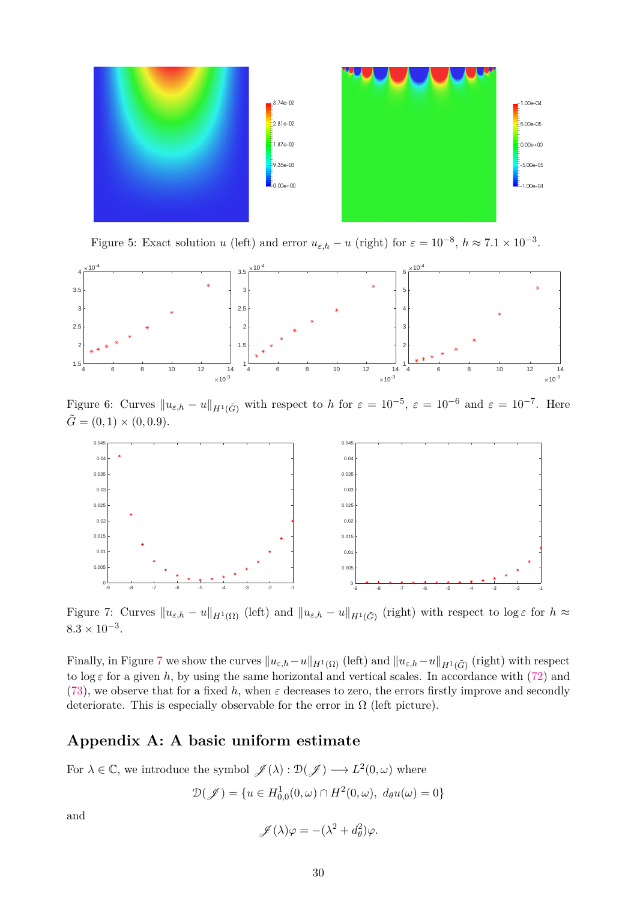

<span id="page-29-0"></span>Figure 5: Exact solution *u* (left) and error  $u_{\varepsilon,h} - u$  (right) for  $\varepsilon = 10^{-8}$ ,  $h \approx 7.1 \times 10^{-3}$ .



<span id="page-29-1"></span>Figure 6: Curves  $\|u_{\varepsilon,h} - u\|_{H^1(\tilde{G})}$  with respect to *h* for  $\varepsilon = 10^{-5}$ ,  $\varepsilon = 10^{-6}$  and  $\varepsilon = 10^{-7}$ . Here  $\tilde{G} = (0, 1) \times (0, 0.9).$ 



<span id="page-29-2"></span>Figure 7: Curves  $||u_{\varepsilon,h} - u||_{H^1(\Omega)}$  (left) and  $||u_{\varepsilon,h} - u||_{H^1(\tilde{G})}$  (right) with respect to log  $\varepsilon$  for  $h \approx$  $8.3 \times 10^{-3}$ .

Finally, in Figure [7](#page-29-2) we show the curves  $\|u_{\varepsilon,h}-u\|_{H^1(\Omega)}$  (left) and  $\|u_{\varepsilon,h}-u\|_{H^1(\tilde{G})}$  (right) with respect to  $\log \varepsilon$  for a given *h*, by using the same horizontal and vertical scales. In accordance with [\(72\)](#page-28-2) and [\(73\)](#page-28-3), we observe that for a fixed h, when  $\varepsilon$  decreases to zero, the errors firstly improve and secondly deteriorate. This is especially observable for the error in  $\Omega$  (left picture).

### **Appendix A: A basic uniform estimate**

For  $\lambda \in \mathbb{C}$ , we introduce the symbol  $\mathscr{J}(\lambda) : \mathcal{D}(\mathscr{J}) \longrightarrow L^2(0,\omega)$  where

$$
\mathcal{D}(\mathscr{J}) = \{ u \in H_{0,0}^1(0,\omega) \cap H^2(0,\omega), \ d_\theta u(\omega) = 0 \}
$$

and

 $\mathscr{J}(\lambda)\varphi = -(\lambda^2 + d_\theta^2)\varphi.$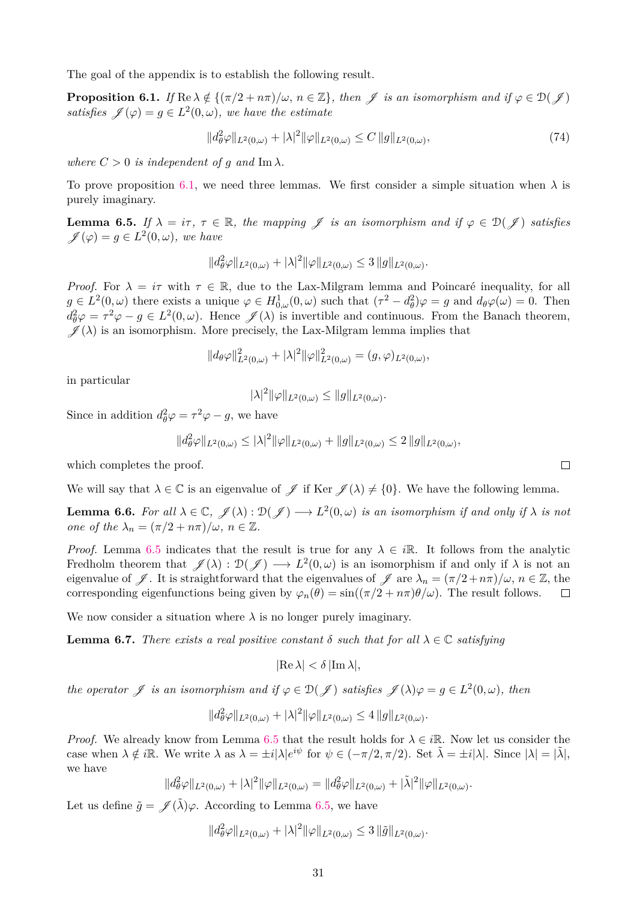The goal of the appendix is to establish the following result.

<span id="page-30-0"></span>**Proposition 6.1.** *If*  $\text{Re }\lambda \notin \{(\pi/2 + n\pi)/\omega, n \in \mathbb{Z}\}\$ , then  $\mathscr{J}$  *is an isomorphism and if*  $\varphi \in \mathcal{D}(\mathscr{J})$ *satisfies*  $\mathscr{J}(\varphi) = g \in L^2(0, \omega)$ *, we have the estimate* 

$$
||d_{\theta}^{2}\varphi||_{L^{2}(0,\omega)} + |\lambda|^{2} ||\varphi||_{L^{2}(0,\omega)} \leq C ||g||_{L^{2}(0,\omega)},
$$
\n(74)

*where*  $C > 0$  *is independent of g and* Im  $\lambda$ *.* 

To prove proposition [6.1,](#page-30-0) we need three lemmas. We first consider a simple situation when  $\lambda$  is purely imaginary.

<span id="page-30-1"></span>**Lemma 6.5.** *If*  $\lambda = i\tau$ ,  $\tau \in \mathbb{R}$ , the mapping  $\mathcal{J}$  is an isomorphism and if  $\varphi \in \mathcal{D}(\mathcal{J})$  satisfies  $\mathscr{J}(\varphi) = g \in L^2(0, \omega)$ , we have

$$
||d_{\theta}^2 \varphi||_{L^2(0,\omega)} + |\lambda|^2 ||\varphi||_{L^2(0,\omega)} \leq 3 ||g||_{L^2(0,\omega)}.
$$

*Proof.* For  $\lambda = i\tau$  with  $\tau \in \mathbb{R}$ , due to the Lax-Milgram lemma and Poincaré inequality, for all  $g \in L^2(0, \omega)$  there exists a unique  $\varphi \in H^1_{0, \omega}(0, \omega)$  such that  $(\tau^2 - d_\theta^2)\varphi = g$  and  $d_\theta \varphi(\omega) = 0$ . Then  $d_{\theta}^2 \varphi = \tau^2 \varphi - g \in L^2(0, \omega)$ . Hence  $\mathscr{J}(\lambda)$  is invertible and continuous. From the Banach theorem,  $\mathscr{J}(\lambda)$  is an isomorphism. More precisely, the Lax-Milgram lemma implies that

$$
||d_{\theta}\varphi||_{L^{2}(0,\omega)}^{2}+|\lambda|^{2}||\varphi||_{L^{2}(0,\omega)}^{2}=(g,\varphi)_{L^{2}(0,\omega)},
$$

in particular

$$
|\lambda|^2 \|\varphi\|_{L^2(0,\omega)} \le \|g\|_{L^2(0,\omega)}.
$$

Since in addition  $d_{\theta}^2 \varphi = \tau^2 \varphi - g$ , we have

$$
||d_{\theta}^{2}\varphi||_{L^{2}(0,\omega)} \leq |\lambda|^{2} ||\varphi||_{L^{2}(0,\omega)} + ||g||_{L^{2}(0,\omega)} \leq 2 ||g||_{L^{2}(0,\omega)},
$$

which completes the proof.

We will say that  $\lambda \in \mathbb{C}$  is an eigenvalue of  $\mathscr{J}$  if Ker  $\mathscr{J}(\lambda) \neq \{0\}$ . We have the following lemma.

<span id="page-30-3"></span>**Lemma 6.6.** For all  $\lambda \in \mathbb{C}$ ,  $\mathscr{J}(\lambda): \mathcal{D}(\mathscr{J}) \longrightarrow L^2(0,\omega)$  is an isomorphism if and only if  $\lambda$  is not *one of the*  $\lambda_n = (\pi/2 + n\pi)/\omega, n \in \mathbb{Z}$ .

*Proof.* Lemma [6.5](#page-30-1) indicates that the result is true for any  $\lambda \in i\mathbb{R}$ . It follows from the analytic Fredholm theorem that  $\mathscr{J}(\lambda) : \mathcal{D}(\mathscr{J}) \longrightarrow L^2(0,\omega)$  is an isomorphism if and only if  $\lambda$  is not an eigenvalue of  $\mathscr{J}$ . It is straightforward that the eigenvalues of  $\mathscr{J}$  are  $\lambda_n = (\pi/2 + n\pi)/\omega$ ,  $n \in \mathbb{Z}$ , the corresponding eigenfunctions being given by  $\varphi_n(\theta) = \sin((\pi/2 + n\pi)\theta/\omega)$ . The result follows.  $\Box$ 

We now consider a situation where  $\lambda$  is no longer purely imaginary.

<span id="page-30-2"></span>**Lemma 6.7.** *There exists a real positive constant*  $\delta$  *such that for all*  $\lambda \in \mathbb{C}$  *satisfying* 

$$
|\text{Re }\lambda| < \delta |\text{Im }\lambda|,
$$

*the operator*  $\mathscr{J}$  *is an isomorphism and if*  $\varphi \in \mathcal{D}(\mathscr{J})$  *satisfies*  $\mathscr{J}(\lambda)\varphi = g \in L^2(0,\omega)$ *, then* 

$$
||d_{\theta}^{2}\varphi||_{L^{2}(0,\omega)}+|\lambda|^{2}||\varphi||_{L^{2}(0,\omega)}\leq 4||g||_{L^{2}(0,\omega)}.
$$

*Proof.* We already know from Lemma [6.5](#page-30-1) that the result holds for  $\lambda \in i\mathbb{R}$ . Now let us consider the case when  $\lambda \notin i\mathbb{R}$ . We write  $\lambda$  as  $\lambda = \pm i|\lambda|e^{i\psi}$  for  $\psi \in (-\pi/2, \pi/2)$ . Set  $\tilde{\lambda} = \pm i|\lambda|$ . Since  $|\lambda| = |\tilde{\lambda}|$ , we have

$$
||d_{\theta}^{2}\varphi||_{L^{2}(0,\omega)}+|\lambda|^{2}||\varphi||_{L^{2}(0,\omega)}=||d_{\theta}^{2}\varphi||_{L^{2}(0,\omega)}+|\tilde{\lambda}|^{2}||\varphi||_{L^{2}(0,\omega)}.
$$

Let us define  $\tilde{g} = \mathscr{J}(\tilde{\lambda})\varphi$ . According to Lemma [6.5,](#page-30-1) we have

$$
||d_{\theta}^2 \varphi||_{L^2(0,\omega)} + |\lambda|^2 ||\varphi||_{L^2(0,\omega)} \leq 3 ||\tilde{g}||_{L^2(0,\omega)}.
$$

 $\Box$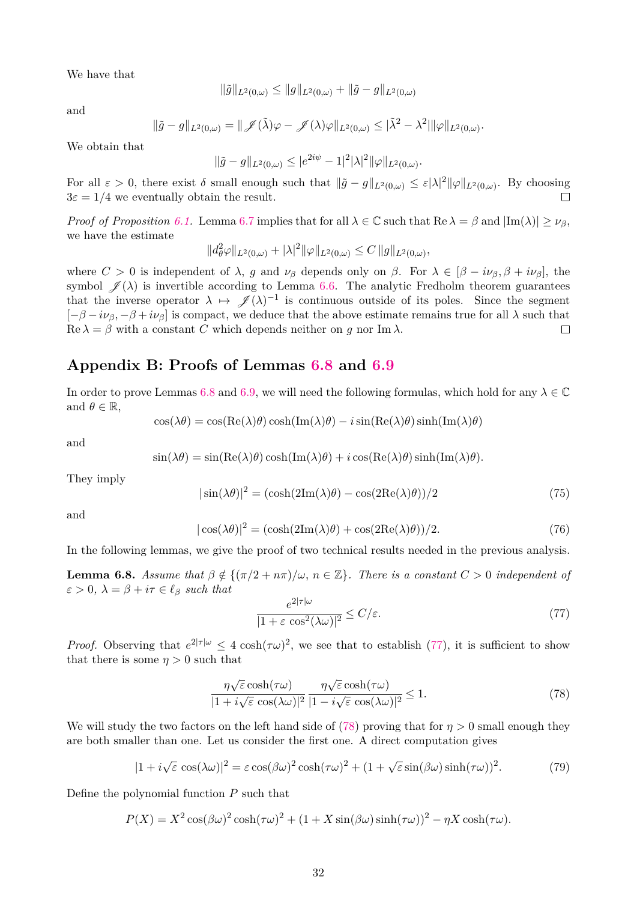We have that

$$
\|\tilde{g}\|_{L^2(0,\omega)} \le \|g\|_{L^2(0,\omega)} + \|\tilde{g} - g\|_{L^2(0,\omega)}
$$

and

$$
\|\tilde{g} - g\|_{L^2(0,\omega)} = \|\mathscr{J}(\tilde{\lambda})\varphi - \mathscr{J}(\lambda)\varphi\|_{L^2(0,\omega)} \leq |\tilde{\lambda}^2 - \lambda^2| \|\varphi\|_{L^2(0,\omega)}.
$$

We obtain that

$$
\|\tilde{g} - g\|_{L^2(0,\omega)} \le |e^{2i\psi} - 1|^2 |\lambda|^2 \|\varphi\|_{L^2(0,\omega)}.
$$

For all  $\varepsilon > 0$ , there exist  $\delta$  small enough such that  $\|\tilde{g} - g\|_{L^2(0,\omega)} \leq \varepsilon |\lambda|^2 \|\varphi\|_{L^2(0,\omega)}$ . By choosing  $3\varepsilon = 1/4$  we eventually obtain the result.  $\Box$ 

*Proof of Proposition [6.1.](#page-30-0)* Lemma [6.7](#page-30-2) implies that for all  $\lambda \in \mathbb{C}$  such that Re  $\lambda = \beta$  and  $|\text{Im}(\lambda)| > \nu_{\beta}$ , we have the estimate

$$
||d_{\theta}^2 \varphi||_{L^2(0,\omega)} + |\lambda|^2 ||\varphi||_{L^2(0,\omega)} \leq C ||g||_{L^2(0,\omega)},
$$

where  $C > 0$  is independent of  $\lambda$ , *g* and  $\nu_{\beta}$  depends only on  $\beta$ . For  $\lambda \in [\beta - i\nu_{\beta}, \beta + i\nu_{\beta}]$ , the symbol  $\mathscr{J}(\lambda)$  is invertible according to Lemma [6.6.](#page-30-3) The analytic Fredholm theorem guarantees that the inverse operator  $\lambda \mapsto \mathscr{J}(\lambda)^{-1}$  is continuous outside of its poles. Since the segment  $[-\beta - i\nu_\beta, -\beta + i\nu_\beta]$  is compact, we deduce that the above estimate remains true for all  $\lambda$  such that  $\operatorname{Re} \lambda = \beta$  with a constant *C* which depends neither on *g* nor Im  $\lambda$ .  $\Box$ 

### **Appendix B: Proofs of Lemmas [6.8](#page-31-2) and [6.9](#page-32-3)**

In order to prove Lemmas [6.8](#page-31-2) and [6.9,](#page-32-3) we will need the following formulas, which hold for any  $\lambda \in \mathbb{C}$ and  $\theta \in \mathbb{R}$ ,

$$
\cos(\lambda \theta) = \cos(\text{Re}(\lambda)\theta) \cosh(\text{Im}(\lambda)\theta) - i \sin(\text{Re}(\lambda)\theta) \sinh(\text{Im}(\lambda)\theta)
$$

and

$$
\sin(\lambda \theta) = \sin(\text{Re}(\lambda)\theta) \cosh(\text{Im}(\lambda)\theta) + i \cos(\text{Re}(\lambda)\theta) \sinh(\text{Im}(\lambda)\theta).
$$

They imply

<span id="page-31-0"></span>
$$
|\sin(\lambda \theta)|^2 = (\cosh(2\text{Im}(\lambda)\theta) - \cos(2\text{Re}(\lambda)\theta))/2
$$
\n(75)

and

<span id="page-31-1"></span>
$$
|\cos(\lambda \theta)|^2 = (\cosh(2\mathrm{Im}(\lambda)\theta) + \cos(2\mathrm{Re}(\lambda)\theta))/2.
$$
 (76)

In the following lemmas, we give the proof of two technical results needed in the previous analysis.

<span id="page-31-2"></span>**Lemma 6.8.** *Assume that*  $\beta \notin \{(\pi/2 + n\pi)/\omega, n \in \mathbb{Z}\}\$ . There is a constant  $C > 0$  independent of  $\varepsilon > 0$ ,  $\lambda = \beta + i\tau \in \ell_\beta$  *such that* 2|*τ*|*ω*

<span id="page-31-3"></span>
$$
\frac{e^{2|\tau|\omega}}{|1+\varepsilon\cos^2(\lambda\omega)|^2} \le C/\varepsilon.
$$
\n(77)

*Proof.* Observing that  $e^{2|\tau|\omega} \leq 4 \cosh(\tau \omega)^2$ , we see that to establish [\(77\)](#page-31-3), it is sufficient to show that there is some  $\eta > 0$  such that

<span id="page-31-4"></span>
$$
\frac{\eta\sqrt{\varepsilon}\cosh(\tau\omega)}{|1+i\sqrt{\varepsilon}\,\cos(\lambda\omega)|^2}\frac{\eta\sqrt{\varepsilon}\cosh(\tau\omega)}{|1-i\sqrt{\varepsilon}\,\cos(\lambda\omega)|^2} \le 1.
$$
\n(78)

We will study the two factors on the left hand side of [\(78\)](#page-31-4) proving that for  $\eta > 0$  small enough they are both smaller than one. Let us consider the first one. A direct computation gives

<span id="page-31-5"></span>
$$
|1 + i\sqrt{\varepsilon}\cos(\lambda\omega)|^2 = \varepsilon\cos(\beta\omega)^2\cosh(\tau\omega)^2 + (1 + \sqrt{\varepsilon}\sin(\beta\omega)\sinh(\tau\omega))^2.
$$
 (79)

Define the polynomial function *P* such that

$$
P(X) = X^2 \cos(\beta \omega)^2 \cosh(\tau \omega)^2 + (1 + X \sin(\beta \omega) \sinh(\tau \omega))^2 - \eta X \cosh(\tau \omega).
$$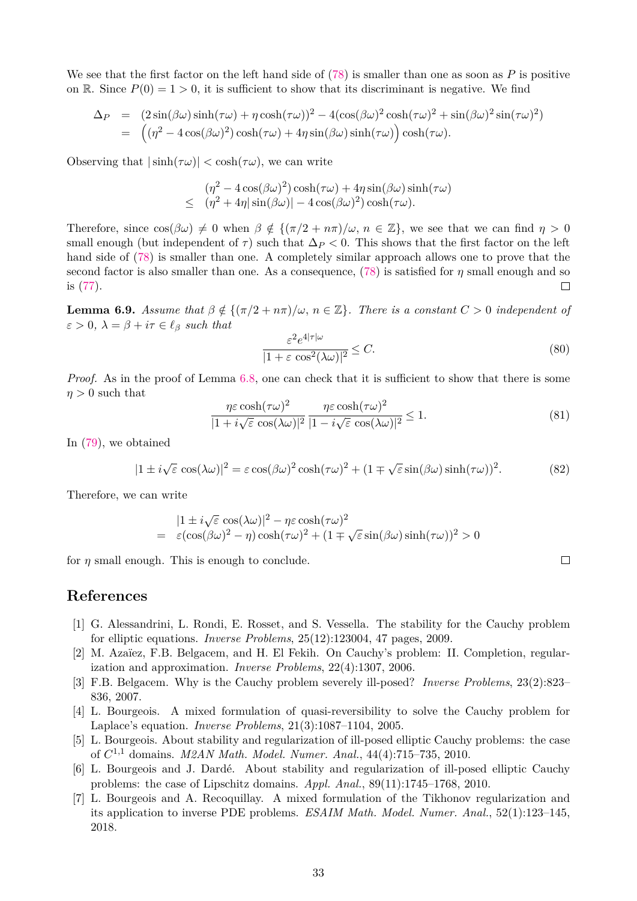We see that the first factor on the left hand side of [\(78\)](#page-31-4) is smaller than one as soon as *P* is positive on R. Since  $P(0) = 1 > 0$ , it is sufficient to show that its discriminant is negative. We find

$$
\Delta_P = (2\sin(\beta\omega)\sinh(\tau\omega) + \eta\cosh(\tau\omega))^2 - 4(\cos(\beta\omega)^2\cosh(\tau\omega)^2 + \sin(\beta\omega)^2\sin(\tau\omega)^2)
$$
  
= 
$$
((\eta^2 - 4\cos(\beta\omega)^2)\cosh(\tau\omega) + 4\eta\sin(\beta\omega)\sinh(\tau\omega))\cosh(\tau\omega).
$$

Observing that  $|\sinh(\tau\omega)| < \cosh(\tau\omega)$ , we can write

$$
(\eta^2 - 4\cos(\beta\omega)^2)\cosh(\tau\omega) + 4\eta\sin(\beta\omega)\sinh(\tau\omega)
$$
  
 
$$
\leq (\eta^2 + 4\eta|\sin(\beta\omega)| - 4\cos(\beta\omega)^2)\cosh(\tau\omega).
$$

Therefore, since  $\cos(\beta\omega) \neq 0$  when  $\beta \notin {\{\pi/2 + n\pi\}}/\omega$ ,  $n \in \mathbb{Z}$ , we see that we can find  $\eta > 0$ small enough (but independent of  $\tau$ ) such that  $\Delta P$  < 0. This shows that the first factor on the left hand side of [\(78\)](#page-31-4) is smaller than one. A completely similar approach allows one to prove that the second factor is also smaller than one. As a consequence, [\(78\)](#page-31-4) is satisfied for *η* small enough and so  $\Box$ is [\(77\)](#page-31-3).

<span id="page-32-3"></span>**Lemma 6.9.** *Assume that*  $\beta \notin \{(\pi/2 + n\pi)/\omega, n \in \mathbb{Z}\}\$ . There is a constant  $C > 0$  independent of  $\varepsilon > 0$ ,  $\lambda = \beta + i\tau \in \ell_\beta$  *such that* 

$$
\frac{\varepsilon^2 e^{4|\tau|\omega}}{|1+\varepsilon \cos^2(\lambda \omega)|^2} \le C. \tag{80}
$$

 $\Box$ 

*Proof.* As in the proof of Lemma [6.8,](#page-31-2) one can check that it is sufficient to show that there is some  $n > 0$  such that

$$
\frac{\eta \varepsilon \cosh(\tau \omega)^2}{|1 + i\sqrt{\varepsilon} \cos(\lambda \omega)|^2} \frac{\eta \varepsilon \cosh(\tau \omega)^2}{|1 - i\sqrt{\varepsilon} \cos(\lambda \omega)|^2} \le 1.
$$
\n(81)

In [\(79\)](#page-31-5), we obtained

$$
|1 \pm i\sqrt{\varepsilon}\cos(\lambda\omega)|^2 = \varepsilon\cos(\beta\omega)^2\cosh(\tau\omega)^2 + (1 \mp \sqrt{\varepsilon}\sin(\beta\omega)\sinh(\tau\omega))^2. \tag{82}
$$

Therefore, we can write

$$
|1 \pm i\sqrt{\varepsilon} \cos(\lambda \omega)|^2 - \eta \varepsilon \cosh(\tau \omega)^2
$$
  
=  $\varepsilon(\cos(\beta \omega)^2 - \eta) \cosh(\tau \omega)^2 + (1 \mp \sqrt{\varepsilon} \sin(\beta \omega) \sinh(\tau \omega))^2 > 0$ 

for  $\eta$  small enough. This is enough to conclude.

### **References**

- <span id="page-32-5"></span>[1] G. Alessandrini, L. Rondi, E. Rosset, and S. Vessella. The stability for the Cauchy problem for elliptic equations. *Inverse Problems*, 25(12):123004, 47 pages, 2009.
- <span id="page-32-4"></span>[2] M. Azaïez, F.B. Belgacem, and H. El Fekih. On Cauchy's problem: II. Completion, regularization and approximation. *Inverse Problems*, 22(4):1307, 2006.
- <span id="page-32-0"></span>[3] F.B. Belgacem. Why is the Cauchy problem severely ill-posed? *Inverse Problems*, 23(2):823– 836, 2007.
- <span id="page-32-1"></span>[4] L. Bourgeois. A mixed formulation of quasi-reversibility to solve the Cauchy problem for Laplace's equation. *Inverse Problems*, 21(3):1087–1104, 2005.
- <span id="page-32-6"></span>[5] L. Bourgeois. About stability and regularization of ill-posed elliptic Cauchy problems: the case of *C* <sup>1</sup>*,*<sup>1</sup> domains. *M2AN Math. Model. Numer. Anal.*, 44(4):715–735, 2010.
- <span id="page-32-7"></span>[6] L. Bourgeois and J. Dardé. About stability and regularization of ill-posed elliptic Cauchy problems: the case of Lipschitz domains. *Appl. Anal.*, 89(11):1745–1768, 2010.
- <span id="page-32-2"></span>[7] L. Bourgeois and A. Recoquillay. A mixed formulation of the Tikhonov regularization and its application to inverse PDE problems. *ESAIM Math. Model. Numer. Anal.*, 52(1):123–145, 2018.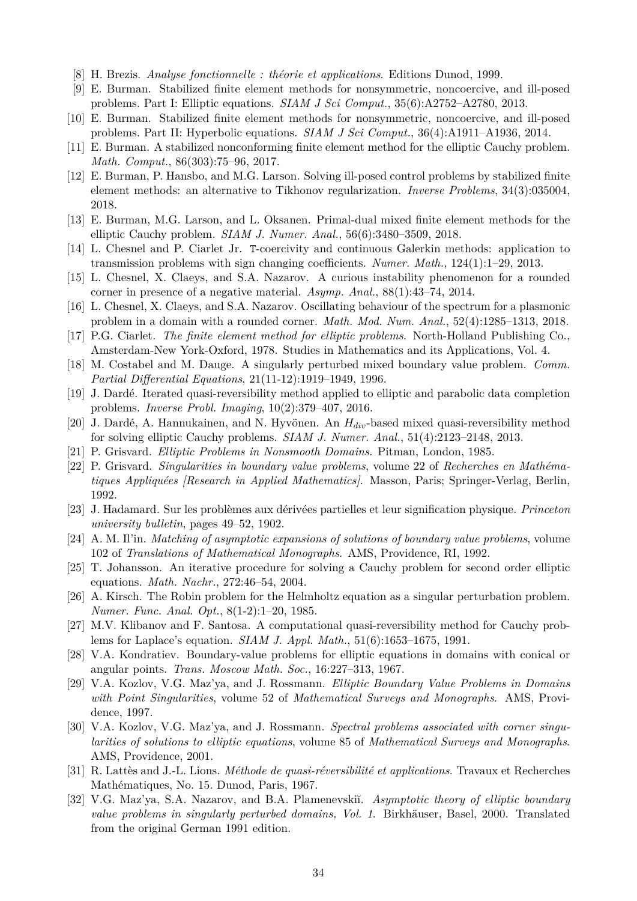- <span id="page-33-15"></span>[8] H. Brezis. *Analyse fonctionnelle : théorie et applications*. Editions Dunod, 1999.
- <span id="page-33-5"></span>[9] E. Burman. Stabilized finite element methods for nonsymmetric, noncoercive, and ill-posed problems. Part I: Elliptic equations. *SIAM J Sci Comput.*, 35(6):A2752–A2780, 2013.
- <span id="page-33-6"></span>[10] E. Burman. Stabilized finite element methods for nonsymmetric, noncoercive, and ill-posed problems. Part II: Hyperbolic equations. *SIAM J Sci Comput.*, 36(4):A1911–A1936, 2014.
- <span id="page-33-7"></span>[11] E. Burman. A stabilized nonconforming finite element method for the elliptic Cauchy problem. *Math. Comput.*, 86(303):75–96, 2017.
- <span id="page-33-8"></span>[12] E. Burman, P. Hansbo, and M.G. Larson. Solving ill-posed control problems by stabilized finite element methods: an alternative to Tikhonov regularization. *Inverse Problems*, 34(3):035004, 2018.
- <span id="page-33-4"></span>[13] E. Burman, M.G. Larson, and L. Oksanen. Primal-dual mixed finite element methods for the elliptic Cauchy problem. *SIAM J. Numer. Anal.*, 56(6):3480–3509, 2018.
- <span id="page-33-21"></span>[14] L. Chesnel and P. Ciarlet Jr. T-coercivity and continuous Galerkin methods: application to transmission problems with sign changing coefficients. *Numer. Math.*, 124(1):1–29, 2013.
- <span id="page-33-11"></span>[15] L. Chesnel, X. Claeys, and S.A. Nazarov. A curious instability phenomenon for a rounded corner in presence of a negative material. *Asymp. Anal.*, 88(1):43–74, 2014.
- <span id="page-33-12"></span>[16] L. Chesnel, X. Claeys, and S.A. Nazarov. Oscillating behaviour of the spectrum for a plasmonic problem in a domain with a rounded corner. *Math. Mod. Num. Anal.*, 52(4):1285–1313, 2018.
- <span id="page-33-23"></span>[17] P.G. Ciarlet. *The finite element method for elliptic problems*. North-Holland Publishing Co., Amsterdam-New York-Oxford, 1978. Studies in Mathematics and its Applications, Vol. 4.
- <span id="page-33-10"></span>[18] M. Costabel and M. Dauge. A singularly perturbed mixed boundary value problem. *Comm. Partial Differential Equations*, 21(11-12):1919–1949, 1996.
- <span id="page-33-3"></span>[19] J. Dardé. Iterated quasi-reversibility method applied to elliptic and parabolic data completion problems. *Inverse Probl. Imaging*, 10(2):379–407, 2016.
- <span id="page-33-2"></span>[20] J. Dardé, A. Hannukainen, and N. Hyvönen. An *Hdiv*-based mixed quasi-reversibility method for solving elliptic Cauchy problems. *SIAM J. Numer. Anal.*, 51(4):2123–2148, 2013.
- <span id="page-33-18"></span>[21] P. Grisvard. *Elliptic Problems in Nonsmooth Domains*. Pitman, London, 1985.
- <span id="page-33-16"></span>[22] P. Grisvard. *Singularities in boundary value problems*, volume 22 of *Recherches en Mathématiques Appliquées [Research in Applied Mathematics]*. Masson, Paris; Springer-Verlag, Berlin, 1992.
- <span id="page-33-24"></span>[23] J. Hadamard. Sur les problèmes aux dérivées partielles et leur signification physique. *Princeton university bulletin*, pages 49–52, 1902.
- <span id="page-33-13"></span>[24] A. M. Il'in. *Matching of asymptotic expansions of solutions of boundary value problems*, volume 102 of *Translations of Mathematical Monographs*. AMS, Providence, RI, 1992.
- <span id="page-33-22"></span>[25] T. Johansson. An iterative procedure for solving a Cauchy problem for second order elliptic equations. *Math. Nachr.*, 272:46–54, 2004.
- <span id="page-33-9"></span>[26] A. Kirsch. The Robin problem for the Helmholtz equation as a singular perturbation problem. *Numer. Func. Anal. Opt.*, 8(1-2):1–20, 1985.
- <span id="page-33-1"></span>[27] M.V. Klibanov and F. Santosa. A computational quasi-reversibility method for Cauchy problems for Laplace's equation. *SIAM J. Appl. Math.*, 51(6):1653–1675, 1991.
- <span id="page-33-17"></span>[28] V.A. Kondratiev. Boundary-value problems for elliptic equations in domains with conical or angular points. *Trans. Moscow Math. Soc.*, 16:227–313, 1967.
- <span id="page-33-19"></span>[29] V.A. Kozlov, V.G. Maz'ya, and J. Rossmann. *Elliptic Boundary Value Problems in Domains with Point Singularities*, volume 52 of *Mathematical Surveys and Monographs*. AMS, Providence, 1997.
- <span id="page-33-20"></span>[30] V.A. Kozlov, V.G. Maz'ya, and J. Rossmann. *Spectral problems associated with corner singularities of solutions to elliptic equations*, volume 85 of *Mathematical Surveys and Monographs*. AMS, Providence, 2001.
- <span id="page-33-0"></span>[31] R. Lattès and J.-L. Lions. *Méthode de quasi-réversibilité et applications*. Travaux et Recherches Mathématiques, No. 15. Dunod, Paris, 1967.
- <span id="page-33-14"></span>[32] V.G. Maz'ya, S.A. Nazarov, and B.A. Plamenevskii. *Asymptotic theory of elliptic boundary value problems in singularly perturbed domains, Vol. 1*. Birkhäuser, Basel, 2000. Translated from the original German 1991 edition.